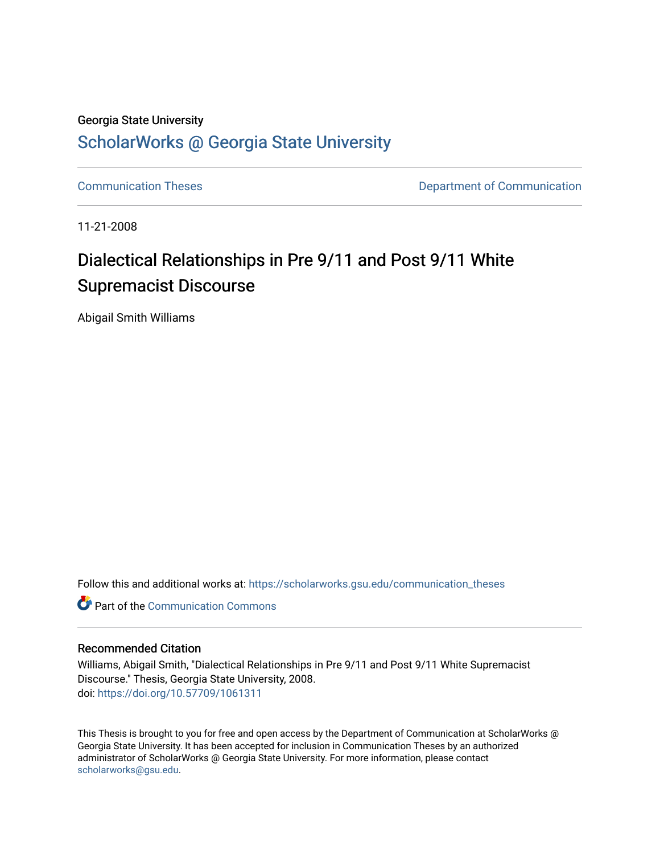## Georgia State University [ScholarWorks @ Georgia State University](https://scholarworks.gsu.edu/)

[Communication Theses](https://scholarworks.gsu.edu/communication_theses) **Communication Communication** 

11-21-2008

# Dialectical Relationships in Pre 9/11 and Post 9/11 White Supremacist Discourse

Abigail Smith Williams

Follow this and additional works at: [https://scholarworks.gsu.edu/communication\\_theses](https://scholarworks.gsu.edu/communication_theses?utm_source=scholarworks.gsu.edu%2Fcommunication_theses%2F45&utm_medium=PDF&utm_campaign=PDFCoverPages) 

**C** Part of the Communication Commons

## Recommended Citation

Williams, Abigail Smith, "Dialectical Relationships in Pre 9/11 and Post 9/11 White Supremacist Discourse." Thesis, Georgia State University, 2008. doi: <https://doi.org/10.57709/1061311>

This Thesis is brought to you for free and open access by the Department of Communication at ScholarWorks @ Georgia State University. It has been accepted for inclusion in Communication Theses by an authorized administrator of ScholarWorks @ Georgia State University. For more information, please contact [scholarworks@gsu.edu.](mailto:scholarworks@gsu.edu)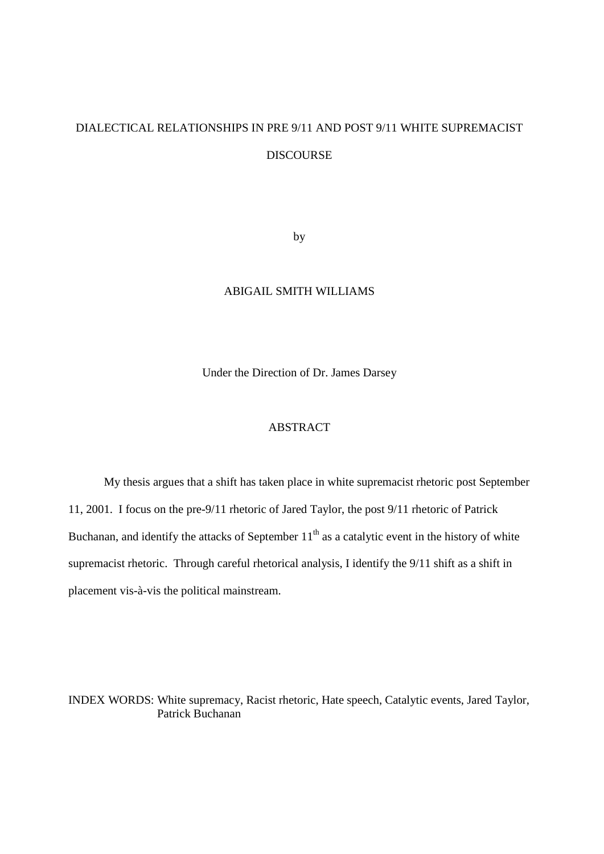# DIALECTICAL RELATIONSHIPS IN PRE 9/11 AND POST 9/11 WHITE SUPREMACIST DISCOURSE

by

### ABIGAIL SMITH WILLIAMS

Under the Direction of Dr. James Darsey

## ABSTRACT

My thesis argues that a shift has taken place in white supremacist rhetoric post September 11, 2001. I focus on the pre-9/11 rhetoric of Jared Taylor, the post 9/11 rhetoric of Patrick Buchanan, and identify the attacks of September  $11<sup>th</sup>$  as a catalytic event in the history of white supremacist rhetoric. Through careful rhetorical analysis, I identify the 9/11 shift as a shift in placement vis-à-vis the political mainstream.

INDEX WORDS: White supremacy, Racist rhetoric, Hate speech, Catalytic events, Jared Taylor, Patrick Buchanan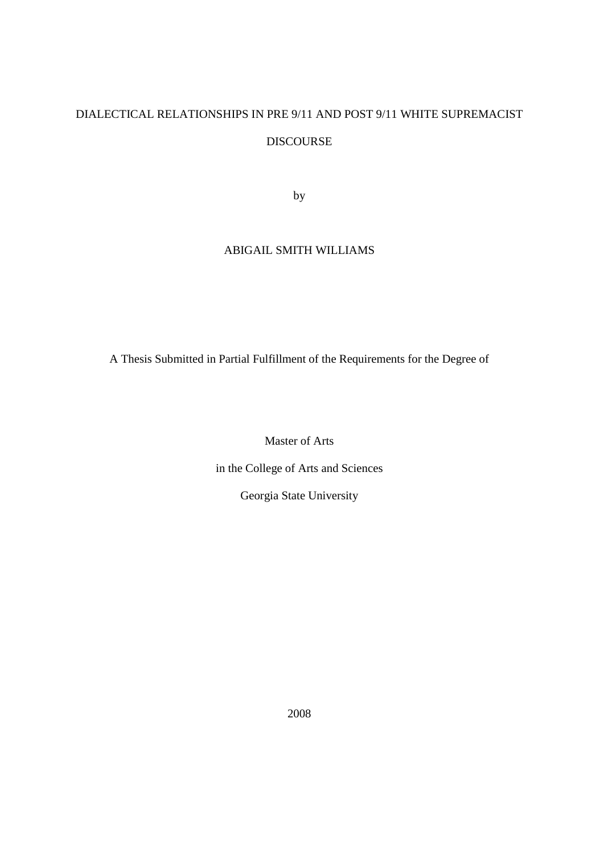# DIALECTICAL RELATIONSHIPS IN PRE 9/11 AND POST 9/11 WHITE SUPREMACIST DISCOURSE

by

## ABIGAIL SMITH WILLIAMS

A Thesis Submitted in Partial Fulfillment of the Requirements for the Degree of

Master of Arts

in the College of Arts and Sciences

Georgia State University

2008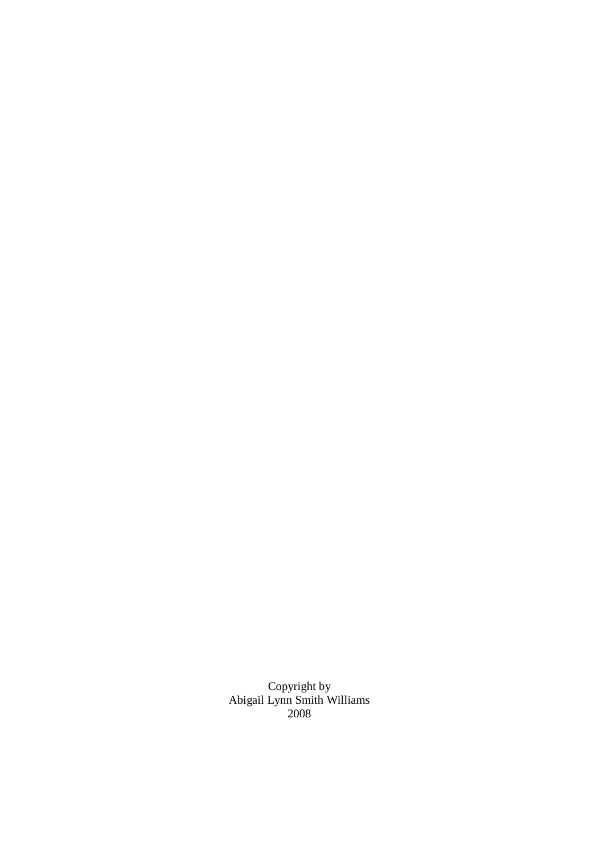Copyright by Abigail Lynn Smith Williams 2008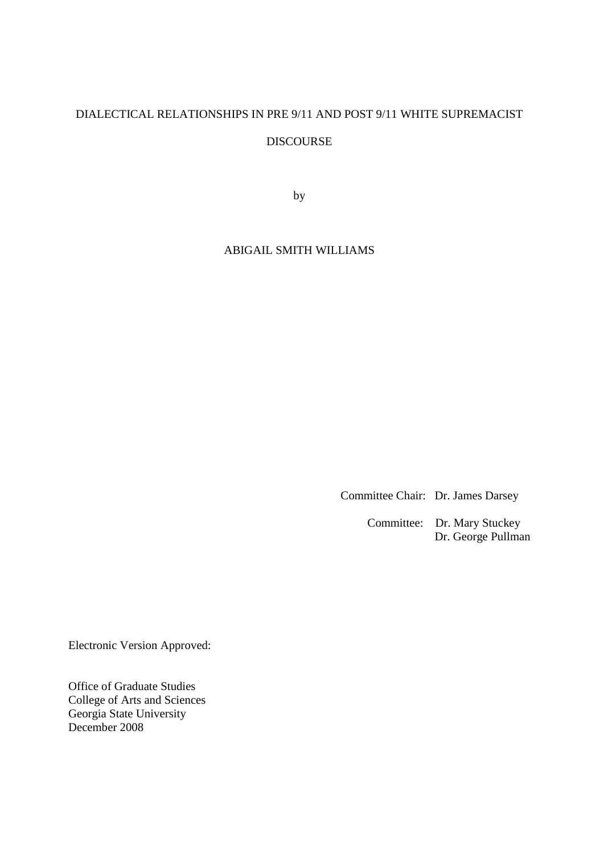# DIALECTICAL RELATIONSHIPS IN PRE 9/11 AND POST 9/11 WHITE SUPREMACIST DISCOURSE

by

## ABIGAIL SMITH WILLIAMS

Committee Chair: Dr. James Darsey

Committee: Dr. Mary Stuckey Dr. George Pullman

Electronic Version Approved:

Office of Graduate Studies College of Arts and Sciences Georgia State University December 2008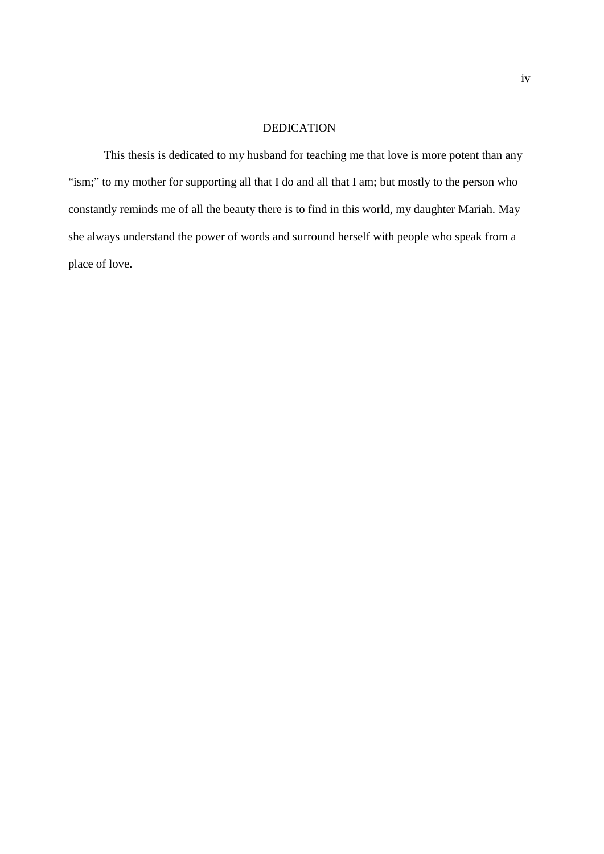### DEDICATION

This thesis is dedicated to my husband for teaching me that love is more potent than any "ism;" to my mother for supporting all that I do and all that I am; but mostly to the person who constantly reminds me of all the beauty there is to find in this world, my daughter Mariah. May she always understand the power of words and surround herself with people who speak from a place of love.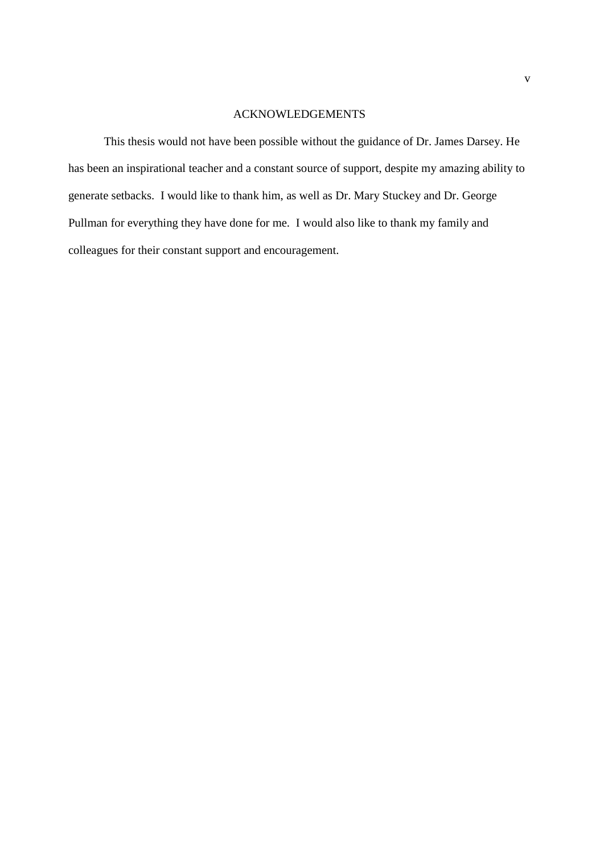## ACKNOWLEDGEMENTS

This thesis would not have been possible without the guidance of Dr. James Darsey. He has been an inspirational teacher and a constant source of support, despite my amazing ability to generate setbacks. I would like to thank him, as well as Dr. Mary Stuckey and Dr. George Pullman for everything they have done for me. I would also like to thank my family and colleagues for their constant support and encouragement.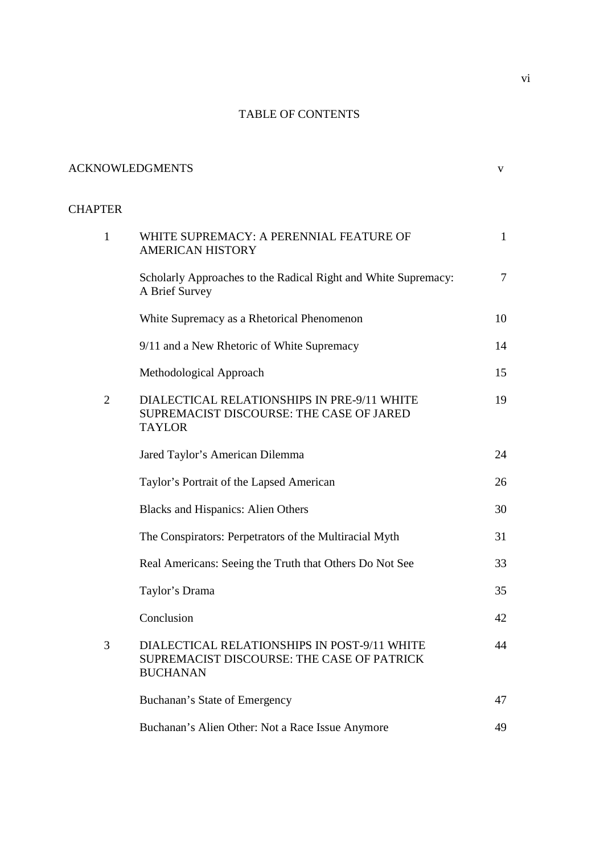## TABLE OF CONTENTS

## ACKNOWLEDGMENTS v

## **CHAPTER**

| $\mathbf{1}$   | WHITE SUPREMACY: A PERENNIAL FEATURE OF<br><b>AMERICAN HISTORY</b>                                            | $\mathbf{1}$   |
|----------------|---------------------------------------------------------------------------------------------------------------|----------------|
|                | Scholarly Approaches to the Radical Right and White Supremacy:<br>A Brief Survey                              | $\overline{7}$ |
|                | White Supremacy as a Rhetorical Phenomenon                                                                    | 10             |
|                | 9/11 and a New Rhetoric of White Supremacy                                                                    | 14             |
|                | Methodological Approach                                                                                       | 15             |
| $\overline{2}$ | DIALECTICAL RELATIONSHIPS IN PRE-9/11 WHITE<br>SUPREMACIST DISCOURSE: THE CASE OF JARED<br><b>TAYLOR</b>      | 19             |
|                | Jared Taylor's American Dilemma                                                                               | 24             |
|                | Taylor's Portrait of the Lapsed American                                                                      | 26             |
|                | <b>Blacks and Hispanics: Alien Others</b>                                                                     | 30             |
|                | The Conspirators: Perpetrators of the Multiracial Myth                                                        | 31             |
|                | Real Americans: Seeing the Truth that Others Do Not See                                                       | 33             |
|                | Taylor's Drama                                                                                                | 35             |
|                | Conclusion                                                                                                    | 42             |
| 3              | DIALECTICAL RELATIONSHIPS IN POST-9/11 WHITE<br>SUPREMACIST DISCOURSE: THE CASE OF PATRICK<br><b>BUCHANAN</b> | 44             |
|                | Buchanan's State of Emergency                                                                                 | 47             |
|                | Buchanan's Alien Other: Not a Race Issue Anymore                                                              | 49             |
|                |                                                                                                               |                |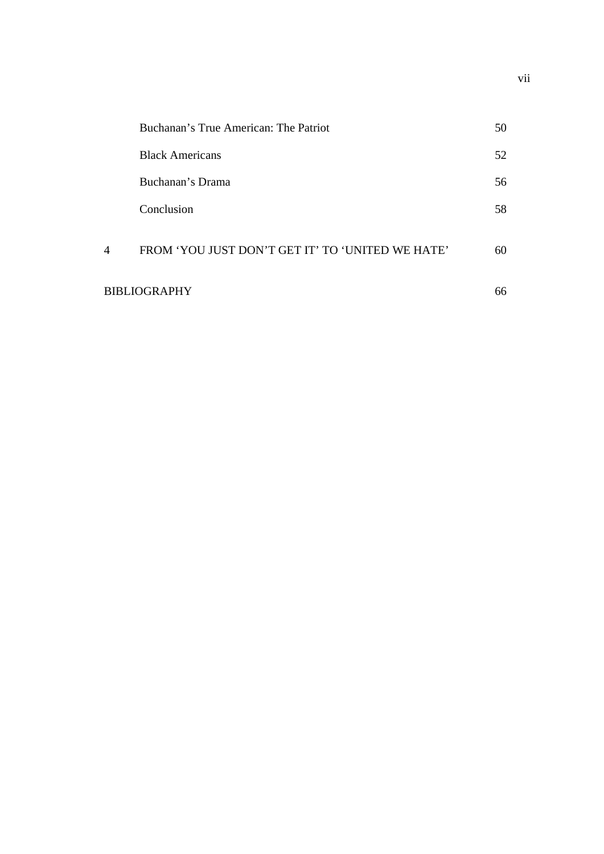|              | Buchanan's True American: The Patriot            | 50 |
|--------------|--------------------------------------------------|----|
|              | <b>Black Americans</b>                           | 52 |
|              | Buchanan's Drama                                 | 56 |
|              | Conclusion                                       | 58 |
| 4            | FROM 'YOU JUST DON'T GET IT' TO 'UNITED WE HATE' | 60 |
| BIBLIOGRAPHY |                                                  | 66 |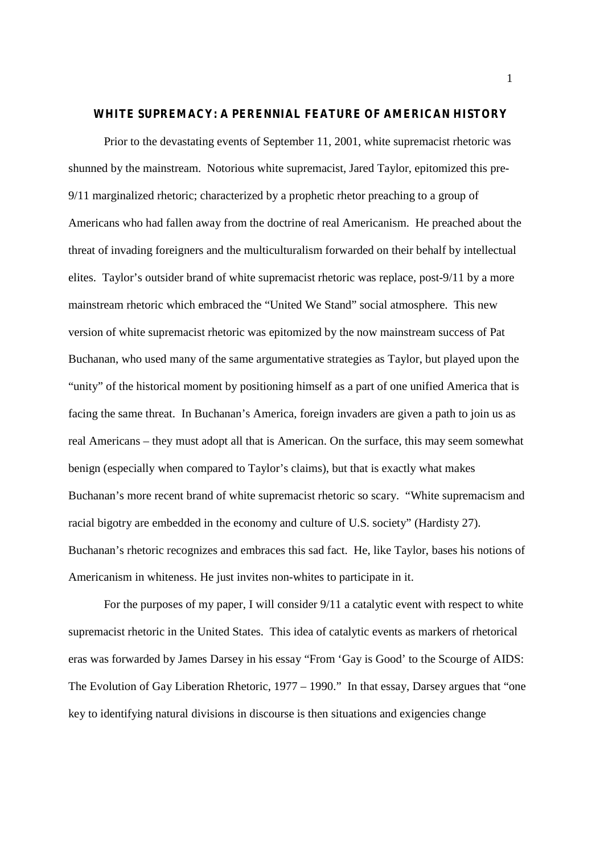#### **WHITE SUPREMACY: A PERENNIAL FEATURE OF AMERICAN HISTORY**

Prior to the devastating events of September 11, 2001, white supremacist rhetoric was shunned by the mainstream. Notorious white supremacist, Jared Taylor, epitomized this pre-9/11 marginalized rhetoric; characterized by a prophetic rhetor preaching to a group of Americans who had fallen away from the doctrine of real Americanism. He preached about the threat of invading foreigners and the multiculturalism forwarded on their behalf by intellectual elites. Taylor's outsider brand of white supremacist rhetoric was replace, post-9/11 by a more mainstream rhetoric which embraced the "United We Stand" social atmosphere. This new version of white supremacist rhetoric was epitomized by the now mainstream success of Pat Buchanan, who used many of the same argumentative strategies as Taylor, but played upon the "unity" of the historical moment by positioning himself as a part of one unified America that is facing the same threat. In Buchanan's America, foreign invaders are given a path to join us as real Americans – they must adopt all that is American. On the surface, this may seem somewhat benign (especially when compared to Taylor's claims), but that is exactly what makes Buchanan's more recent brand of white supremacist rhetoric so scary. "White supremacism and racial bigotry are embedded in the economy and culture of U.S. society" (Hardisty 27). Buchanan's rhetoric recognizes and embraces this sad fact. He, like Taylor, bases his notions of Americanism in whiteness. He just invites non-whites to participate in it.

For the purposes of my paper, I will consider 9/11 a catalytic event with respect to white supremacist rhetoric in the United States. This idea of catalytic events as markers of rhetorical eras was forwarded by James Darsey in his essay "From 'Gay is Good' to the Scourge of AIDS: The Evolution of Gay Liberation Rhetoric, 1977 – 1990." In that essay, Darsey argues that "one key to identifying natural divisions in discourse is then situations and exigencies change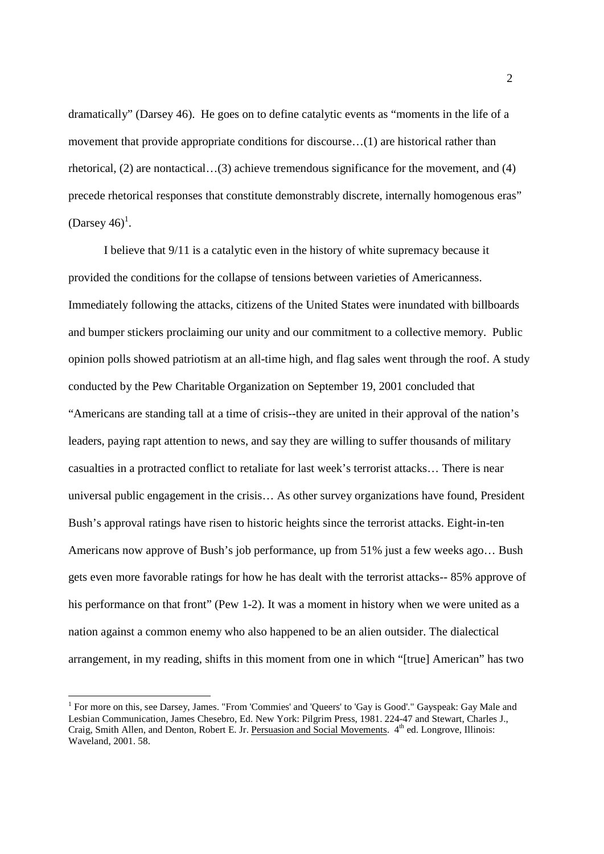dramatically" (Darsey 46). He goes on to define catalytic events as "moments in the life of a movement that provide appropriate conditions for discourse…(1) are historical rather than rhetorical, (2) are nontactical…(3) achieve tremendous significance for the movement, and (4) precede rhetorical responses that constitute demonstrably discrete, internally homogenous eras" (Darsey  $46)^1$ .

I believe that 9/11 is a catalytic even in the history of white supremacy because it provided the conditions for the collapse of tensions between varieties of Americanness. Immediately following the attacks, citizens of the United States were inundated with billboards and bumper stickers proclaiming our unity and our commitment to a collective memory. Public opinion polls showed patriotism at an all-time high, and flag sales went through the roof. A study conducted by the Pew Charitable Organization on September 19, 2001 concluded that "Americans are standing tall at a time of crisis--they are united in their approval of the nation's leaders, paying rapt attention to news, and say they are willing to suffer thousands of military casualties in a protracted conflict to retaliate for last week's terrorist attacks… There is near universal public engagement in the crisis… As other survey organizations have found, President Bush's approval ratings have risen to historic heights since the terrorist attacks. Eight-in-ten Americans now approve of Bush's job performance, up from 51% just a few weeks ago… Bush gets even more favorable ratings for how he has dealt with the terrorist attacks-- 85% approve of his performance on that front" (Pew 1-2). It was a moment in history when we were united as a nation against a common enemy who also happened to be an alien outsider. The dialectical arrangement, in my reading, shifts in this moment from one in which "[true] American" has two

<sup>&</sup>lt;sup>1</sup> For more on this, see Darsey, James. "From 'Commies' and 'Queers' to 'Gay is Good'." Gayspeak: Gay Male and Lesbian Communication, James Chesebro, Ed. New York: Pilgrim Press, 1981. 224-47 and Stewart, Charles J., Craig, Smith Allen, and Denton, Robert E. Jr. Persuasion and Social Movements. 4th ed. Longrove, Illinois: Waveland, 2001. 58.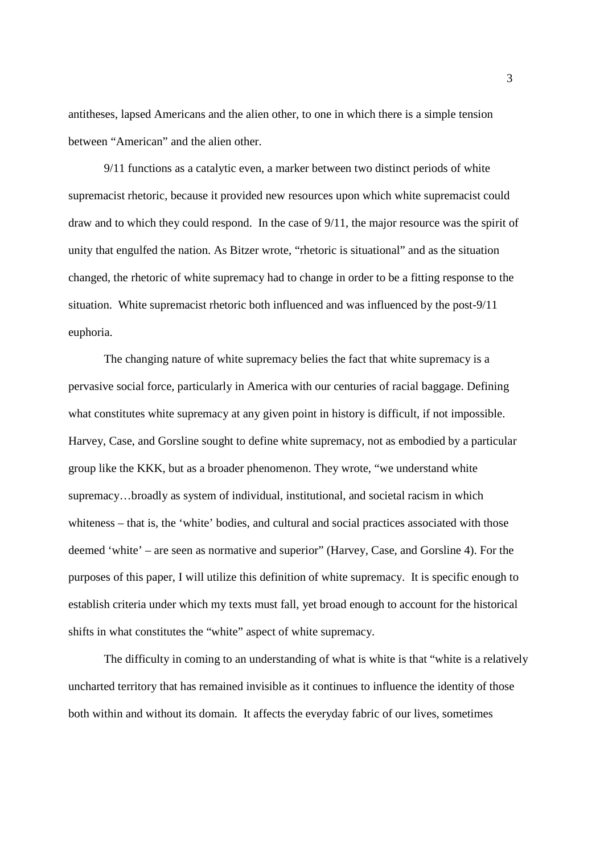antitheses, lapsed Americans and the alien other, to one in which there is a simple tension between "American" and the alien other.

9/11 functions as a catalytic even, a marker between two distinct periods of white supremacist rhetoric, because it provided new resources upon which white supremacist could draw and to which they could respond. In the case of 9/11, the major resource was the spirit of unity that engulfed the nation. As Bitzer wrote, "rhetoric is situational" and as the situation changed, the rhetoric of white supremacy had to change in order to be a fitting response to the situation. White supremacist rhetoric both influenced and was influenced by the post-9/11 euphoria.

The changing nature of white supremacy belies the fact that white supremacy is a pervasive social force, particularly in America with our centuries of racial baggage. Defining what constitutes white supremacy at any given point in history is difficult, if not impossible. Harvey, Case, and Gorsline sought to define white supremacy, not as embodied by a particular group like the KKK, but as a broader phenomenon. They wrote, "we understand white supremacy…broadly as system of individual, institutional, and societal racism in which whiteness – that is, the 'white' bodies, and cultural and social practices associated with those deemed 'white' – are seen as normative and superior" (Harvey, Case, and Gorsline 4). For the purposes of this paper, I will utilize this definition of white supremacy. It is specific enough to establish criteria under which my texts must fall, yet broad enough to account for the historical shifts in what constitutes the "white" aspect of white supremacy.

The difficulty in coming to an understanding of what is white is that "white is a relatively uncharted territory that has remained invisible as it continues to influence the identity of those both within and without its domain. It affects the everyday fabric of our lives, sometimes

3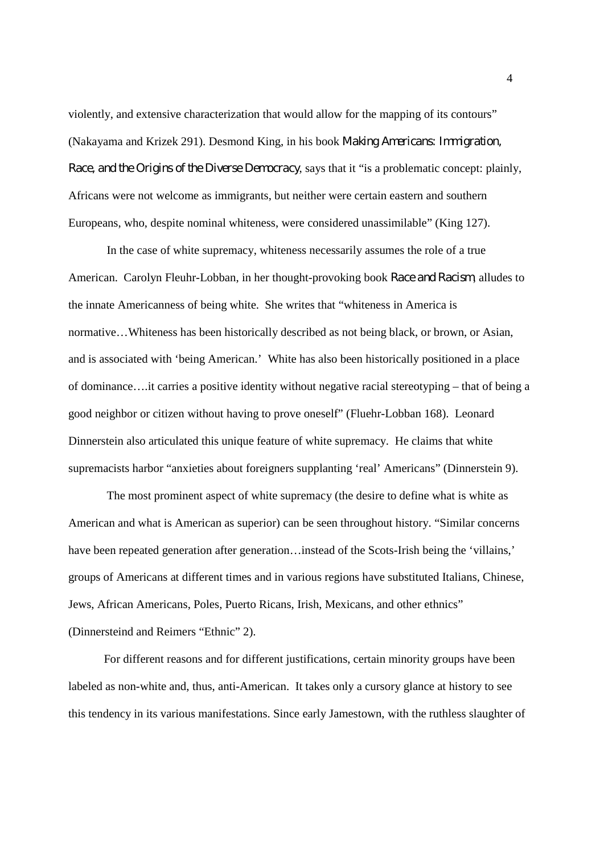violently, and extensive characterization that would allow for the mapping of its contours" (Nakayama and Krizek 291). Desmond King, in his book *Making Americans: Immigration, Race, and the Origins of the Diverse Democracy*, says that it "is a problematic concept: plainly, Africans were not welcome as immigrants, but neither were certain eastern and southern Europeans, who, despite nominal whiteness, were considered unassimilable" (King 127).

In the case of white supremacy, whiteness necessarily assumes the role of a true American. Carolyn Fleuhr-Lobban, in her thought-provoking book *Race and Racism*, alludes to the innate Americanness of being white. She writes that "whiteness in America is normative…Whiteness has been historically described as not being black, or brown, or Asian, and is associated with 'being American.' White has also been historically positioned in a place of dominance….it carries a positive identity without negative racial stereotyping – that of being a good neighbor or citizen without having to prove oneself" (Fluehr-Lobban 168). Leonard Dinnerstein also articulated this unique feature of white supremacy. He claims that white supremacists harbor "anxieties about foreigners supplanting 'real' Americans" (Dinnerstein 9).

The most prominent aspect of white supremacy (the desire to define what is white as American and what is American as superior) can be seen throughout history. "Similar concerns have been repeated generation after generation...instead of the Scots-Irish being the 'villains,' groups of Americans at different times and in various regions have substituted Italians, Chinese, Jews, African Americans, Poles, Puerto Ricans, Irish, Mexicans, and other ethnics" (Dinnersteind and Reimers "Ethnic" 2).

For different reasons and for different justifications, certain minority groups have been labeled as non-white and, thus, anti-American. It takes only a cursory glance at history to see this tendency in its various manifestations. Since early Jamestown, with the ruthless slaughter of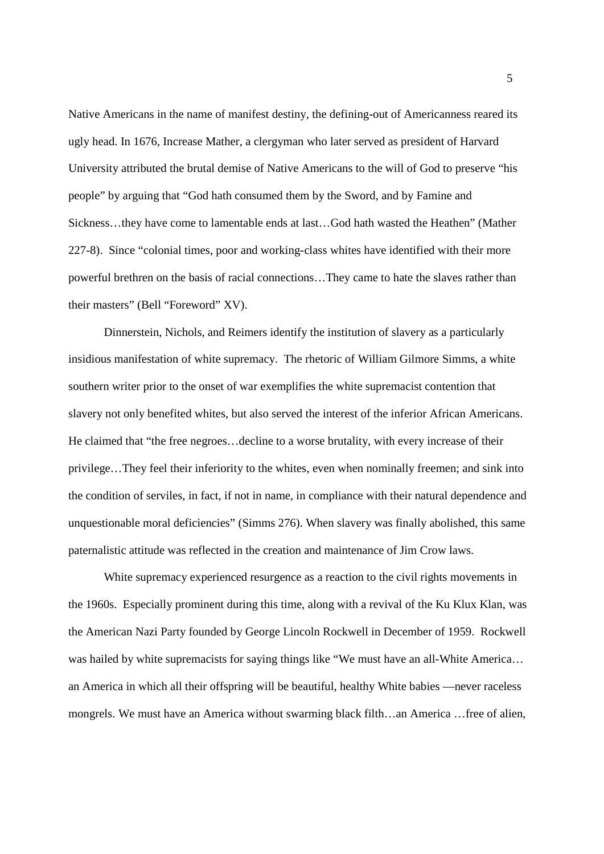Native Americans in the name of manifest destiny, the defining-out of Americanness reared its ugly head. In 1676, Increase Mather, a clergyman who later served as president of Harvard University attributed the brutal demise of Native Americans to the will of God to preserve "his people" by arguing that "God hath consumed them by the Sword, and by Famine and Sickness…they have come to lamentable ends at last…God hath wasted the Heathen" (Mather 227-8). Since "colonial times, poor and working-class whites have identified with their more powerful brethren on the basis of racial connections…They came to hate the slaves rather than their masters" (Bell "Foreword" XV).

Dinnerstein, Nichols, and Reimers identify the institution of slavery as a particularly insidious manifestation of white supremacy. The rhetoric of William Gilmore Simms, a white southern writer prior to the onset of war exemplifies the white supremacist contention that slavery not only benefited whites, but also served the interest of the inferior African Americans. He claimed that "the free negroes…decline to a worse brutality, with every increase of their privilege…They feel their inferiority to the whites, even when nominally freemen; and sink into the condition of serviles, in fact, if not in name, in compliance with their natural dependence and unquestionable moral deficiencies" (Simms 276). When slavery was finally abolished, this same paternalistic attitude was reflected in the creation and maintenance of Jim Crow laws.

White supremacy experienced resurgence as a reaction to the civil rights movements in the 1960s. Especially prominent during this time, along with a revival of the Ku Klux Klan, was the American Nazi Party founded by George Lincoln Rockwell in December of 1959. Rockwell was hailed by white supremacists for saying things like "We must have an all-White America... an America in which all their offspring will be beautiful, healthy White babies —never raceless mongrels. We must have an America without swarming black filth…an America …free of alien,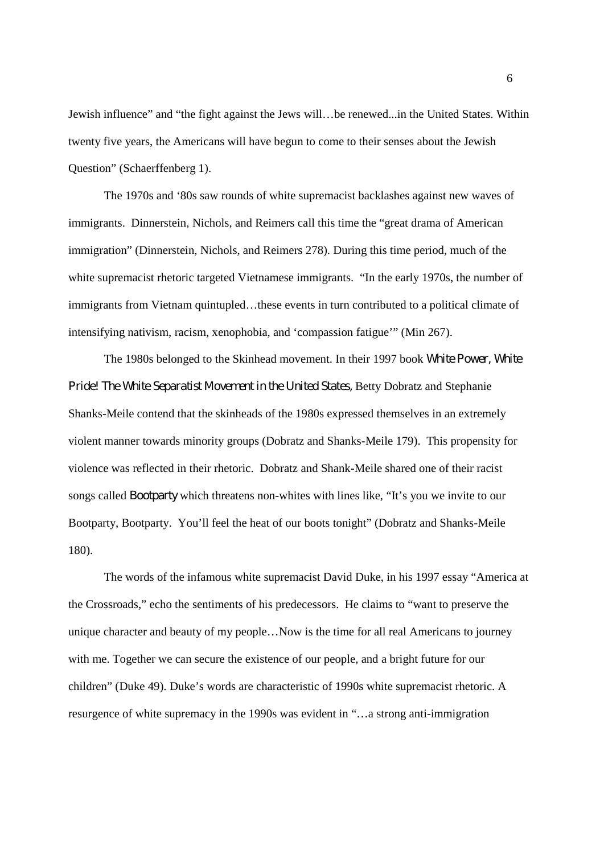Jewish influence" and "the fight against the Jews will…be renewed...in the United States. Within twenty five years, the Americans will have begun to come to their senses about the Jewish Question" (Schaerffenberg 1).

The 1970s and '80s saw rounds of white supremacist backlashes against new waves of immigrants. Dinnerstein, Nichols, and Reimers call this time the "great drama of American immigration" (Dinnerstein, Nichols, and Reimers 278). During this time period, much of the white supremacist rhetoric targeted Vietnamese immigrants. "In the early 1970s, the number of immigrants from Vietnam quintupled...these events in turn contributed to a political climate of intensifying nativism, racism, xenophobia, and 'compassion fatigue'" (Min 267).

The 1980s belonged to the Skinhead movement. In their 1997 book *White Power, White Pride! The White Separatist Movement in the United States,* Betty Dobratz and Stephanie Shanks-Meile contend that the skinheads of the 1980s expressed themselves in an extremely violent manner towards minority groups (Dobratz and Shanks-Meile 179). This propensity for violence was reflected in their rhetoric. Dobratz and Shank-Meile shared one of their racist songs called *Bootparty* which threatens non-whites with lines like, "It's you we invite to our Bootparty, Bootparty. You'll feel the heat of our boots tonight" (Dobratz and Shanks-Meile 180).

The words of the infamous white supremacist David Duke, in his 1997 essay "America at the Crossroads," echo the sentiments of his predecessors. He claims to "want to preserve the unique character and beauty of my people…Now is the time for all real Americans to journey with me. Together we can secure the existence of our people, and a bright future for our children" (Duke 49). Duke's words are characteristic of 1990s white supremacist rhetoric. A resurgence of white supremacy in the 1990s was evident in "…a strong anti-immigration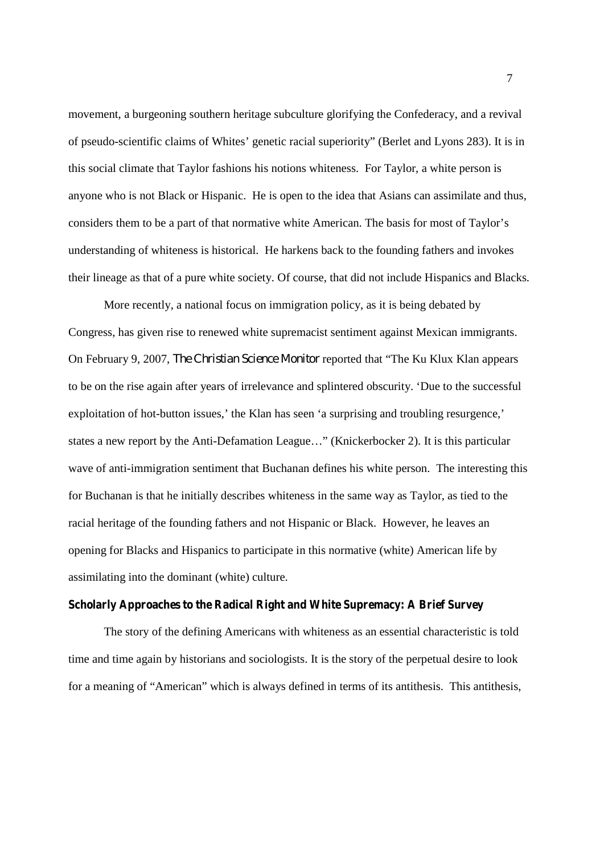movement, a burgeoning southern heritage subculture glorifying the Confederacy, and a revival of pseudo-scientific claims of Whites' genetic racial superiority" (Berlet and Lyons 283). It is in this social climate that Taylor fashions his notions whiteness. For Taylor, a white person is anyone who is not Black or Hispanic. He is open to the idea that Asians can assimilate and thus, considers them to be a part of that normative white American. The basis for most of Taylor's understanding of whiteness is historical. He harkens back to the founding fathers and invokes their lineage as that of a pure white society. Of course, that did not include Hispanics and Blacks.

More recently, a national focus on immigration policy, as it is being debated by Congress, has given rise to renewed white supremacist sentiment against Mexican immigrants. On February 9, 2007, *The Christian Science Monitor* reported that "The Ku Klux Klan appears to be on the rise again after years of irrelevance and splintered obscurity. 'Due to the successful exploitation of hot-button issues,' the Klan has seen 'a surprising and troubling resurgence,' states a new report by the Anti-Defamation League…" (Knickerbocker 2). It is this particular wave of anti-immigration sentiment that Buchanan defines his white person. The interesting this for Buchanan is that he initially describes whiteness in the same way as Taylor, as tied to the racial heritage of the founding fathers and not Hispanic or Black. However, he leaves an opening for Blacks and Hispanics to participate in this normative (white) American life by assimilating into the dominant (white) culture.

## **Scholarly Approaches to the Radical Right and White Supremacy: A Brief Survey**

The story of the defining Americans with whiteness as an essential characteristic is told time and time again by historians and sociologists. It is the story of the perpetual desire to look for a meaning of "American" which is always defined in terms of its antithesis. This antithesis,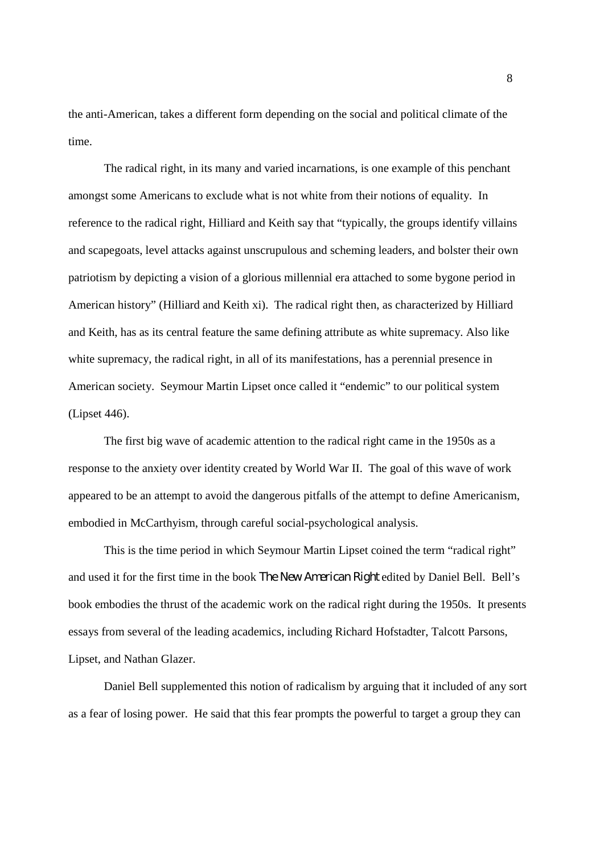the anti-American, takes a different form depending on the social and political climate of the time.

The radical right, in its many and varied incarnations, is one example of this penchant amongst some Americans to exclude what is not white from their notions of equality. In reference to the radical right, Hilliard and Keith say that "typically, the groups identify villains and scapegoats, level attacks against unscrupulous and scheming leaders, and bolster their own patriotism by depicting a vision of a glorious millennial era attached to some bygone period in American history" (Hilliard and Keith xi). The radical right then, as characterized by Hilliard and Keith, has as its central feature the same defining attribute as white supremacy. Also like white supremacy, the radical right, in all of its manifestations, has a perennial presence in American society. Seymour Martin Lipset once called it "endemic" to our political system (Lipset 446).

The first big wave of academic attention to the radical right came in the 1950s as a response to the anxiety over identity created by World War II. The goal of this wave of work appeared to be an attempt to avoid the dangerous pitfalls of the attempt to define Americanism, embodied in McCarthyism, through careful social-psychological analysis.

This is the time period in which Seymour Martin Lipset coined the term "radical right" and used it for the first time in the book *The New American Right* edited by Daniel Bell. Bell's book embodies the thrust of the academic work on the radical right during the 1950s. It presents essays from several of the leading academics, including Richard Hofstadter, Talcott Parsons, Lipset, and Nathan Glazer.

Daniel Bell supplemented this notion of radicalism by arguing that it included of any sort as a fear of losing power. He said that this fear prompts the powerful to target a group they can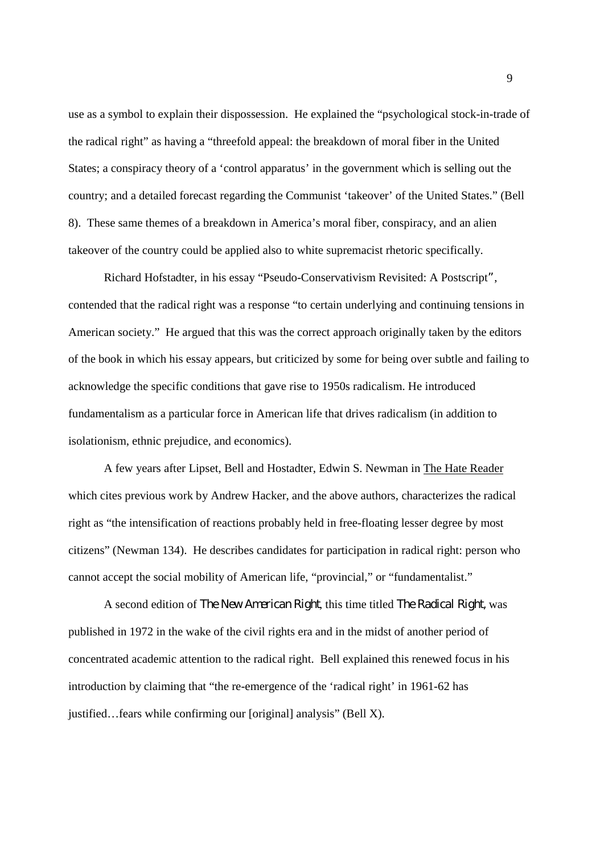use as a symbol to explain their dispossession. He explained the "psychological stock-in-trade of the radical right" as having a "threefold appeal: the breakdown of moral fiber in the United States; a conspiracy theory of a 'control apparatus' in the government which is selling out the country; and a detailed forecast regarding the Communist 'takeover' of the United States." (Bell 8). These same themes of a breakdown in America's moral fiber, conspiracy, and an alien takeover of the country could be applied also to white supremacist rhetoric specifically.

Richard Hofstadter, in his essay "Pseudo-Conservativism Revisited: A Postscript*"*, contended that the radical right was a response "to certain underlying and continuing tensions in American society." He argued that this was the correct approach originally taken by the editors of the book in which his essay appears, but criticized by some for being over subtle and failing to acknowledge the specific conditions that gave rise to 1950s radicalism. He introduced fundamentalism as a particular force in American life that drives radicalism (in addition to isolationism, ethnic prejudice, and economics).

A few years after Lipset, Bell and Hostadter, Edwin S. Newman in The Hate Reader which cites previous work by Andrew Hacker, and the above authors, characterizes the radical right as "the intensification of reactions probably held in free-floating lesser degree by most citizens" (Newman 134). He describes candidates for participation in radical right: person who cannot accept the social mobility of American life, "provincial," or "fundamentalist."

A second edition of *The New American Right*, this time titled *The Radical Right,* was published in 1972 in the wake of the civil rights era and in the midst of another period of concentrated academic attention to the radical right. Bell explained this renewed focus in his introduction by claiming that "the re-emergence of the 'radical right' in 1961-62 has justified…fears while confirming our [original] analysis" (Bell X).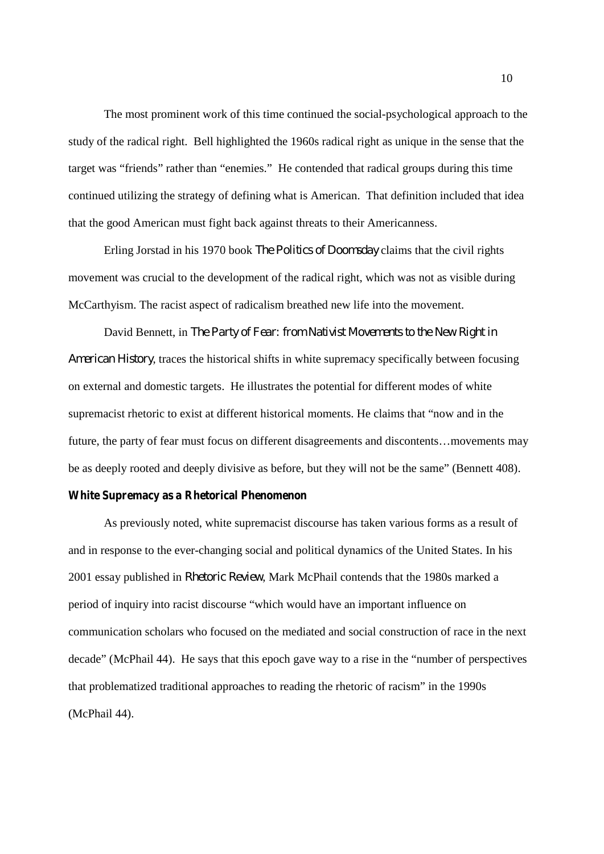The most prominent work of this time continued the social-psychological approach to the study of the radical right. Bell highlighted the 1960s radical right as unique in the sense that the target was "friends" rather than "enemies." He contended that radical groups during this time continued utilizing the strategy of defining what is American. That definition included that idea that the good American must fight back against threats to their Americanness.

Erling Jorstad in his 1970 book *The Politics of Doomsday* claims that the civil rights movement was crucial to the development of the radical right, which was not as visible during McCarthyism. The racist aspect of radicalism breathed new life into the movement.

David Bennett, in *The Party of Fear: from Nativist Movements to the New Right in American History*, traces the historical shifts in white supremacy specifically between focusing on external and domestic targets. He illustrates the potential for different modes of white supremacist rhetoric to exist at different historical moments. He claims that "now and in the future, the party of fear must focus on different disagreements and discontents…movements may be as deeply rooted and deeply divisive as before, but they will not be the same" (Bennett 408).

### **White Supremacy as a Rhetorical Phenomenon**

As previously noted, white supremacist discourse has taken various forms as a result of and in response to the ever-changing social and political dynamics of the United States. In his 2001 essay published in *Rhetoric Review*, Mark McPhail contends that the 1980s marked a period of inquiry into racist discourse "which would have an important influence on communication scholars who focused on the mediated and social construction of race in the next decade" (McPhail 44). He says that this epoch gave way to a rise in the "number of perspectives that problematized traditional approaches to reading the rhetoric of racism" in the 1990s (McPhail 44).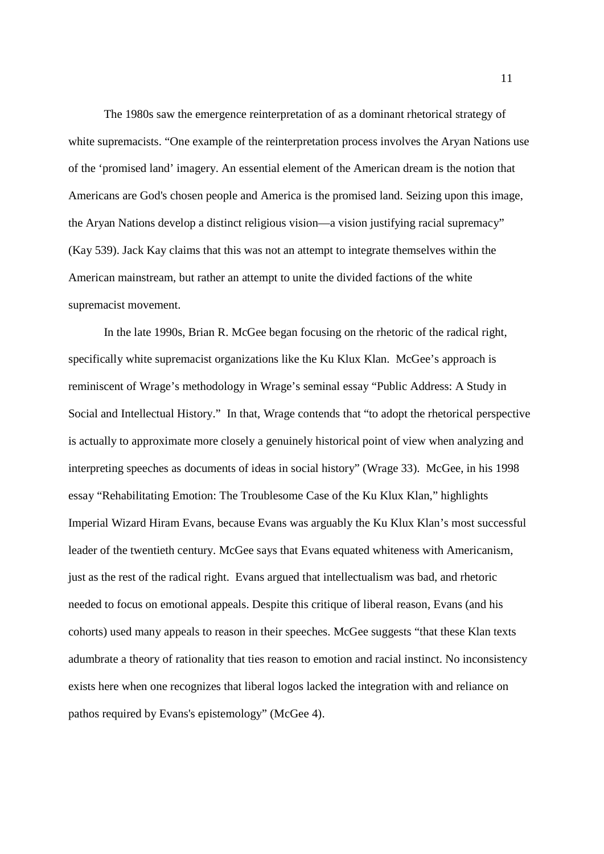The 1980s saw the emergence reinterpretation of as a dominant rhetorical strategy of white supremacists. "One example of the reinterpretation process involves the Aryan Nations use of the 'promised land' imagery. An essential element of the American dream is the notion that Americans are God's chosen people and America is the promised land. Seizing upon this image, the Aryan Nations develop a distinct religious vision—a vision justifying racial supremacy" (Kay 539). Jack Kay claims that this was not an attempt to integrate themselves within the American mainstream, but rather an attempt to unite the divided factions of the white supremacist movement.

In the late 1990s, Brian R. McGee began focusing on the rhetoric of the radical right, specifically white supremacist organizations like the Ku Klux Klan. McGee's approach is reminiscent of Wrage's methodology in Wrage's seminal essay "Public Address: A Study in Social and Intellectual History." In that, Wrage contends that "to adopt the rhetorical perspective is actually to approximate more closely a genuinely historical point of view when analyzing and interpreting speeches as documents of ideas in social history" (Wrage 33). McGee, in his 1998 essay "Rehabilitating Emotion: The Troublesome Case of the Ku Klux Klan," highlights Imperial Wizard Hiram Evans, because Evans was arguably the Ku Klux Klan's most successful leader of the twentieth century. McGee says that Evans equated whiteness with Americanism, just as the rest of the radical right. Evans argued that intellectualism was bad, and rhetoric needed to focus on emotional appeals. Despite this critique of liberal reason, Evans (and his cohorts) used many appeals to reason in their speeches. McGee suggests "that these Klan texts adumbrate a theory of rationality that ties reason to emotion and racial instinct. No inconsistency exists here when one recognizes that liberal logos lacked the integration with and reliance on pathos required by Evans's epistemology" (McGee 4).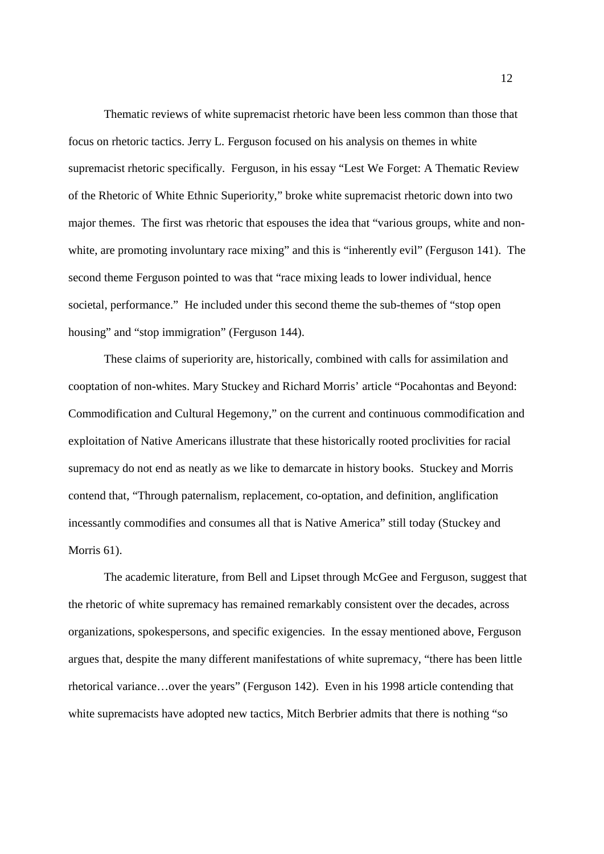Thematic reviews of white supremacist rhetoric have been less common than those that focus on rhetoric tactics. Jerry L. Ferguson focused on his analysis on themes in white supremacist rhetoric specifically. Ferguson, in his essay "Lest We Forget: A Thematic Review of the Rhetoric of White Ethnic Superiority," broke white supremacist rhetoric down into two major themes. The first was rhetoric that espouses the idea that "various groups, white and nonwhite, are promoting involuntary race mixing" and this is "inherently evil" (Ferguson 141). The second theme Ferguson pointed to was that "race mixing leads to lower individual, hence societal, performance." He included under this second theme the sub-themes of "stop open housing" and "stop immigration" (Ferguson 144).

These claims of superiority are, historically, combined with calls for assimilation and cooptation of non-whites. Mary Stuckey and Richard Morris' article "Pocahontas and Beyond: Commodification and Cultural Hegemony," on the current and continuous commodification and exploitation of Native Americans illustrate that these historically rooted proclivities for racial supremacy do not end as neatly as we like to demarcate in history books. Stuckey and Morris contend that, "Through paternalism, replacement, co-optation, and definition, anglification incessantly commodifies and consumes all that is Native America" still today (Stuckey and Morris 61).

The academic literature, from Bell and Lipset through McGee and Ferguson, suggest that the rhetoric of white supremacy has remained remarkably consistent over the decades, across organizations, spokespersons, and specific exigencies. In the essay mentioned above, Ferguson argues that, despite the many different manifestations of white supremacy, "there has been little rhetorical variance…over the years" (Ferguson 142). Even in his 1998 article contending that white supremacists have adopted new tactics, Mitch Berbrier admits that there is nothing "so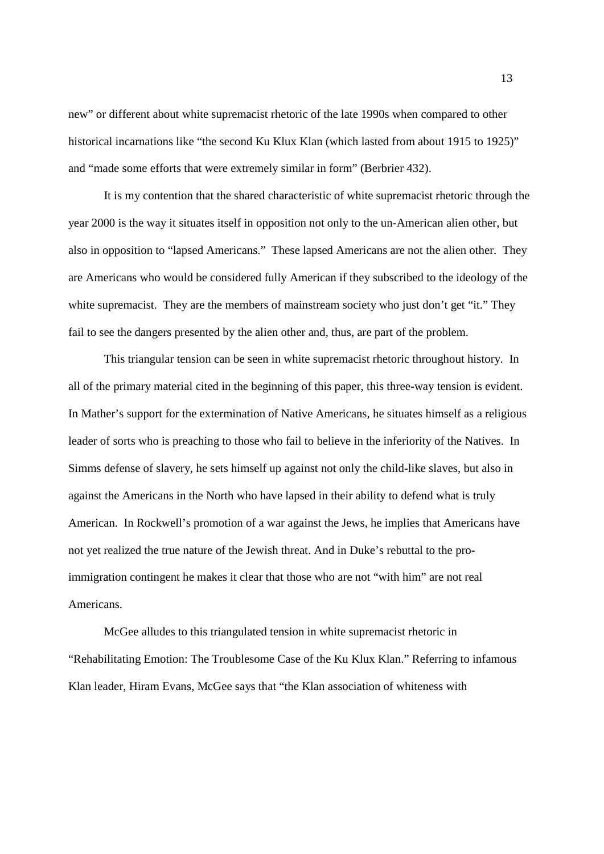new" or different about white supremacist rhetoric of the late 1990s when compared to other historical incarnations like "the second Ku Klux Klan (which lasted from about 1915 to 1925)" and "made some efforts that were extremely similar in form" (Berbrier 432).

It is my contention that the shared characteristic of white supremacist rhetoric through the year 2000 is the way it situates itself in opposition not only to the un-American alien other, but also in opposition to "lapsed Americans." These lapsed Americans are not the alien other. They are Americans who would be considered fully American if they subscribed to the ideology of the white supremacist. They are the members of mainstream society who just don't get "it." They fail to see the dangers presented by the alien other and, thus, are part of the problem.

This triangular tension can be seen in white supremacist rhetoric throughout history. In all of the primary material cited in the beginning of this paper, this three-way tension is evident. In Mather's support for the extermination of Native Americans, he situates himself as a religious leader of sorts who is preaching to those who fail to believe in the inferiority of the Natives. In Simms defense of slavery, he sets himself up against not only the child-like slaves, but also in against the Americans in the North who have lapsed in their ability to defend what is truly American. In Rockwell's promotion of a war against the Jews, he implies that Americans have not yet realized the true nature of the Jewish threat. And in Duke's rebuttal to the proimmigration contingent he makes it clear that those who are not "with him" are not real Americans.

McGee alludes to this triangulated tension in white supremacist rhetoric in "Rehabilitating Emotion: The Troublesome Case of the Ku Klux Klan." Referring to infamous Klan leader, Hiram Evans, McGee says that "the Klan association of whiteness with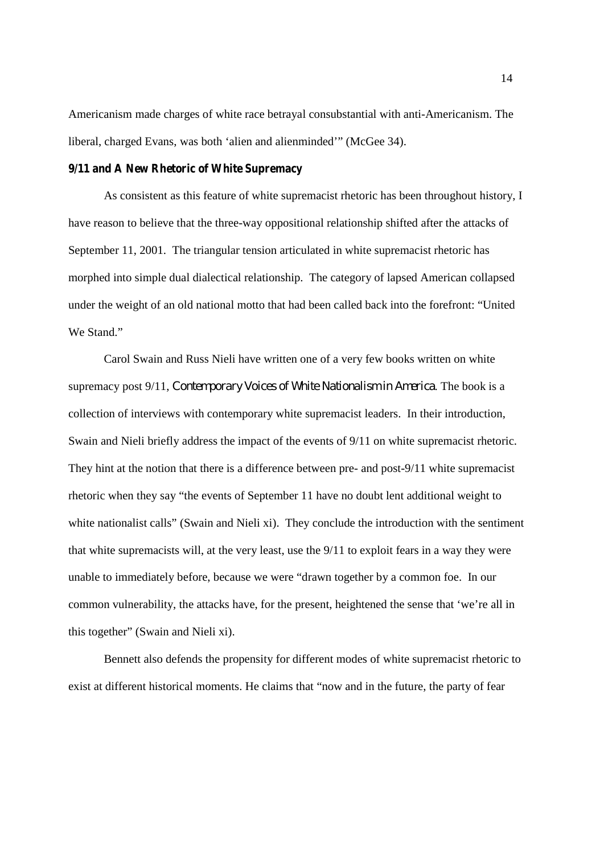Americanism made charges of white race betrayal consubstantial with anti-Americanism. The liberal, charged Evans, was both 'alien and alienminded'" (McGee 34).

#### **9/11 and A New Rhetoric of White Supremacy**

As consistent as this feature of white supremacist rhetoric has been throughout history, I have reason to believe that the three-way oppositional relationship shifted after the attacks of September 11, 2001. The triangular tension articulated in white supremacist rhetoric has morphed into simple dual dialectical relationship. The category of lapsed American collapsed under the weight of an old national motto that had been called back into the forefront: "United We Stand."

Carol Swain and Russ Nieli have written one of a very few books written on white supremacy post 9/11, *Contemporary Voices of White Nationalism in America*. The book is a collection of interviews with contemporary white supremacist leaders. In their introduction, Swain and Nieli briefly address the impact of the events of 9/11 on white supremacist rhetoric. They hint at the notion that there is a difference between pre- and post-9/11 white supremacist rhetoric when they say "the events of September 11 have no doubt lent additional weight to white nationalist calls" (Swain and Nieli xi). They conclude the introduction with the sentiment that white supremacists will, at the very least, use the 9/11 to exploit fears in a way they were unable to immediately before, because we were "drawn together by a common foe. In our common vulnerability, the attacks have, for the present, heightened the sense that 'we're all in this together" (Swain and Nieli xi).

Bennett also defends the propensity for different modes of white supremacist rhetoric to exist at different historical moments. He claims that "now and in the future, the party of fear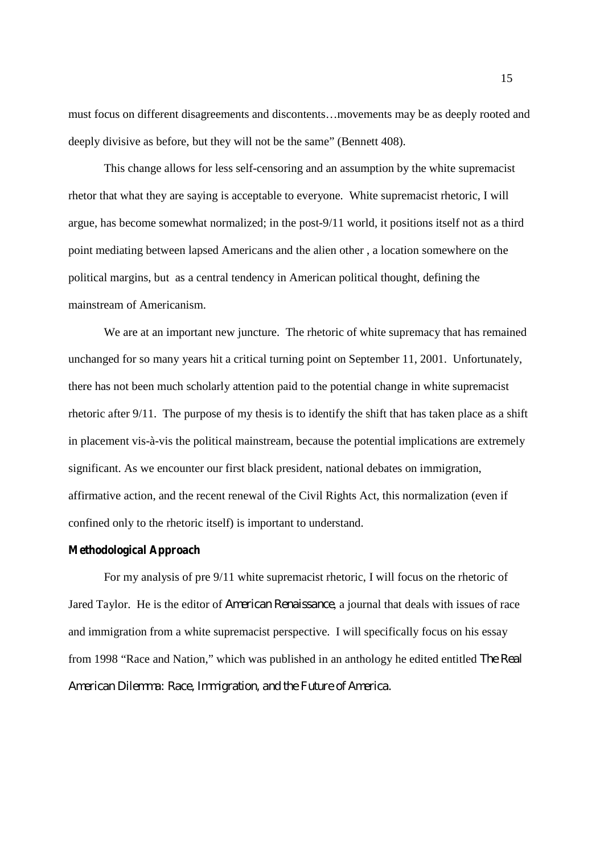must focus on different disagreements and discontents…movements may be as deeply rooted and deeply divisive as before, but they will not be the same" (Bennett 408).

This change allows for less self-censoring and an assumption by the white supremacist rhetor that what they are saying is acceptable to everyone. White supremacist rhetoric, I will argue, has become somewhat normalized; in the post-9/11 world, it positions itself not as a third point mediating between lapsed Americans and the alien other , a location somewhere on the political margins, but as a central tendency in American political thought, defining the mainstream of Americanism.

We are at an important new juncture. The rhetoric of white supremacy that has remained unchanged for so many years hit a critical turning point on September 11, 2001. Unfortunately, there has not been much scholarly attention paid to the potential change in white supremacist rhetoric after 9/11. The purpose of my thesis is to identify the shift that has taken place as a shift in placement vis-à-vis the political mainstream, because the potential implications are extremely significant. As we encounter our first black president, national debates on immigration, affirmative action, and the recent renewal of the Civil Rights Act, this normalization (even if confined only to the rhetoric itself) is important to understand.

#### **Methodological Approach**

For my analysis of pre 9/11 white supremacist rhetoric, I will focus on the rhetoric of Jared Taylor. He is the editor of *American Renaissance*, a journal that deals with issues of race and immigration from a white supremacist perspective. I will specifically focus on his essay from 1998 "Race and Nation," which was published in an anthology he edited entitled *The Real American Dilemma: Race, Immigration, and the Future of America.*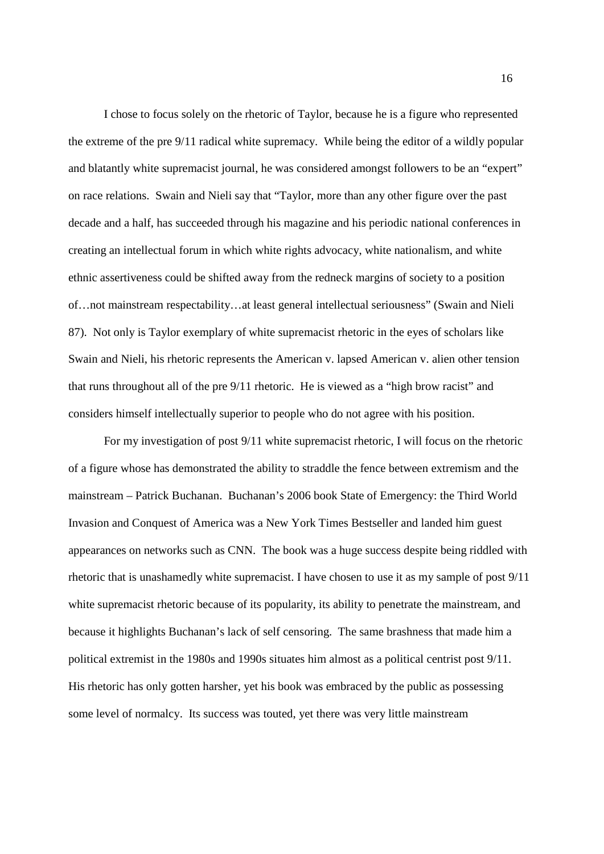I chose to focus solely on the rhetoric of Taylor, because he is a figure who represented the extreme of the pre 9/11 radical white supremacy. While being the editor of a wildly popular and blatantly white supremacist journal, he was considered amongst followers to be an "expert" on race relations. Swain and Nieli say that "Taylor, more than any other figure over the past decade and a half, has succeeded through his magazine and his periodic national conferences in creating an intellectual forum in which white rights advocacy, white nationalism, and white ethnic assertiveness could be shifted away from the redneck margins of society to a position of…not mainstream respectability…at least general intellectual seriousness" (Swain and Nieli 87). Not only is Taylor exemplary of white supremacist rhetoric in the eyes of scholars like Swain and Nieli, his rhetoric represents the American v. lapsed American v. alien other tension that runs throughout all of the pre 9/11 rhetoric. He is viewed as a "high brow racist" and considers himself intellectually superior to people who do not agree with his position.

For my investigation of post 9/11 white supremacist rhetoric, I will focus on the rhetoric of a figure whose has demonstrated the ability to straddle the fence between extremism and the mainstream – Patrick Buchanan. Buchanan's 2006 book State of Emergency: the Third World Invasion and Conquest of America was a New York Times Bestseller and landed him guest appearances on networks such as CNN. The book was a huge success despite being riddled with rhetoric that is unashamedly white supremacist. I have chosen to use it as my sample of post 9/11 white supremacist rhetoric because of its popularity, its ability to penetrate the mainstream, and because it highlights Buchanan's lack of self censoring. The same brashness that made him a political extremist in the 1980s and 1990s situates him almost as a political centrist post 9/11. His rhetoric has only gotten harsher, yet his book was embraced by the public as possessing some level of normalcy. Its success was touted, yet there was very little mainstream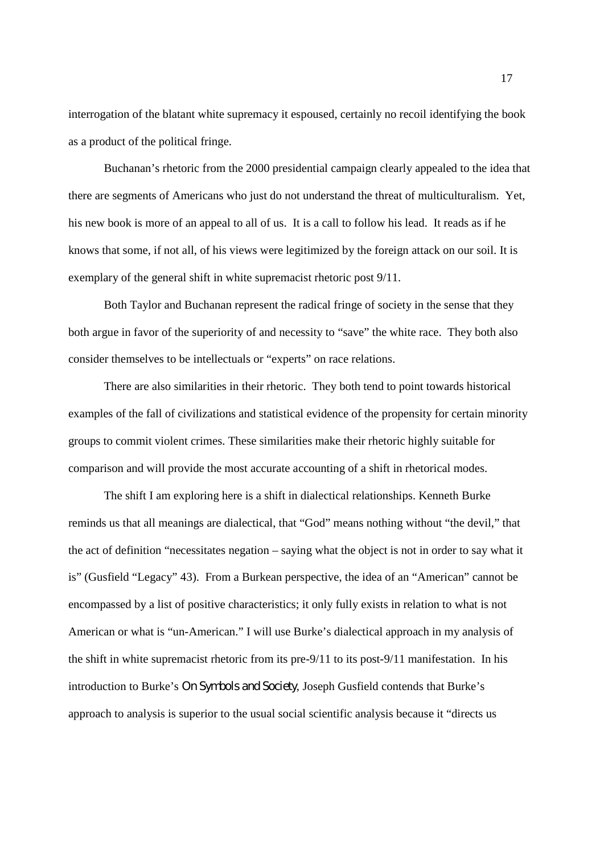interrogation of the blatant white supremacy it espoused, certainly no recoil identifying the book as a product of the political fringe.

Buchanan's rhetoric from the 2000 presidential campaign clearly appealed to the idea that there are segments of Americans who just do not understand the threat of multiculturalism. Yet, his new book is more of an appeal to all of us. It is a call to follow his lead. It reads as if he knows that some, if not all, of his views were legitimized by the foreign attack on our soil. It is exemplary of the general shift in white supremacist rhetoric post 9/11.

Both Taylor and Buchanan represent the radical fringe of society in the sense that they both argue in favor of the superiority of and necessity to "save" the white race. They both also consider themselves to be intellectuals or "experts" on race relations.

There are also similarities in their rhetoric. They both tend to point towards historical examples of the fall of civilizations and statistical evidence of the propensity for certain minority groups to commit violent crimes. These similarities make their rhetoric highly suitable for comparison and will provide the most accurate accounting of a shift in rhetorical modes.

The shift I am exploring here is a shift in dialectical relationships. Kenneth Burke reminds us that all meanings are dialectical, that "God" means nothing without "the devil," that the act of definition "necessitates negation – saying what the object is not in order to say what it is" (Gusfield "Legacy" 43). From a Burkean perspective, the idea of an "American" cannot be encompassed by a list of positive characteristics; it only fully exists in relation to what is not American or what is "un-American." I will use Burke's dialectical approach in my analysis of the shift in white supremacist rhetoric from its pre-9/11 to its post-9/11 manifestation. In his introduction to Burke's *On Symbols and Society*, Joseph Gusfield contends that Burke's approach to analysis is superior to the usual social scientific analysis because it "directs us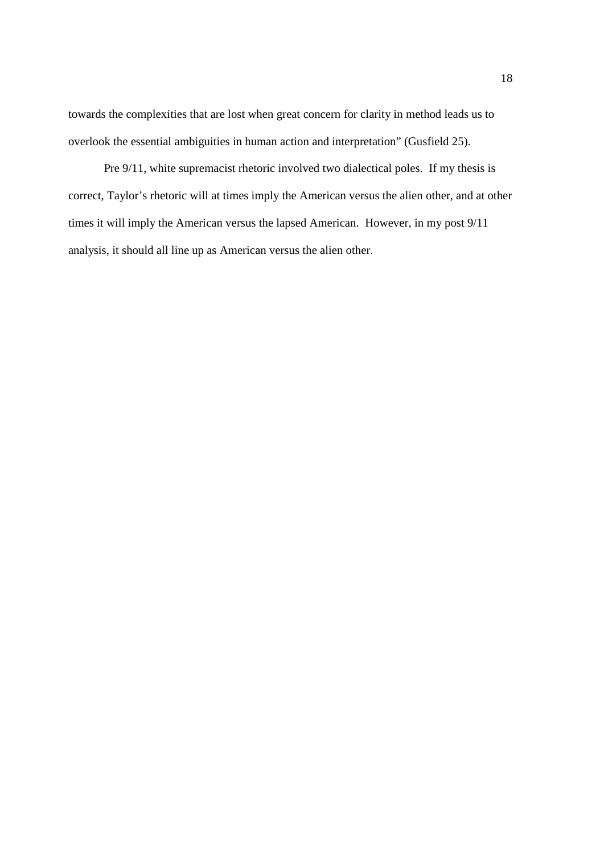towards the complexities that are lost when great concern for clarity in method leads us to overlook the essential ambiguities in human action and interpretation" (Gusfield 25).

Pre 9/11, white supremacist rhetoric involved two dialectical poles. If my thesis is correct, Taylor's rhetoric will at times imply the American versus the alien other, and at other times it will imply the American versus the lapsed American. However, in my post 9/11 analysis, it should all line up as American versus the alien other.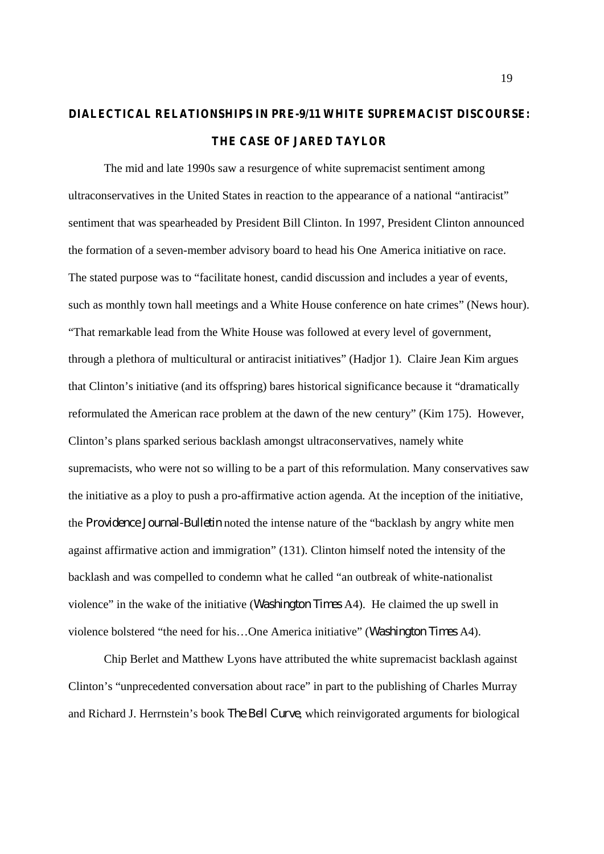## **DIALECTICAL RELATIONSHIPS IN PRE-9/11 WHITE SUPREMACIST DISCOURSE: THE CASE OF JARED TAYLOR**

The mid and late 1990s saw a resurgence of white supremacist sentiment among ultraconservatives in the United States in reaction to the appearance of a national "antiracist" sentiment that was spearheaded by President Bill Clinton. In 1997, President Clinton announced the formation of a seven-member advisory board to head his One America initiative on race. The stated purpose was to "facilitate honest, candid discussion and includes a year of events, such as monthly town hall meetings and a White House conference on hate crimes" (News hour). "That remarkable lead from the White House was followed at every level of government, through a plethora of multicultural or antiracist initiatives" (Hadjor 1). Claire Jean Kim argues that Clinton's initiative (and its offspring) bares historical significance because it "dramatically reformulated the American race problem at the dawn of the new century" (Kim 175). However, Clinton's plans sparked serious backlash amongst ultraconservatives, namely white supremacists, who were not so willing to be a part of this reformulation. Many conservatives saw the initiative as a ploy to push a pro-affirmative action agenda. At the inception of the initiative, the *Providence Journal-Bulletin* noted the intense nature of the "backlash by angry white men against affirmative action and immigration" (131). Clinton himself noted the intensity of the backlash and was compelled to condemn what he called "an outbreak of white-nationalist violence" in the wake of the initiative (*Washington Times* A4). He claimed the up swell in violence bolstered "the need for his…One America initiative" (*Washington Times* A4).

Chip Berlet and Matthew Lyons have attributed the white supremacist backlash against Clinton's "unprecedented conversation about race" in part to the publishing of Charles Murray and Richard J. Herrnstein's book *The Bell Curve*, which reinvigorated arguments for biological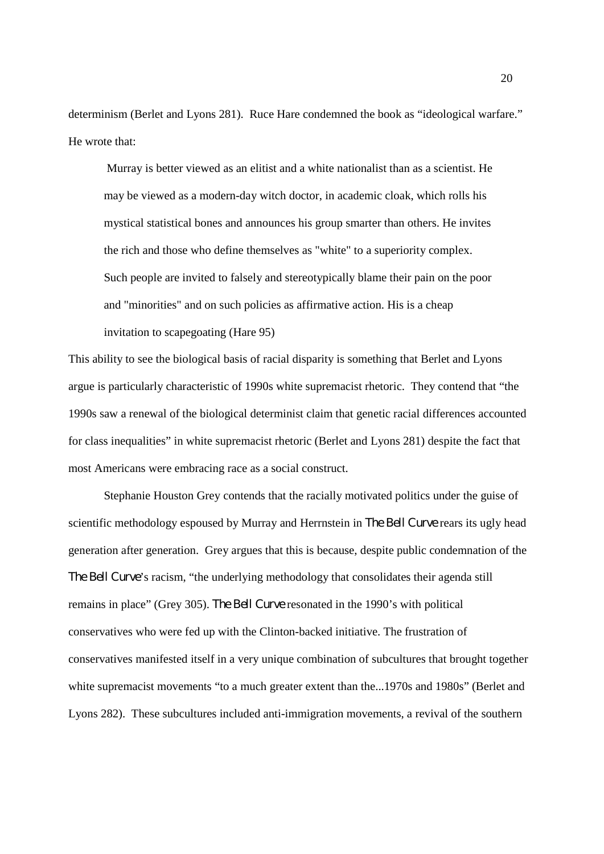determinism (Berlet and Lyons 281). Ruce Hare condemned the book as "ideological warfare." He wrote that:

Murray is better viewed as an elitist and a white nationalist than as a scientist. He may be viewed as a modern-day witch doctor, in academic cloak, which rolls his mystical statistical bones and announces his group smarter than others. He invites the rich and those who define themselves as "white" to a superiority complex. Such people are invited to falsely and stereotypically blame their pain on the poor and "minorities" and on such policies as affirmative action. His is a cheap invitation to scapegoating (Hare 95)

This ability to see the biological basis of racial disparity is something that Berlet and Lyons argue is particularly characteristic of 1990s white supremacist rhetoric. They contend that "the 1990s saw a renewal of the biological determinist claim that genetic racial differences accounted for class inequalities" in white supremacist rhetoric (Berlet and Lyons 281) despite the fact that most Americans were embracing race as a social construct.

Stephanie Houston Grey contends that the racially motivated politics under the guise of scientific methodology espoused by Murray and Herrnstein in *The Bell Curve* rears its ugly head generation after generation. Grey argues that this is because, despite public condemnation of the *The Bell Curve*'s racism, "the underlying methodology that consolidates their agenda still remains in place" (Grey 305). *The Bell Curve* resonated in the 1990's with political conservatives who were fed up with the Clinton-backed initiative. The frustration of conservatives manifested itself in a very unique combination of subcultures that brought together white supremacist movements "to a much greater extent than the...1970s and 1980s" (Berlet and Lyons 282). These subcultures included anti-immigration movements, a revival of the southern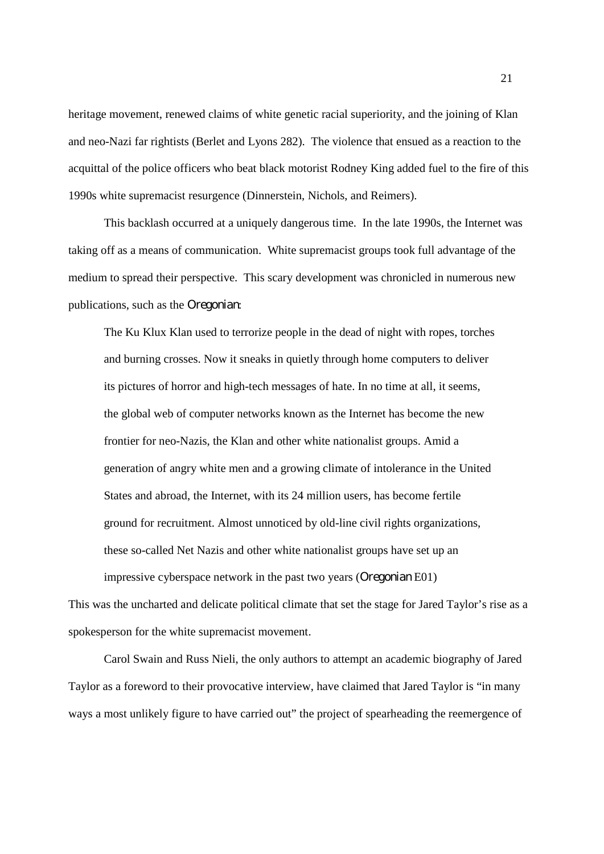heritage movement, renewed claims of white genetic racial superiority, and the joining of Klan and neo-Nazi far rightists (Berlet and Lyons 282). The violence that ensued as a reaction to the acquittal of the police officers who beat black motorist Rodney King added fuel to the fire of this 1990s white supremacist resurgence (Dinnerstein, Nichols, and Reimers).

This backlash occurred at a uniquely dangerous time. In the late 1990s, the Internet was taking off as a means of communication. White supremacist groups took full advantage of the medium to spread their perspective. This scary development was chronicled in numerous new publications, such as the *Oregonian*:

The Ku Klux Klan used to terrorize people in the dead of night with ropes, torches and burning crosses. Now it sneaks in quietly through home computers to deliver its pictures of horror and high-tech messages of hate. In no time at all, it seems, the global web of computer networks known as the Internet has become the new frontier for neo-Nazis, the Klan and other white nationalist groups. Amid a generation of angry white men and a growing climate of intolerance in the United States and abroad, the Internet, with its 24 million users, has become fertile ground for recruitment. Almost unnoticed by old-line civil rights organizations, these so-called Net Nazis and other white nationalist groups have set up an impressive cyberspace network in the past two years (*Oregonian* E01)

This was the uncharted and delicate political climate that set the stage for Jared Taylor's rise as a spokesperson for the white supremacist movement.

Carol Swain and Russ Nieli, the only authors to attempt an academic biography of Jared Taylor as a foreword to their provocative interview, have claimed that Jared Taylor is "in many ways a most unlikely figure to have carried out" the project of spearheading the reemergence of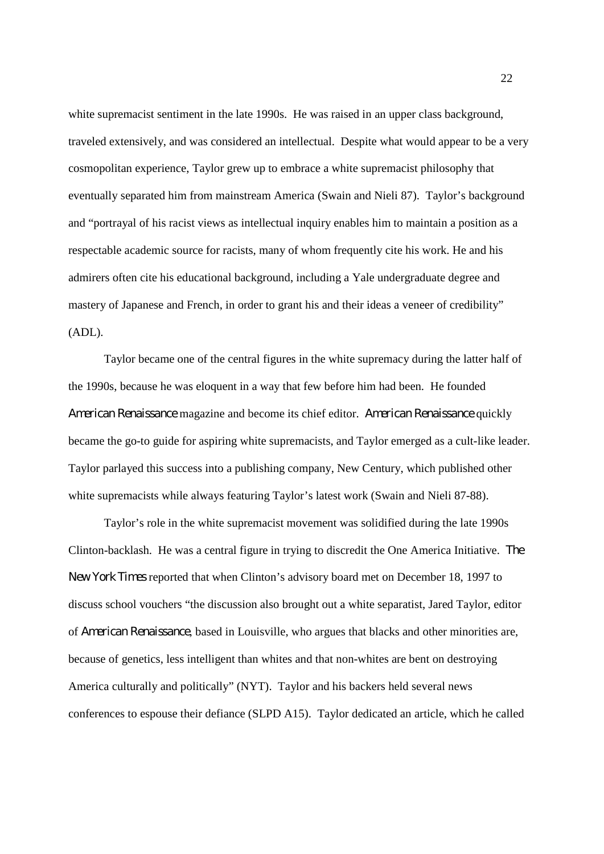white supremacist sentiment in the late 1990s. He was raised in an upper class background, traveled extensively, and was considered an intellectual. Despite what would appear to be a very cosmopolitan experience, Taylor grew up to embrace a white supremacist philosophy that eventually separated him from mainstream America (Swain and Nieli 87). Taylor's background and "portrayal of his racist views as intellectual inquiry enables him to maintain a position as a respectable academic source for racists, many of whom frequently cite his work. He and his admirers often cite his educational background, including a Yale undergraduate degree and mastery of Japanese and French, in order to grant his and their ideas a veneer of credibility" (ADL).

Taylor became one of the central figures in the white supremacy during the latter half of the 1990s, because he was eloquent in a way that few before him had been. He founded *American Renaissance* magazine and become its chief editor. *American Renaissance* quickly became the go-to guide for aspiring white supremacists, and Taylor emerged as a cult-like leader. Taylor parlayed this success into a publishing company, New Century, which published other white supremacists while always featuring Taylor's latest work (Swain and Nieli 87-88).

Taylor's role in the white supremacist movement was solidified during the late 1990s Clinton-backlash. He was a central figure in trying to discredit the One America Initiative. *The New York Times* reported that when Clinton's advisory board met on December 18, 1997 to discuss school vouchers "the discussion also brought out a white separatist, Jared Taylor, editor of *American Renaissance*, based in Louisville, who argues that blacks and other minorities are, because of genetics, less intelligent than whites and that non-whites are bent on destroying America culturally and politically" (NYT). Taylor and his backers held several news conferences to espouse their defiance (SLPD A15). Taylor dedicated an article, which he called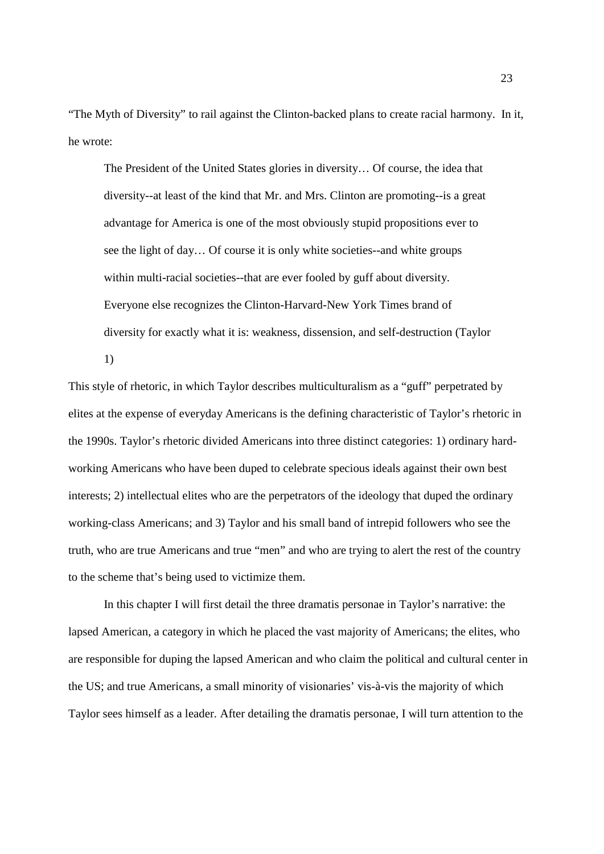"The Myth of Diversity" to rail against the Clinton-backed plans to create racial harmony. In it, he wrote:

The President of the United States glories in diversity… Of course, the idea that diversity--at least of the kind that Mr. and Mrs. Clinton are promoting--is a great advantage for America is one of the most obviously stupid propositions ever to see the light of day… Of course it is only white societies--and white groups within multi-racial societies--that are ever fooled by guff about diversity. Everyone else recognizes the Clinton-Harvard-New York Times brand of diversity for exactly what it is: weakness, dissension, and self-destruction (Taylor

1)

This style of rhetoric, in which Taylor describes multiculturalism as a "guff" perpetrated by elites at the expense of everyday Americans is the defining characteristic of Taylor's rhetoric in the 1990s. Taylor's rhetoric divided Americans into three distinct categories: 1) ordinary hardworking Americans who have been duped to celebrate specious ideals against their own best interests; 2) intellectual elites who are the perpetrators of the ideology that duped the ordinary working-class Americans; and 3) Taylor and his small band of intrepid followers who see the truth, who are true Americans and true "men" and who are trying to alert the rest of the country to the scheme that's being used to victimize them.

In this chapter I will first detail the three dramatis personae in Taylor's narrative: the lapsed American, a category in which he placed the vast majority of Americans; the elites, who are responsible for duping the lapsed American and who claim the political and cultural center in the US; and true Americans, a small minority of visionaries' vis-à-vis the majority of which Taylor sees himself as a leader. After detailing the dramatis personae, I will turn attention to the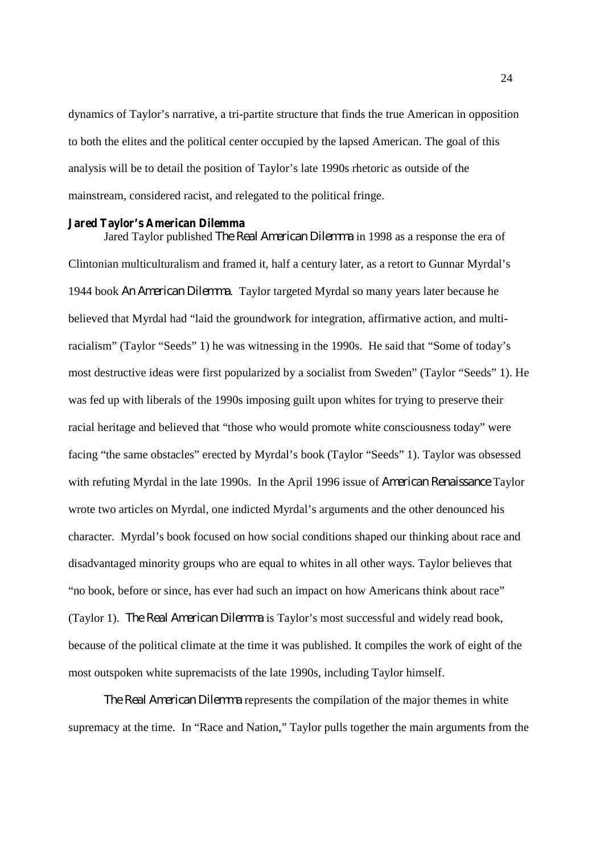dynamics of Taylor's narrative, a tri-partite structure that finds the true American in opposition to both the elites and the political center occupied by the lapsed American. The goal of this analysis will be to detail the position of Taylor's late 1990s rhetoric as outside of the mainstream, considered racist, and relegated to the political fringe.

#### **Jared Taylor's American Dilemma**

Jared Taylor published *The Real American Dilemma* in 1998 as a response the era of Clintonian multiculturalism and framed it, half a century later, as a retort to Gunnar Myrdal's 1944 book *An American Dilemma*. Taylor targeted Myrdal so many years later because he believed that Myrdal had "laid the groundwork for integration, affirmative action, and multiracialism" (Taylor "Seeds" 1) he was witnessing in the 1990s. He said that "Some of today's most destructive ideas were first popularized by a socialist from Sweden" (Taylor "Seeds" 1). He was fed up with liberals of the 1990s imposing guilt upon whites for trying to preserve their racial heritage and believed that "those who would promote white consciousness today" were facing "the same obstacles" erected by Myrdal's book (Taylor "Seeds" 1). Taylor was obsessed with refuting Myrdal in the late 1990s. In the April 1996 issue of *American Renaissance* Taylor wrote two articles on Myrdal, one indicted Myrdal's arguments and the other denounced his character. Myrdal's book focused on how social conditions shaped our thinking about race and disadvantaged minority groups who are equal to whites in all other ways. Taylor believes that "no book, before or since, has ever had such an impact on how Americans think about race" (Taylor 1). *The Real American Dilemma* is Taylor's most successful and widely read book, because of the political climate at the time it was published. It compiles the work of eight of the most outspoken white supremacists of the late 1990s, including Taylor himself.

*The Real American Dilemma* represents the compilation of the major themes in white supremacy at the time. In "Race and Nation," Taylor pulls together the main arguments from the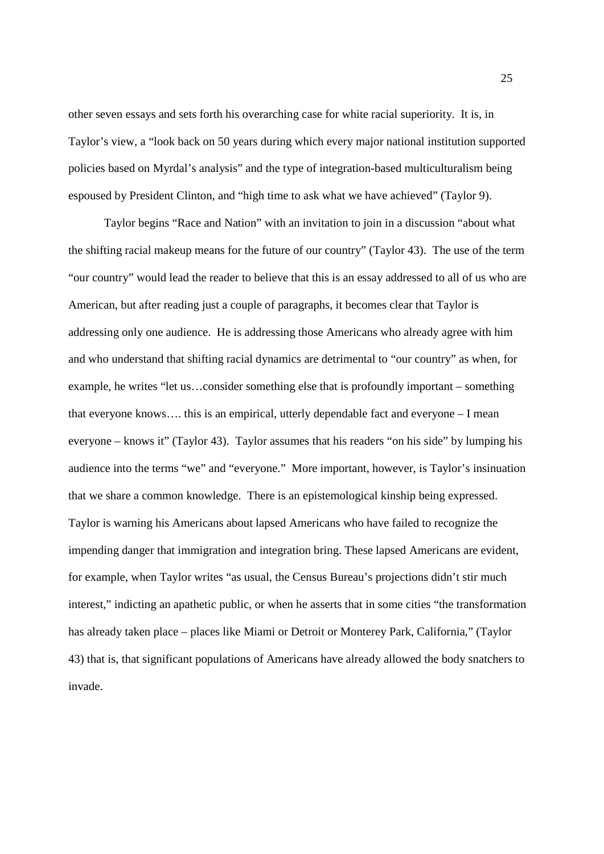other seven essays and sets forth his overarching case for white racial superiority. It is, in Taylor's view, a "look back on 50 years during which every major national institution supported policies based on Myrdal's analysis" and the type of integration-based multiculturalism being espoused by President Clinton, and "high time to ask what we have achieved" (Taylor 9).

Taylor begins "Race and Nation" with an invitation to join in a discussion "about what the shifting racial makeup means for the future of our country" (Taylor 43). The use of the term "our country" would lead the reader to believe that this is an essay addressed to all of us who are American, but after reading just a couple of paragraphs, it becomes clear that Taylor is addressing only one audience. He is addressing those Americans who already agree with him and who understand that shifting racial dynamics are detrimental to "our country" as when, for example, he writes "let us…consider something else that is profoundly important – something that everyone knows…. this is an empirical, utterly dependable fact and everyone – I mean everyone – knows it" (Taylor 43). Taylor assumes that his readers "on his side" by lumping his audience into the terms "we" and "everyone." More important, however, is Taylor's insinuation that we share a common knowledge. There is an epistemological kinship being expressed. Taylor is warning his Americans about lapsed Americans who have failed to recognize the impending danger that immigration and integration bring. These lapsed Americans are evident, for example, when Taylor writes "as usual, the Census Bureau's projections didn't stir much interest," indicting an apathetic public, or when he asserts that in some cities "the transformation has already taken place – places like Miami or Detroit or Monterey Park, California," (Taylor 43) that is, that significant populations of Americans have already allowed the body snatchers to invade.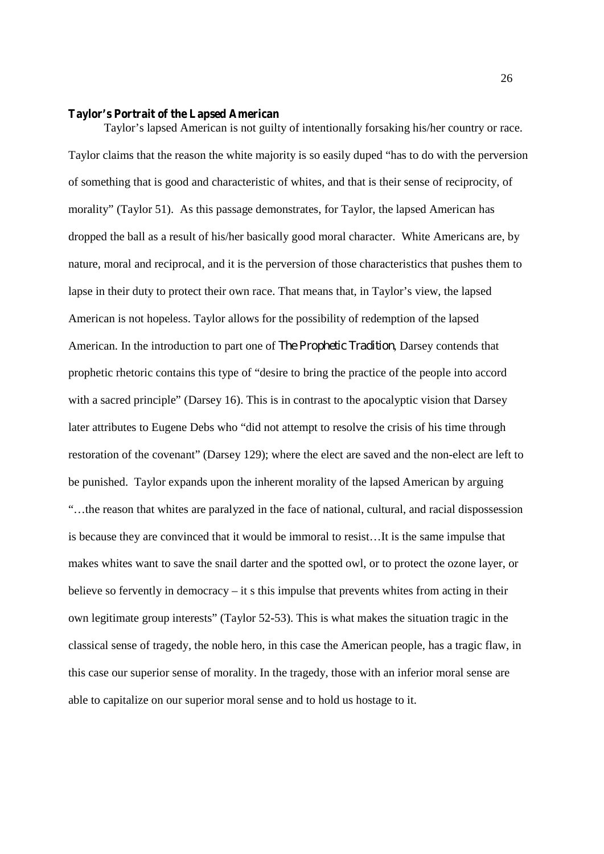#### **Taylor's Portrait of the Lapsed American**

Taylor's lapsed American is not guilty of intentionally forsaking his/her country or race. Taylor claims that the reason the white majority is so easily duped "has to do with the perversion of something that is good and characteristic of whites, and that is their sense of reciprocity, of morality" (Taylor 51). As this passage demonstrates, for Taylor, the lapsed American has dropped the ball as a result of his/her basically good moral character. White Americans are, by nature, moral and reciprocal, and it is the perversion of those characteristics that pushes them to lapse in their duty to protect their own race. That means that, in Taylor's view, the lapsed American is not hopeless. Taylor allows for the possibility of redemption of the lapsed American. In the introduction to part one of *The Prophetic Tradition*, Darsey contends that prophetic rhetoric contains this type of "desire to bring the practice of the people into accord with a sacred principle" (Darsey 16). This is in contrast to the apocalyptic vision that Darsey later attributes to Eugene Debs who "did not attempt to resolve the crisis of his time through restoration of the covenant" (Darsey 129); where the elect are saved and the non-elect are left to be punished. Taylor expands upon the inherent morality of the lapsed American by arguing "…the reason that whites are paralyzed in the face of national, cultural, and racial dispossession is because they are convinced that it would be immoral to resist…It is the same impulse that makes whites want to save the snail darter and the spotted owl, or to protect the ozone layer, or believe so fervently in democracy – it s this impulse that prevents whites from acting in their own legitimate group interests" (Taylor 52-53). This is what makes the situation tragic in the classical sense of tragedy, the noble hero, in this case the American people, has a tragic flaw, in this case our superior sense of morality. In the tragedy, those with an inferior moral sense are able to capitalize on our superior moral sense and to hold us hostage to it.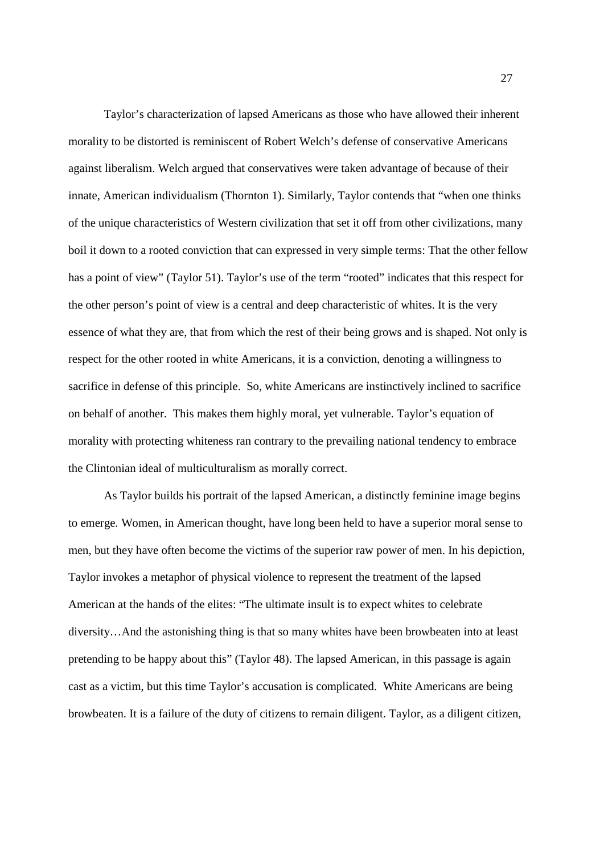Taylor's characterization of lapsed Americans as those who have allowed their inherent morality to be distorted is reminiscent of Robert Welch's defense of conservative Americans against liberalism. Welch argued that conservatives were taken advantage of because of their innate, American individualism (Thornton 1). Similarly, Taylor contends that "when one thinks of the unique characteristics of Western civilization that set it off from other civilizations, many boil it down to a rooted conviction that can expressed in very simple terms: That the other fellow has a point of view" (Taylor 51). Taylor's use of the term "rooted" indicates that this respect for the other person's point of view is a central and deep characteristic of whites. It is the very essence of what they are, that from which the rest of their being grows and is shaped. Not only is respect for the other rooted in white Americans, it is a conviction, denoting a willingness to sacrifice in defense of this principle. So, white Americans are instinctively inclined to sacrifice on behalf of another. This makes them highly moral, yet vulnerable. Taylor's equation of morality with protecting whiteness ran contrary to the prevailing national tendency to embrace the Clintonian ideal of multiculturalism as morally correct.

As Taylor builds his portrait of the lapsed American, a distinctly feminine image begins to emerge. Women, in American thought, have long been held to have a superior moral sense to men, but they have often become the victims of the superior raw power of men. In his depiction, Taylor invokes a metaphor of physical violence to represent the treatment of the lapsed American at the hands of the elites: "The ultimate insult is to expect whites to celebrate diversity…And the astonishing thing is that so many whites have been browbeaten into at least pretending to be happy about this" (Taylor 48). The lapsed American, in this passage is again cast as a victim, but this time Taylor's accusation is complicated. White Americans are being browbeaten. It is a failure of the duty of citizens to remain diligent. Taylor, as a diligent citizen,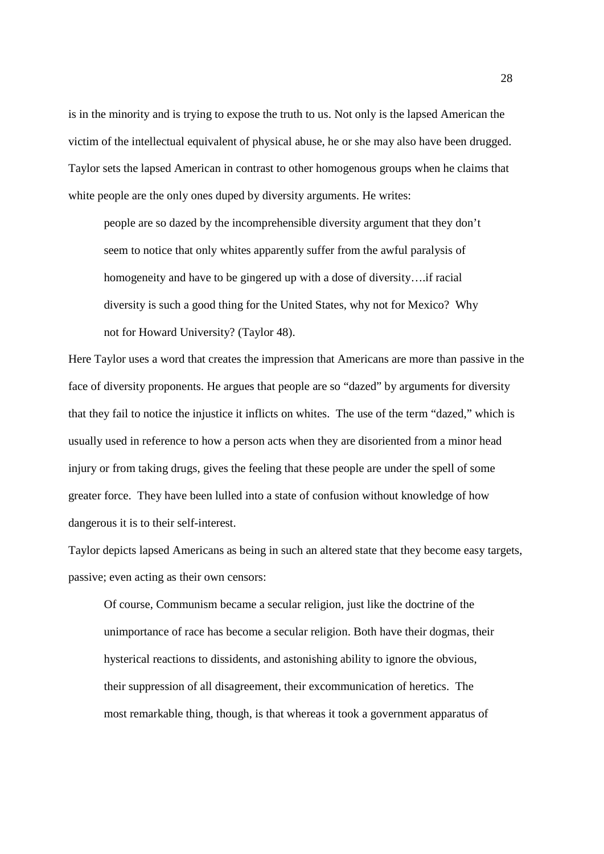is in the minority and is trying to expose the truth to us. Not only is the lapsed American the victim of the intellectual equivalent of physical abuse, he or she may also have been drugged. Taylor sets the lapsed American in contrast to other homogenous groups when he claims that white people are the only ones duped by diversity arguments. He writes:

people are so dazed by the incomprehensible diversity argument that they don't seem to notice that only whites apparently suffer from the awful paralysis of homogeneity and have to be gingered up with a dose of diversity….if racial diversity is such a good thing for the United States, why not for Mexico? Why not for Howard University? (Taylor 48).

Here Taylor uses a word that creates the impression that Americans are more than passive in the face of diversity proponents. He argues that people are so "dazed" by arguments for diversity that they fail to notice the injustice it inflicts on whites. The use of the term "dazed," which is usually used in reference to how a person acts when they are disoriented from a minor head injury or from taking drugs, gives the feeling that these people are under the spell of some greater force. They have been lulled into a state of confusion without knowledge of how dangerous it is to their self-interest.

Taylor depicts lapsed Americans as being in such an altered state that they become easy targets, passive; even acting as their own censors:

Of course, Communism became a secular religion, just like the doctrine of the unimportance of race has become a secular religion. Both have their dogmas, their hysterical reactions to dissidents, and astonishing ability to ignore the obvious, their suppression of all disagreement, their excommunication of heretics. The most remarkable thing, though, is that whereas it took a government apparatus of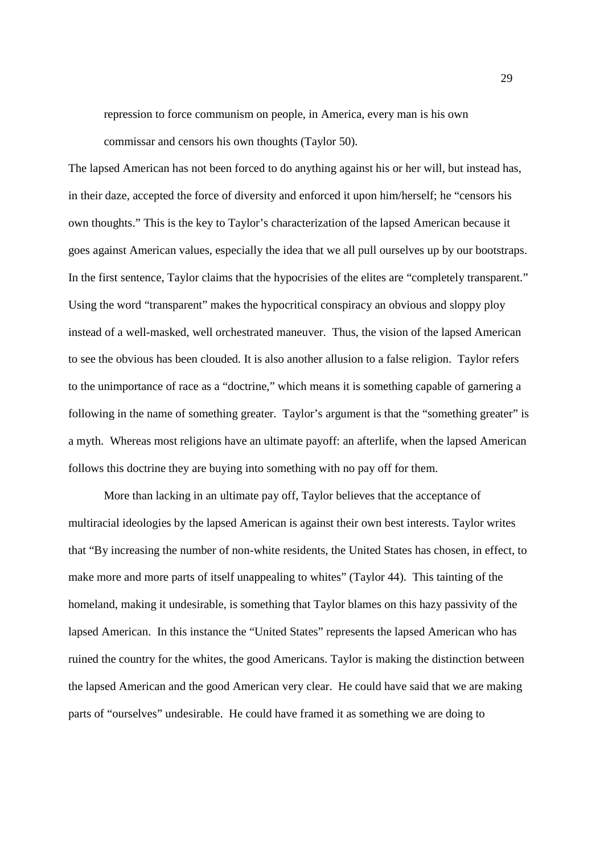repression to force communism on people, in America, every man is his own commissar and censors his own thoughts (Taylor 50).

The lapsed American has not been forced to do anything against his or her will, but instead has, in their daze, accepted the force of diversity and enforced it upon him/herself; he "censors his own thoughts." This is the key to Taylor's characterization of the lapsed American because it goes against American values, especially the idea that we all pull ourselves up by our bootstraps. In the first sentence, Taylor claims that the hypocrisies of the elites are "completely transparent." Using the word "transparent" makes the hypocritical conspiracy an obvious and sloppy ploy instead of a well-masked, well orchestrated maneuver. Thus, the vision of the lapsed American to see the obvious has been clouded. It is also another allusion to a false religion. Taylor refers to the unimportance of race as a "doctrine," which means it is something capable of garnering a following in the name of something greater. Taylor's argument is that the "something greater" is a myth. Whereas most religions have an ultimate payoff: an afterlife, when the lapsed American follows this doctrine they are buying into something with no pay off for them.

More than lacking in an ultimate pay off, Taylor believes that the acceptance of multiracial ideologies by the lapsed American is against their own best interests. Taylor writes that "By increasing the number of non-white residents, the United States has chosen, in effect, to make more and more parts of itself unappealing to whites" (Taylor 44). This tainting of the homeland, making it undesirable, is something that Taylor blames on this hazy passivity of the lapsed American. In this instance the "United States" represents the lapsed American who has ruined the country for the whites, the good Americans. Taylor is making the distinction between the lapsed American and the good American very clear. He could have said that we are making parts of "ourselves" undesirable. He could have framed it as something we are doing to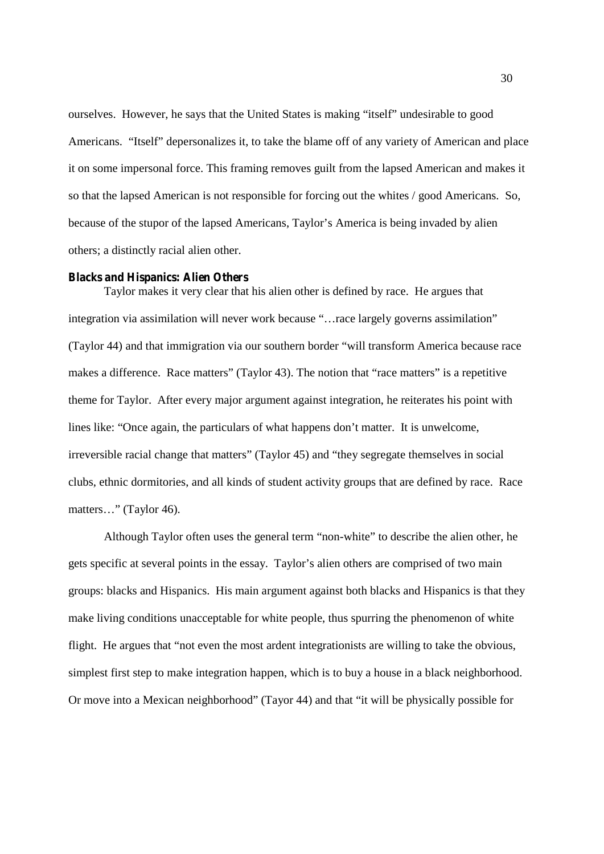ourselves. However, he says that the United States is making "itself" undesirable to good Americans. "Itself" depersonalizes it, to take the blame off of any variety of American and place it on some impersonal force. This framing removes guilt from the lapsed American and makes it so that the lapsed American is not responsible for forcing out the whites / good Americans. So, because of the stupor of the lapsed Americans, Taylor's America is being invaded by alien others; a distinctly racial alien other.

#### **Blacks and Hispanics: Alien Others**

Taylor makes it very clear that his alien other is defined by race. He argues that integration via assimilation will never work because "…race largely governs assimilation" (Taylor 44) and that immigration via our southern border "will transform America because race makes a difference. Race matters" (Taylor 43). The notion that "race matters" is a repetitive theme for Taylor. After every major argument against integration, he reiterates his point with lines like: "Once again, the particulars of what happens don't matter. It is unwelcome, irreversible racial change that matters" (Taylor 45) and "they segregate themselves in social clubs, ethnic dormitories, and all kinds of student activity groups that are defined by race. Race matters…" (Taylor 46).

Although Taylor often uses the general term "non-white" to describe the alien other, he gets specific at several points in the essay. Taylor's alien others are comprised of two main groups: blacks and Hispanics. His main argument against both blacks and Hispanics is that they make living conditions unacceptable for white people, thus spurring the phenomenon of white flight. He argues that "not even the most ardent integrationists are willing to take the obvious, simplest first step to make integration happen, which is to buy a house in a black neighborhood. Or move into a Mexican neighborhood" (Tayor 44) and that "it will be physically possible for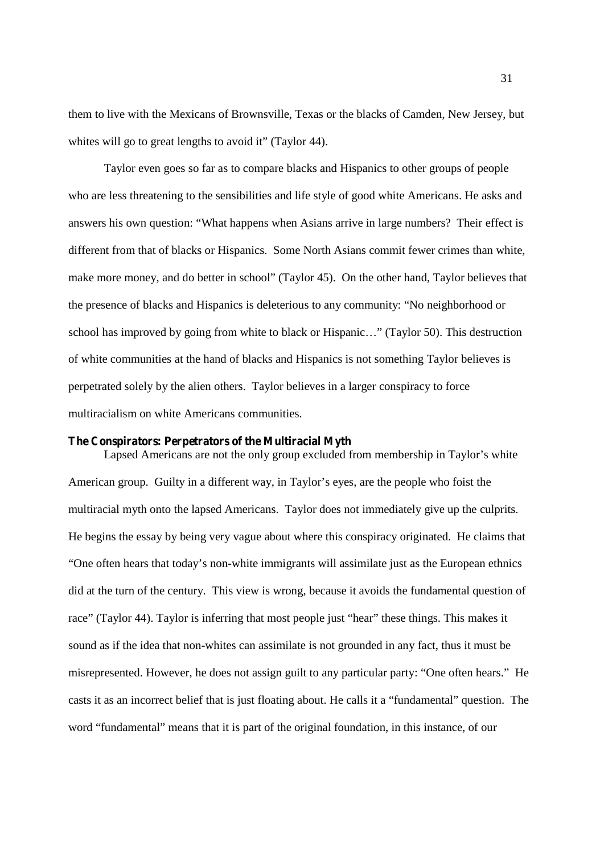them to live with the Mexicans of Brownsville, Texas or the blacks of Camden, New Jersey, but whites will go to great lengths to avoid it" (Taylor 44).

Taylor even goes so far as to compare blacks and Hispanics to other groups of people who are less threatening to the sensibilities and life style of good white Americans. He asks and answers his own question: "What happens when Asians arrive in large numbers? Their effect is different from that of blacks or Hispanics. Some North Asians commit fewer crimes than white, make more money, and do better in school" (Taylor 45). On the other hand, Taylor believes that the presence of blacks and Hispanics is deleterious to any community: "No neighborhood or school has improved by going from white to black or Hispanic…" (Taylor 50). This destruction of white communities at the hand of blacks and Hispanics is not something Taylor believes is perpetrated solely by the alien others. Taylor believes in a larger conspiracy to force multiracialism on white Americans communities.

#### **The Conspirators: Perpetrators of the Multiracial Myth**

Lapsed Americans are not the only group excluded from membership in Taylor's white American group. Guilty in a different way, in Taylor's eyes, are the people who foist the multiracial myth onto the lapsed Americans. Taylor does not immediately give up the culprits. He begins the essay by being very vague about where this conspiracy originated. He claims that "One often hears that today's non-white immigrants will assimilate just as the European ethnics did at the turn of the century. This view is wrong, because it avoids the fundamental question of race" (Taylor 44). Taylor is inferring that most people just "hear" these things. This makes it sound as if the idea that non-whites can assimilate is not grounded in any fact, thus it must be misrepresented. However, he does not assign guilt to any particular party: "One often hears." He casts it as an incorrect belief that is just floating about. He calls it a "fundamental" question. The word "fundamental" means that it is part of the original foundation, in this instance, of our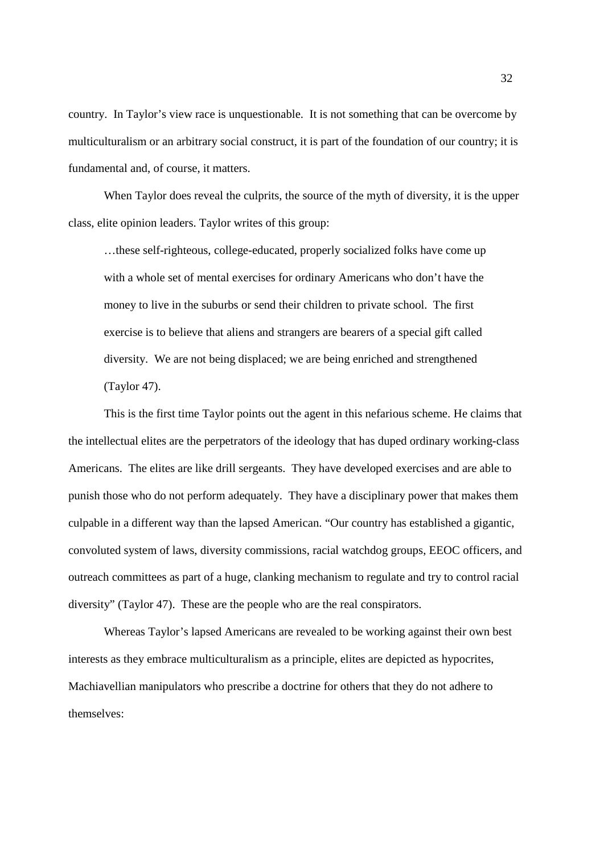country. In Taylor's view race is unquestionable. It is not something that can be overcome by multiculturalism or an arbitrary social construct, it is part of the foundation of our country; it is fundamental and, of course, it matters.

When Taylor does reveal the culprits, the source of the myth of diversity, it is the upper class, elite opinion leaders. Taylor writes of this group:

…these self-righteous, college-educated, properly socialized folks have come up with a whole set of mental exercises for ordinary Americans who don't have the money to live in the suburbs or send their children to private school. The first exercise is to believe that aliens and strangers are bearers of a special gift called diversity. We are not being displaced; we are being enriched and strengthened (Taylor 47).

This is the first time Taylor points out the agent in this nefarious scheme. He claims that the intellectual elites are the perpetrators of the ideology that has duped ordinary working-class Americans. The elites are like drill sergeants. They have developed exercises and are able to punish those who do not perform adequately. They have a disciplinary power that makes them culpable in a different way than the lapsed American. "Our country has established a gigantic, convoluted system of laws, diversity commissions, racial watchdog groups, EEOC officers, and outreach committees as part of a huge, clanking mechanism to regulate and try to control racial diversity" (Taylor 47). These are the people who are the real conspirators.

Whereas Taylor's lapsed Americans are revealed to be working against their own best interests as they embrace multiculturalism as a principle, elites are depicted as hypocrites, Machiavellian manipulators who prescribe a doctrine for others that they do not adhere to themselves: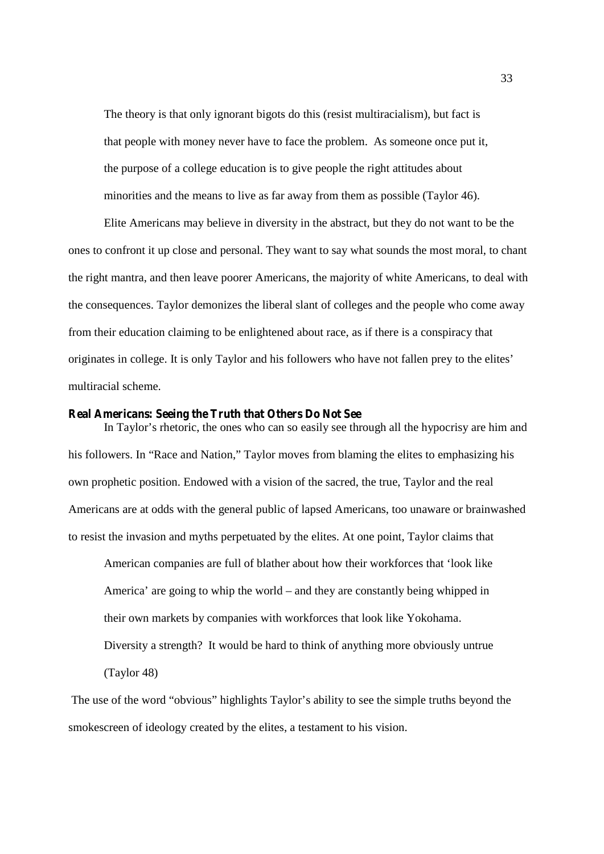The theory is that only ignorant bigots do this (resist multiracialism), but fact is that people with money never have to face the problem. As someone once put it, the purpose of a college education is to give people the right attitudes about minorities and the means to live as far away from them as possible (Taylor 46).

Elite Americans may believe in diversity in the abstract, but they do not want to be the ones to confront it up close and personal. They want to say what sounds the most moral, to chant the right mantra, and then leave poorer Americans, the majority of white Americans, to deal with the consequences. Taylor demonizes the liberal slant of colleges and the people who come away from their education claiming to be enlightened about race, as if there is a conspiracy that originates in college. It is only Taylor and his followers who have not fallen prey to the elites' multiracial scheme.

### **Real Americans: Seeing the Truth that Others Do Not See**

In Taylor's rhetoric, the ones who can so easily see through all the hypocrisy are him and his followers. In "Race and Nation," Taylor moves from blaming the elites to emphasizing his own prophetic position. Endowed with a vision of the sacred, the true, Taylor and the real Americans are at odds with the general public of lapsed Americans, too unaware or brainwashed to resist the invasion and myths perpetuated by the elites. At one point, Taylor claims that

American companies are full of blather about how their workforces that 'look like America' are going to whip the world – and they are constantly being whipped in their own markets by companies with workforces that look like Yokohama. Diversity a strength? It would be hard to think of anything more obviously untrue (Taylor 48)

The use of the word "obvious" highlights Taylor's ability to see the simple truths beyond the smokescreen of ideology created by the elites, a testament to his vision.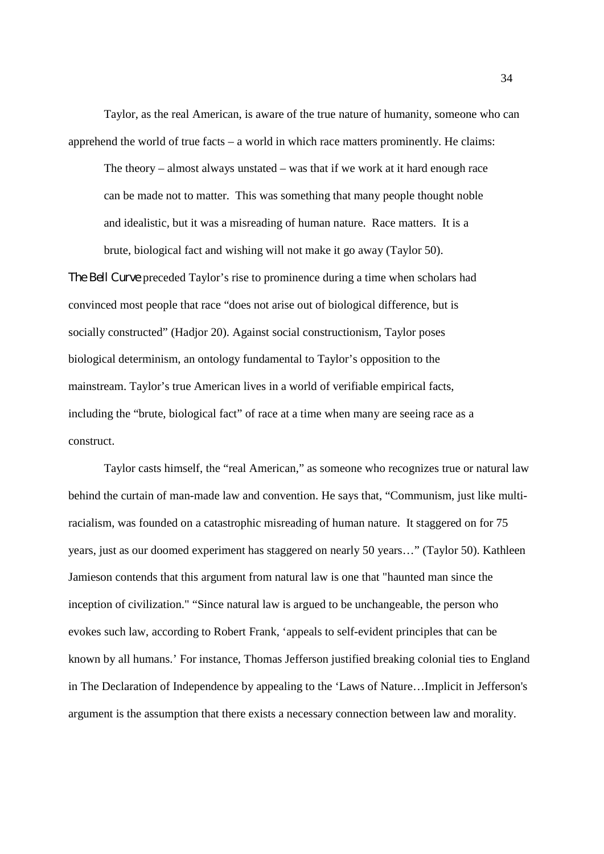Taylor, as the real American, is aware of the true nature of humanity, someone who can apprehend the world of true facts – a world in which race matters prominently. He claims:

The theory – almost always unstated – was that if we work at it hard enough race can be made not to matter. This was something that many people thought noble and idealistic, but it was a misreading of human nature. Race matters. It is a brute, biological fact and wishing will not make it go away (Taylor 50).

*The Bell Curve* preceded Taylor's rise to prominence during a time when scholars had convinced most people that race "does not arise out of biological difference, but is socially constructed" (Hadjor 20). Against social constructionism, Taylor poses biological determinism, an ontology fundamental to Taylor's opposition to the mainstream. Taylor's true American lives in a world of verifiable empirical facts, including the "brute, biological fact" of race at a time when many are seeing race as a construct.

Taylor casts himself, the "real American," as someone who recognizes true or natural law behind the curtain of man-made law and convention. He says that, "Communism, just like multiracialism, was founded on a catastrophic misreading of human nature. It staggered on for 75 years, just as our doomed experiment has staggered on nearly 50 years…" (Taylor 50). Kathleen Jamieson contends that this argument from natural law is one that "haunted man since the inception of civilization." "Since natural law is argued to be unchangeable, the person who evokes such law, according to Robert Frank, 'appeals to self-evident principles that can be known by all humans.' For instance, Thomas Jefferson justified breaking colonial ties to England in The Declaration of Independence by appealing to the 'Laws of Nature…Implicit in Jefferson's argument is the assumption that there exists a necessary connection between law and morality.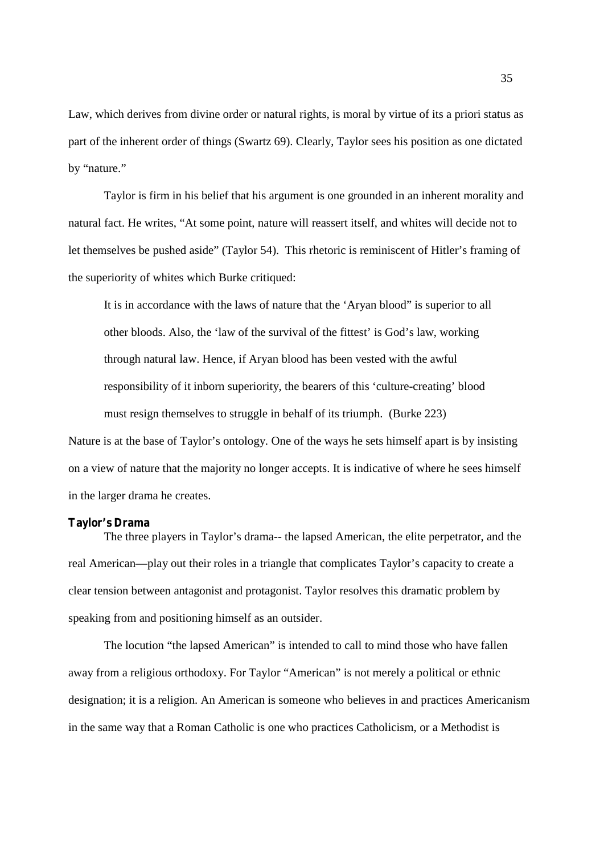Law, which derives from divine order or natural rights, is moral by virtue of its a priori status as part of the inherent order of things (Swartz 69). Clearly, Taylor sees his position as one dictated by "nature."

Taylor is firm in his belief that his argument is one grounded in an inherent morality and natural fact. He writes, "At some point, nature will reassert itself, and whites will decide not to let themselves be pushed aside" (Taylor 54). This rhetoric is reminiscent of Hitler's framing of the superiority of whites which Burke critiqued:

It is in accordance with the laws of nature that the 'Aryan blood" is superior to all other bloods. Also, the 'law of the survival of the fittest' is God's law, working through natural law. Hence, if Aryan blood has been vested with the awful responsibility of it inborn superiority, the bearers of this 'culture-creating' blood must resign themselves to struggle in behalf of its triumph. (Burke 223)

Nature is at the base of Taylor's ontology. One of the ways he sets himself apart is by insisting on a view of nature that the majority no longer accepts. It is indicative of where he sees himself in the larger drama he creates.

# **Taylor's Drama**

The three players in Taylor's drama-- the lapsed American, the elite perpetrator, and the real American—play out their roles in a triangle that complicates Taylor's capacity to create a clear tension between antagonist and protagonist. Taylor resolves this dramatic problem by speaking from and positioning himself as an outsider.

The locution "the lapsed American" is intended to call to mind those who have fallen away from a religious orthodoxy. For Taylor "American" is not merely a political or ethnic designation; it is a religion. An American is someone who believes in and practices Americanism in the same way that a Roman Catholic is one who practices Catholicism, or a Methodist is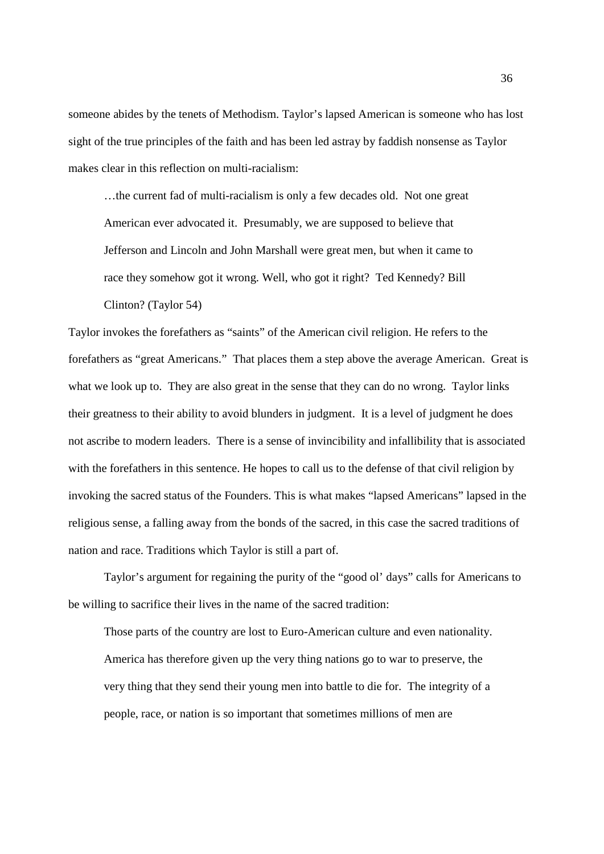someone abides by the tenets of Methodism. Taylor's lapsed American is someone who has lost sight of the true principles of the faith and has been led astray by faddish nonsense as Taylor makes clear in this reflection on multi-racialism:

…the current fad of multi-racialism is only a few decades old. Not one great American ever advocated it. Presumably, we are supposed to believe that Jefferson and Lincoln and John Marshall were great men, but when it came to race they somehow got it wrong. Well, who got it right? Ted Kennedy? Bill Clinton? (Taylor 54)

Taylor invokes the forefathers as "saints" of the American civil religion. He refers to the forefathers as "great Americans." That places them a step above the average American. Great is what we look up to. They are also great in the sense that they can do no wrong. Taylor links their greatness to their ability to avoid blunders in judgment. It is a level of judgment he does not ascribe to modern leaders. There is a sense of invincibility and infallibility that is associated with the forefathers in this sentence. He hopes to call us to the defense of that civil religion by invoking the sacred status of the Founders. This is what makes "lapsed Americans" lapsed in the religious sense, a falling away from the bonds of the sacred, in this case the sacred traditions of nation and race. Traditions which Taylor is still a part of.

Taylor's argument for regaining the purity of the "good ol' days" calls for Americans to be willing to sacrifice their lives in the name of the sacred tradition:

Those parts of the country are lost to Euro-American culture and even nationality. America has therefore given up the very thing nations go to war to preserve, the very thing that they send their young men into battle to die for. The integrity of a people, race, or nation is so important that sometimes millions of men are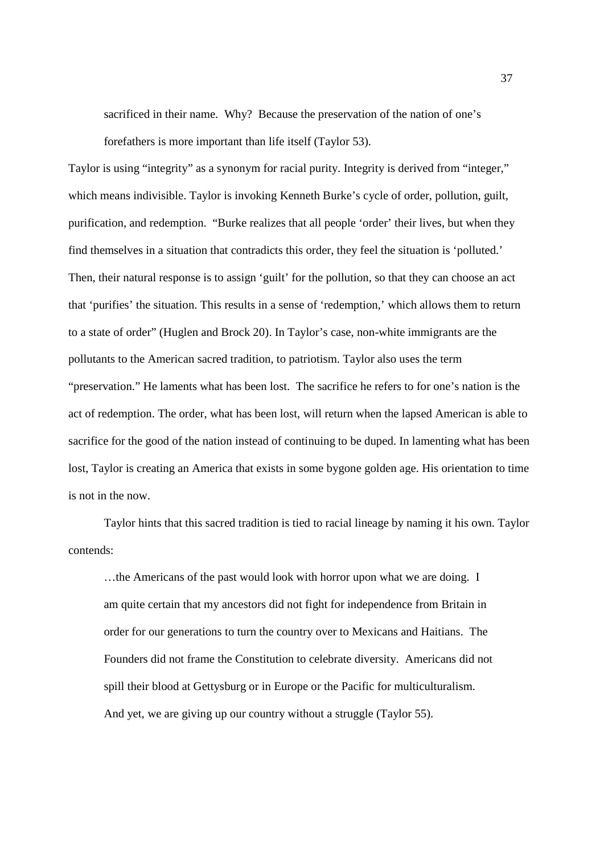sacrificed in their name. Why? Because the preservation of the nation of one's

forefathers is more important than life itself (Taylor 53).

Taylor is using "integrity" as a synonym for racial purity. Integrity is derived from "integer," which means indivisible. Taylor is invoking Kenneth Burke's cycle of order, pollution, guilt, purification, and redemption. "Burke realizes that all people 'order' their lives, but when they find themselves in a situation that contradicts this order, they feel the situation is 'polluted.' Then, their natural response is to assign 'guilt' for the pollution, so that they can choose an act that 'purifies' the situation. This results in a sense of 'redemption,' which allows them to return to a state of order" (Huglen and Brock 20). In Taylor's case, non-white immigrants are the pollutants to the American sacred tradition, to patriotism. Taylor also uses the term "preservation." He laments what has been lost. The sacrifice he refers to for one's nation is the act of redemption. The order, what has been lost, will return when the lapsed American is able to sacrifice for the good of the nation instead of continuing to be duped. In lamenting what has been lost, Taylor is creating an America that exists in some bygone golden age. His orientation to time is not in the now.

Taylor hints that this sacred tradition is tied to racial lineage by naming it his own. Taylor contends:

…the Americans of the past would look with horror upon what we are doing. I am quite certain that my ancestors did not fight for independence from Britain in order for our generations to turn the country over to Mexicans and Haitians. The Founders did not frame the Constitution to celebrate diversity. Americans did not spill their blood at Gettysburg or in Europe or the Pacific for multiculturalism. And yet, we are giving up our country without a struggle (Taylor 55).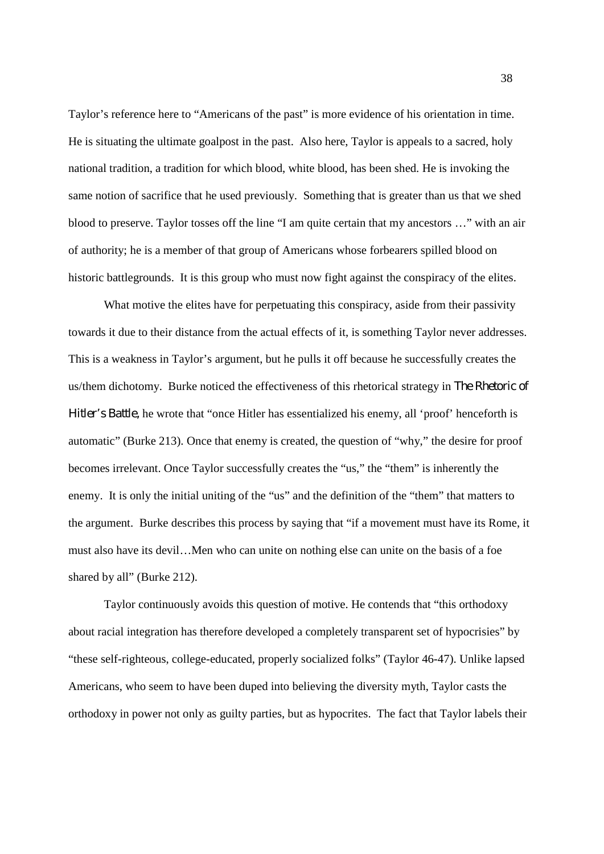Taylor's reference here to "Americans of the past" is more evidence of his orientation in time. He is situating the ultimate goalpost in the past. Also here, Taylor is appeals to a sacred, holy national tradition, a tradition for which blood, white blood, has been shed. He is invoking the same notion of sacrifice that he used previously. Something that is greater than us that we shed blood to preserve. Taylor tosses off the line "I am quite certain that my ancestors …" with an air of authority; he is a member of that group of Americans whose forbearers spilled blood on historic battlegrounds. It is this group who must now fight against the conspiracy of the elites.

What motive the elites have for perpetuating this conspiracy, aside from their passivity towards it due to their distance from the actual effects of it, is something Taylor never addresses. This is a weakness in Taylor's argument, but he pulls it off because he successfully creates the us/them dichotomy. Burke noticed the effectiveness of this rhetorical strategy in *The Rhetoric of Hitler's Battle,* he wrote that "once Hitler has essentialized his enemy, all 'proof' henceforth is automatic" (Burke 213). Once that enemy is created, the question of "why," the desire for proof becomes irrelevant. Once Taylor successfully creates the "us," the "them" is inherently the enemy. It is only the initial uniting of the "us" and the definition of the "them" that matters to the argument. Burke describes this process by saying that "if a movement must have its Rome, it must also have its devil…Men who can unite on nothing else can unite on the basis of a foe shared by all" (Burke 212).

Taylor continuously avoids this question of motive. He contends that "this orthodoxy about racial integration has therefore developed a completely transparent set of hypocrisies" by "these self-righteous, college-educated, properly socialized folks" (Taylor 46-47). Unlike lapsed Americans, who seem to have been duped into believing the diversity myth, Taylor casts the orthodoxy in power not only as guilty parties, but as hypocrites. The fact that Taylor labels their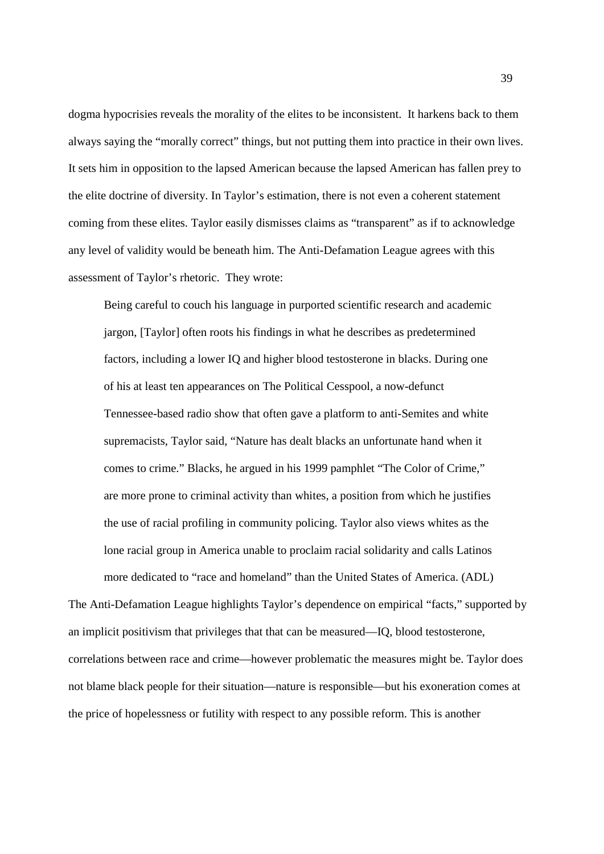dogma hypocrisies reveals the morality of the elites to be inconsistent. It harkens back to them always saying the "morally correct" things, but not putting them into practice in their own lives. It sets him in opposition to the lapsed American because the lapsed American has fallen prey to the elite doctrine of diversity. In Taylor's estimation, there is not even a coherent statement coming from these elites. Taylor easily dismisses claims as "transparent" as if to acknowledge any level of validity would be beneath him. The Anti-Defamation League agrees with this assessment of Taylor's rhetoric. They wrote:

Being careful to couch his language in purported scientific research and academic jargon, [Taylor] often roots his findings in what he describes as predetermined factors, including a lower IQ and higher blood testosterone in blacks. During one of his at least ten appearances on The Political Cesspool, a now-defunct Tennessee-based radio show that often gave a platform to anti-Semites and white supremacists, Taylor said, "Nature has dealt blacks an unfortunate hand when it comes to crime." Blacks, he argued in his 1999 pamphlet "The Color of Crime," are more prone to criminal activity than whites, a position from which he justifies the use of racial profiling in community policing. Taylor also views whites as the lone racial group in America unable to proclaim racial solidarity and calls Latinos more dedicated to "race and homeland" than the United States of America. (ADL)

The Anti-Defamation League highlights Taylor's dependence on empirical "facts," supported by an implicit positivism that privileges that that can be measured—IQ, blood testosterone, correlations between race and crime—however problematic the measures might be. Taylor does not blame black people for their situation—nature is responsible—but his exoneration comes at the price of hopelessness or futility with respect to any possible reform. This is another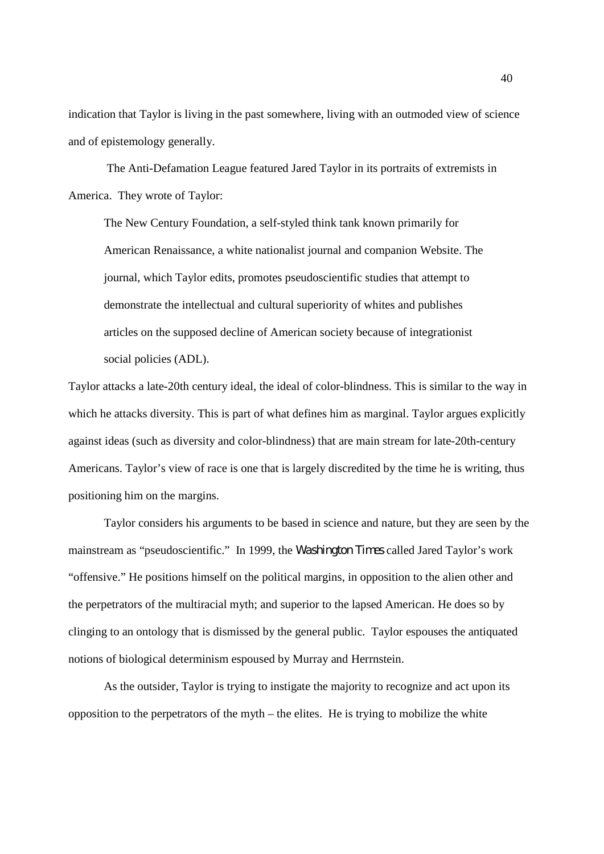indication that Taylor is living in the past somewhere, living with an outmoded view of science and of epistemology generally.

The Anti-Defamation League featured Jared Taylor in its portraits of extremists in America. They wrote of Taylor:

The New Century Foundation, a self-styled think tank known primarily for American Renaissance, a white nationalist journal and companion Website. The journal, which Taylor edits, promotes pseudoscientific studies that attempt to demonstrate the intellectual and cultural superiority of whites and publishes articles on the supposed decline of American society because of integrationist social policies (ADL).

Taylor attacks a late-20th century ideal, the ideal of color-blindness. This is similar to the way in which he attacks diversity. This is part of what defines him as marginal. Taylor argues explicitly against ideas (such as diversity and color-blindness) that are main stream for late-20th-century Americans. Taylor's view of race is one that is largely discredited by the time he is writing, thus positioning him on the margins.

Taylor considers his arguments to be based in science and nature, but they are seen by the mainstream as "pseudoscientific." In 1999, the *Washington Times* called Jared Taylor's work "offensive." He positions himself on the political margins, in opposition to the alien other and the perpetrators of the multiracial myth; and superior to the lapsed American. He does so by clinging to an ontology that is dismissed by the general public. Taylor espouses the antiquated notions of biological determinism espoused by Murray and Herrnstein.

As the outsider, Taylor is trying to instigate the majority to recognize and act upon its opposition to the perpetrators of the myth – the elites. He is trying to mobilize the white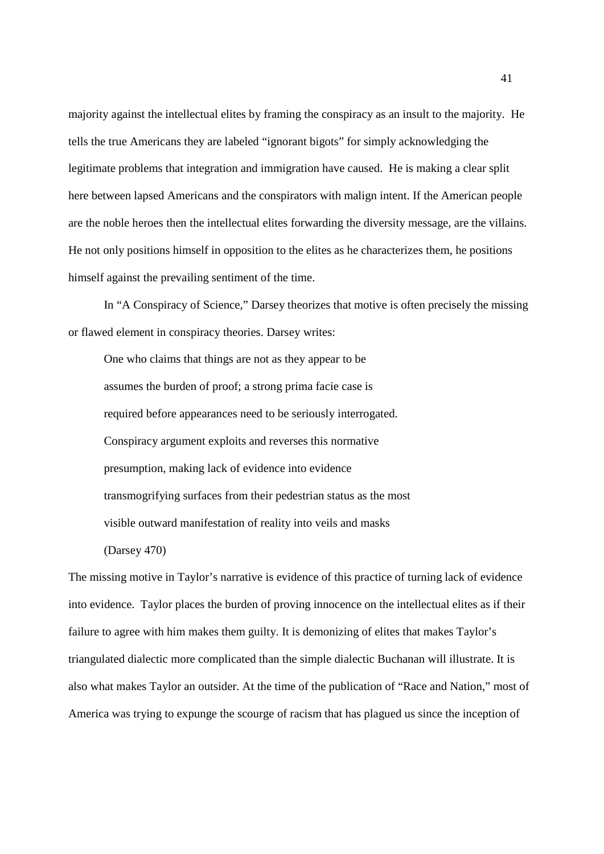majority against the intellectual elites by framing the conspiracy as an insult to the majority. He tells the true Americans they are labeled "ignorant bigots" for simply acknowledging the legitimate problems that integration and immigration have caused. He is making a clear split here between lapsed Americans and the conspirators with malign intent. If the American people are the noble heroes then the intellectual elites forwarding the diversity message, are the villains. He not only positions himself in opposition to the elites as he characterizes them, he positions himself against the prevailing sentiment of the time.

In "A Conspiracy of Science," Darsey theorizes that motive is often precisely the missing or flawed element in conspiracy theories. Darsey writes:

One who claims that things are not as they appear to be assumes the burden of proof; a strong prima facie case is required before appearances need to be seriously interrogated. Conspiracy argument exploits and reverses this normative presumption, making lack of evidence into evidence transmogrifying surfaces from their pedestrian status as the most visible outward manifestation of reality into veils and masks (Darsey 470)

The missing motive in Taylor's narrative is evidence of this practice of turning lack of evidence into evidence. Taylor places the burden of proving innocence on the intellectual elites as if their failure to agree with him makes them guilty. It is demonizing of elites that makes Taylor's triangulated dialectic more complicated than the simple dialectic Buchanan will illustrate. It is also what makes Taylor an outsider. At the time of the publication of "Race and Nation," most of America was trying to expunge the scourge of racism that has plagued us since the inception of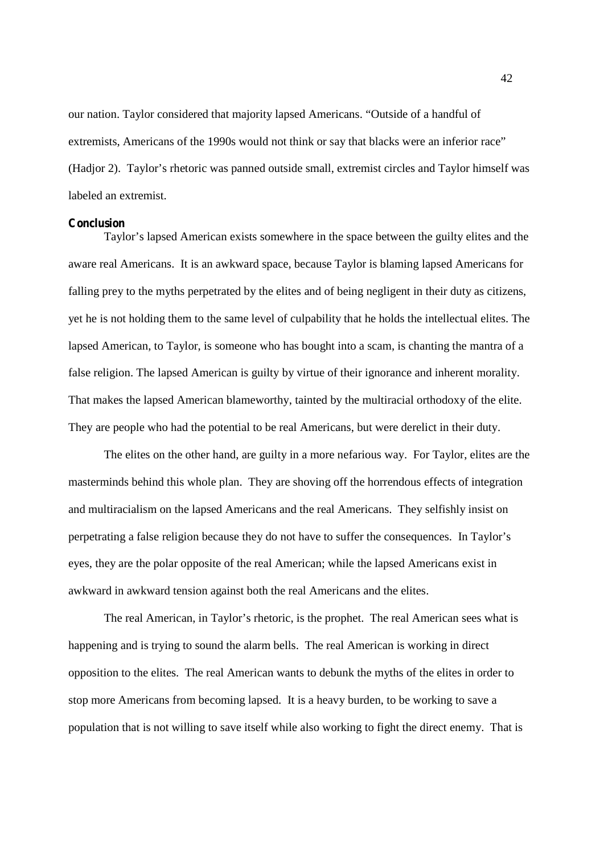our nation. Taylor considered that majority lapsed Americans. "Outside of a handful of extremists, Americans of the 1990s would not think or say that blacks were an inferior race" (Hadjor 2). Taylor's rhetoric was panned outside small, extremist circles and Taylor himself was labeled an extremist.

## **Conclusion**

Taylor's lapsed American exists somewhere in the space between the guilty elites and the aware real Americans. It is an awkward space, because Taylor is blaming lapsed Americans for falling prey to the myths perpetrated by the elites and of being negligent in their duty as citizens, yet he is not holding them to the same level of culpability that he holds the intellectual elites. The lapsed American, to Taylor, is someone who has bought into a scam, is chanting the mantra of a false religion. The lapsed American is guilty by virtue of their ignorance and inherent morality. That makes the lapsed American blameworthy, tainted by the multiracial orthodoxy of the elite. They are people who had the potential to be real Americans, but were derelict in their duty.

The elites on the other hand, are guilty in a more nefarious way. For Taylor, elites are the masterminds behind this whole plan. They are shoving off the horrendous effects of integration and multiracialism on the lapsed Americans and the real Americans. They selfishly insist on perpetrating a false religion because they do not have to suffer the consequences. In Taylor's eyes, they are the polar opposite of the real American; while the lapsed Americans exist in awkward in awkward tension against both the real Americans and the elites.

The real American, in Taylor's rhetoric, is the prophet. The real American sees what is happening and is trying to sound the alarm bells. The real American is working in direct opposition to the elites. The real American wants to debunk the myths of the elites in order to stop more Americans from becoming lapsed. It is a heavy burden, to be working to save a population that is not willing to save itself while also working to fight the direct enemy. That is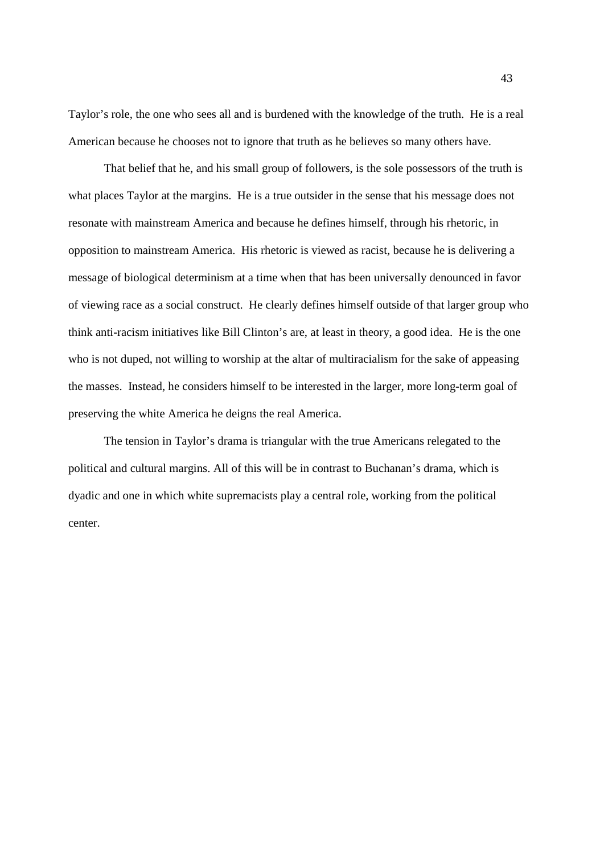Taylor's role, the one who sees all and is burdened with the knowledge of the truth. He is a real American because he chooses not to ignore that truth as he believes so many others have.

That belief that he, and his small group of followers, is the sole possessors of the truth is what places Taylor at the margins. He is a true outsider in the sense that his message does not resonate with mainstream America and because he defines himself, through his rhetoric, in opposition to mainstream America. His rhetoric is viewed as racist, because he is delivering a message of biological determinism at a time when that has been universally denounced in favor of viewing race as a social construct. He clearly defines himself outside of that larger group who think anti-racism initiatives like Bill Clinton's are, at least in theory, a good idea. He is the one who is not duped, not willing to worship at the altar of multiracialism for the sake of appeasing the masses. Instead, he considers himself to be interested in the larger, more long-term goal of preserving the white America he deigns the real America.

The tension in Taylor's drama is triangular with the true Americans relegated to the political and cultural margins. All of this will be in contrast to Buchanan's drama, which is dyadic and one in which white supremacists play a central role, working from the political center.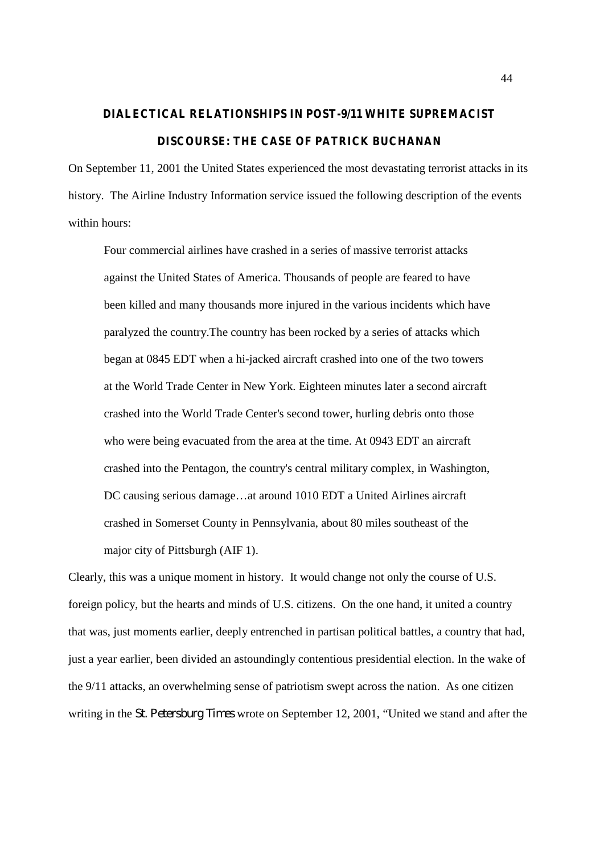# **DIALECTICAL RELATIONSHIPS IN POST-9/11 WHITE SUPREMACIST DISCOURSE: THE CASE OF PATRICK BUCHANAN**

On September 11, 2001 the United States experienced the most devastating terrorist attacks in its history. The Airline Industry Information service issued the following description of the events within hours:

Four commercial airlines have crashed in a series of massive terrorist attacks against the United States of America. Thousands of people are feared to have been killed and many thousands more injured in the various incidents which have paralyzed the country.The country has been rocked by a series of attacks which began at 0845 EDT when a hi-jacked aircraft crashed into one of the two towers at the World Trade Center in New York. Eighteen minutes later a second aircraft crashed into the World Trade Center's second tower, hurling debris onto those who were being evacuated from the area at the time. At 0943 EDT an aircraft crashed into the Pentagon, the country's central military complex, in Washington, DC causing serious damage…at around 1010 EDT a United Airlines aircraft crashed in Somerset County in Pennsylvania, about 80 miles southeast of the major city of Pittsburgh (AIF 1).

Clearly, this was a unique moment in history. It would change not only the course of U.S. foreign policy, but the hearts and minds of U.S. citizens. On the one hand, it united a country that was, just moments earlier, deeply entrenched in partisan political battles, a country that had, just a year earlier, been divided an astoundingly contentious presidential election. In the wake of the 9/11 attacks, an overwhelming sense of patriotism swept across the nation. As one citizen writing in the *St. Petersburg Times* wrote on September 12, 2001, "United we stand and after the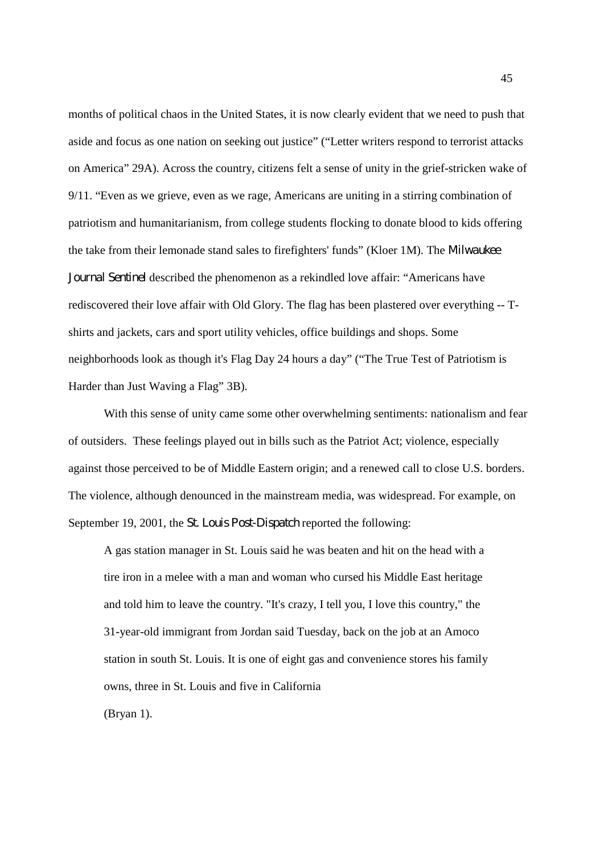months of political chaos in the United States, it is now clearly evident that we need to push that aside and focus as one nation on seeking out justice" ("Letter writers respond to terrorist attacks on America" 29A). Across the country, citizens felt a sense of unity in the grief-stricken wake of 9/11. "Even as we grieve, even as we rage, Americans are uniting in a stirring combination of patriotism and humanitarianism, from college students flocking to donate blood to kids offering the take from their lemonade stand sales to firefighters' funds" (Kloer 1M). The *Milwaukee Journal Sentinel* described the phenomenon as a rekindled love affair: "Americans have rediscovered their love affair with Old Glory. The flag has been plastered over everything -- Tshirts and jackets, cars and sport utility vehicles, office buildings and shops. Some neighborhoods look as though it's Flag Day 24 hours a day" ("The True Test of Patriotism is Harder than Just Waving a Flag" 3B).

With this sense of unity came some other overwhelming sentiments: nationalism and fear of outsiders. These feelings played out in bills such as the Patriot Act; violence, especially against those perceived to be of Middle Eastern origin; and a renewed call to close U.S. borders. The violence, although denounced in the mainstream media, was widespread. For example, on September 19, 2001, the *St. Louis Post-Dispatch* reported the following:

A gas station manager in St. Louis said he was beaten and hit on the head with a tire iron in a melee with a man and woman who cursed his Middle East heritage and told him to leave the country. "It's crazy, I tell you, I love this country," the 31-year-old immigrant from Jordan said Tuesday, back on the job at an Amoco station in south St. Louis. It is one of eight gas and convenience stores his family owns, three in St. Louis and five in California

(Bryan 1).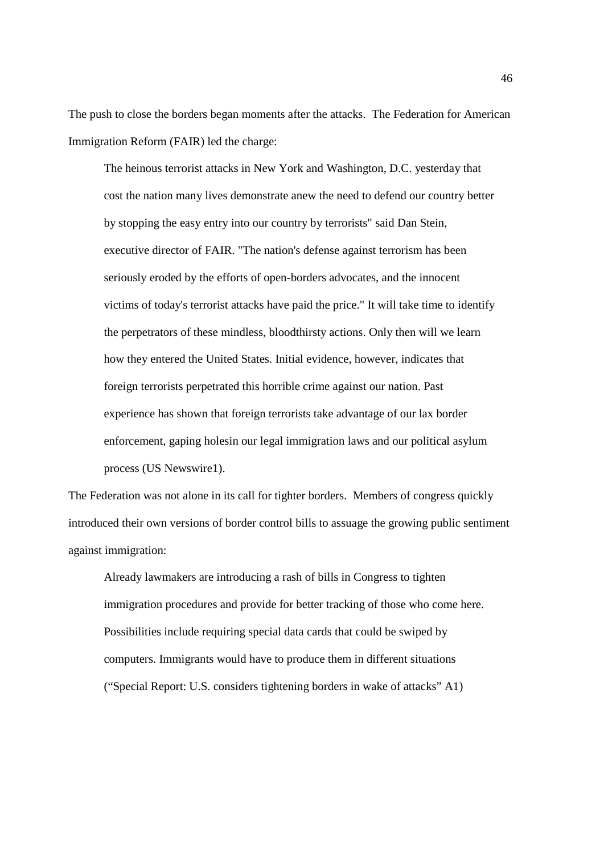The push to close the borders began moments after the attacks. The Federation for American Immigration Reform (FAIR) led the charge:

The heinous terrorist attacks in New York and Washington, D.C. yesterday that cost the nation many lives demonstrate anew the need to defend our country better by stopping the easy entry into our country by terrorists" said Dan Stein, executive director of FAIR. "The nation's defense against terrorism has been seriously eroded by the efforts of open-borders advocates, and the innocent victims of today's terrorist attacks have paid the price." It will take time to identify the perpetrators of these mindless, bloodthirsty actions. Only then will we learn how they entered the United States. Initial evidence, however, indicates that foreign terrorists perpetrated this horrible crime against our nation. Past experience has shown that foreign terrorists take advantage of our lax border enforcement, gaping holesin our legal immigration laws and our political asylum process (US Newswire1).

The Federation was not alone in its call for tighter borders. Members of congress quickly introduced their own versions of border control bills to assuage the growing public sentiment against immigration:

Already lawmakers are introducing a rash of bills in Congress to tighten immigration procedures and provide for better tracking of those who come here. Possibilities include requiring special data cards that could be swiped by computers. Immigrants would have to produce them in different situations ("Special Report: U.S. considers tightening borders in wake of attacks" A1)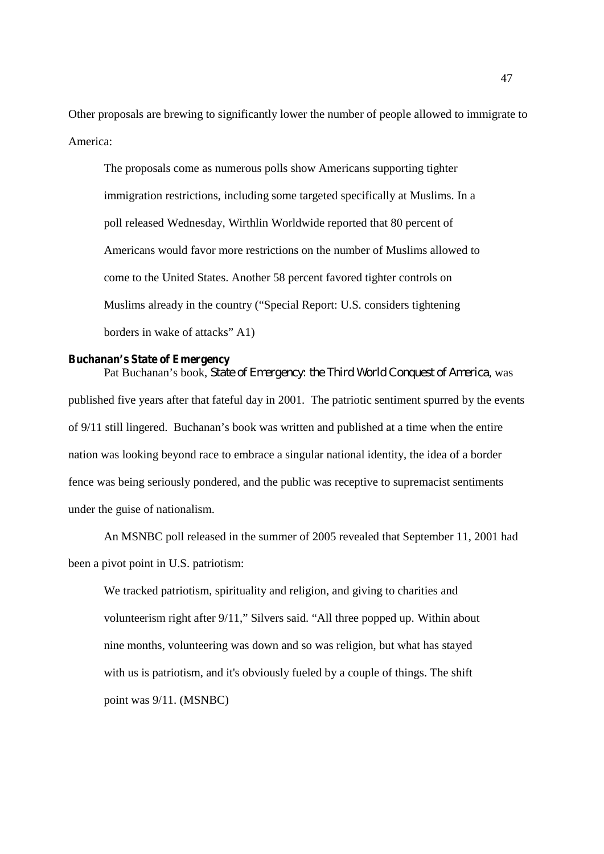Other proposals are brewing to significantly lower the number of people allowed to immigrate to America:

The proposals come as numerous polls show Americans supporting tighter immigration restrictions, including some targeted specifically at Muslims. In a poll released Wednesday, Wirthlin Worldwide reported that 80 percent of Americans would favor more restrictions on the number of Muslims allowed to come to the United States. Another 58 percent favored tighter controls on Muslims already in the country ("Special Report: U.S. considers tightening borders in wake of attacks" A1)

# **Buchanan's State of Emergency**

Pat Buchanan's book, *State of Emergency: the Third World Conquest of America*, was published five years after that fateful day in 2001. The patriotic sentiment spurred by the events of 9/11 still lingered. Buchanan's book was written and published at a time when the entire nation was looking beyond race to embrace a singular national identity, the idea of a border fence was being seriously pondered, and the public was receptive to supremacist sentiments under the guise of nationalism.

An MSNBC poll released in the summer of 2005 revealed that September 11, 2001 had been a pivot point in U.S. patriotism:

We tracked patriotism, spirituality and religion, and giving to charities and volunteerism right after 9/11," Silvers said. "All three popped up. Within about nine months, volunteering was down and so was religion, but what has stayed with us is patriotism, and it's obviously fueled by a couple of things. The shift point was 9/11. (MSNBC)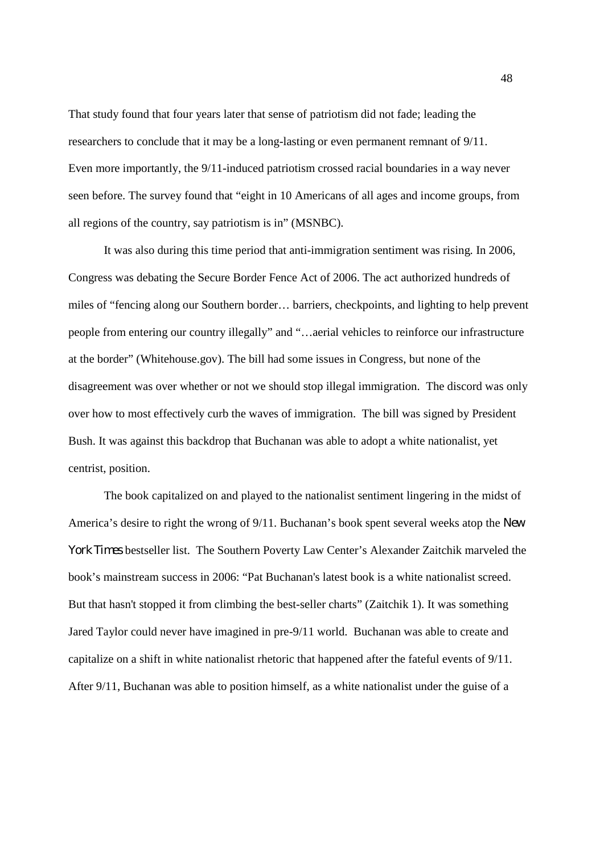That study found that four years later that sense of patriotism did not fade; leading the researchers to conclude that it may be a long-lasting or even permanent remnant of 9/11. Even more importantly, the 9/11-induced patriotism crossed racial boundaries in a way never seen before. The survey found that "eight in 10 Americans of all ages and income groups, from all regions of the country, say patriotism is in" (MSNBC).

It was also during this time period that anti-immigration sentiment was rising. In 2006, Congress was debating the Secure Border Fence Act of 2006. The act authorized hundreds of miles of "fencing along our Southern border… barriers, checkpoints, and lighting to help prevent people from entering our country illegally" and "…aerial vehicles to reinforce our infrastructure at the border" (Whitehouse.gov). The bill had some issues in Congress, but none of the disagreement was over whether or not we should stop illegal immigration. The discord was only over how to most effectively curb the waves of immigration. The bill was signed by President Bush. It was against this backdrop that Buchanan was able to adopt a white nationalist, yet centrist, position.

The book capitalized on and played to the nationalist sentiment lingering in the midst of America's desire to right the wrong of 9/11. Buchanan's book spent several weeks atop the *New York Times* bestseller list. The Southern Poverty Law Center's Alexander Zaitchik marveled the book's mainstream success in 2006: "Pat Buchanan's latest book is a white nationalist screed. But that hasn't stopped it from climbing the best-seller charts" (Zaitchik 1). It was something Jared Taylor could never have imagined in pre-9/11 world. Buchanan was able to create and capitalize on a shift in white nationalist rhetoric that happened after the fateful events of 9/11. After 9/11, Buchanan was able to position himself, as a white nationalist under the guise of a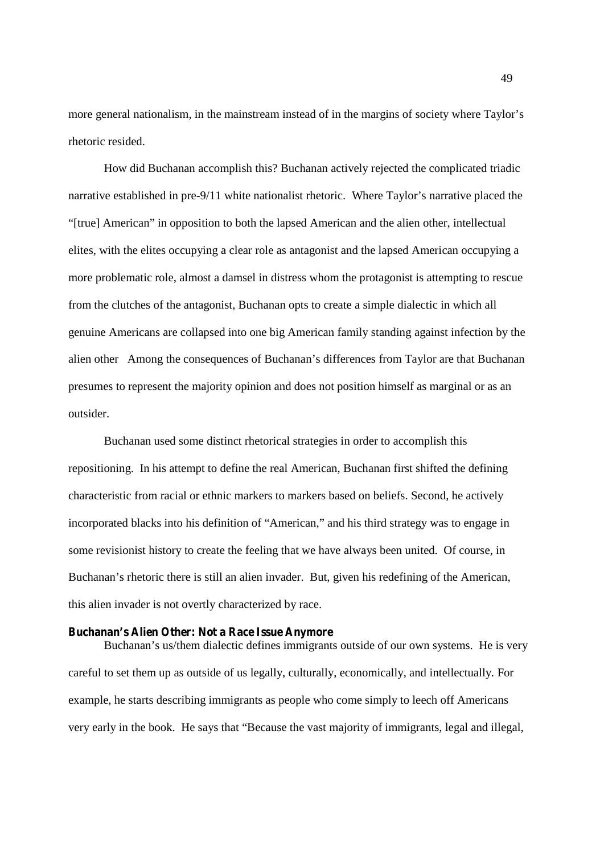more general nationalism, in the mainstream instead of in the margins of society where Taylor's rhetoric resided.

How did Buchanan accomplish this? Buchanan actively rejected the complicated triadic narrative established in pre-9/11 white nationalist rhetoric. Where Taylor's narrative placed the "[true] American" in opposition to both the lapsed American and the alien other, intellectual elites, with the elites occupying a clear role as antagonist and the lapsed American occupying a more problematic role, almost a damsel in distress whom the protagonist is attempting to rescue from the clutches of the antagonist, Buchanan opts to create a simple dialectic in which all genuine Americans are collapsed into one big American family standing against infection by the alien other Among the consequences of Buchanan's differences from Taylor are that Buchanan presumes to represent the majority opinion and does not position himself as marginal or as an outsider.

Buchanan used some distinct rhetorical strategies in order to accomplish this repositioning. In his attempt to define the real American, Buchanan first shifted the defining characteristic from racial or ethnic markers to markers based on beliefs. Second, he actively incorporated blacks into his definition of "American," and his third strategy was to engage in some revisionist history to create the feeling that we have always been united. Of course, in Buchanan's rhetoric there is still an alien invader. But, given his redefining of the American, this alien invader is not overtly characterized by race.

# **Buchanan's Alien Other: Not a Race Issue Anymore**

Buchanan's us/them dialectic defines immigrants outside of our own systems. He is very careful to set them up as outside of us legally, culturally, economically, and intellectually. For example, he starts describing immigrants as people who come simply to leech off Americans very early in the book. He says that "Because the vast majority of immigrants, legal and illegal,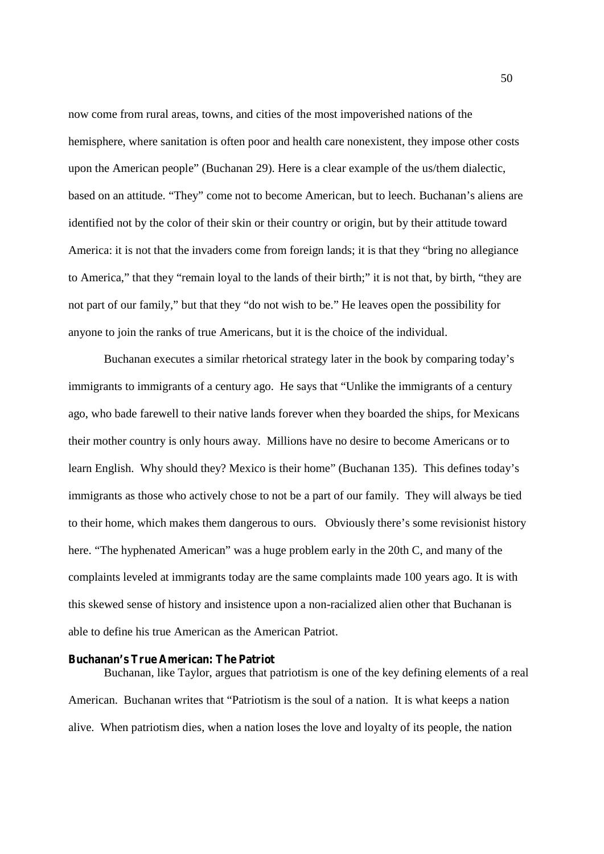now come from rural areas, towns, and cities of the most impoverished nations of the hemisphere, where sanitation is often poor and health care nonexistent, they impose other costs upon the American people" (Buchanan 29). Here is a clear example of the us/them dialectic, based on an attitude. "They" come not to become American, but to leech. Buchanan's aliens are identified not by the color of their skin or their country or origin, but by their attitude toward America: it is not that the invaders come from foreign lands; it is that they "bring no allegiance to America," that they "remain loyal to the lands of their birth;" it is not that, by birth, "they are not part of our family," but that they "do not wish to be." He leaves open the possibility for anyone to join the ranks of true Americans, but it is the choice of the individual.

Buchanan executes a similar rhetorical strategy later in the book by comparing today's immigrants to immigrants of a century ago. He says that "Unlike the immigrants of a century ago, who bade farewell to their native lands forever when they boarded the ships, for Mexicans their mother country is only hours away. Millions have no desire to become Americans or to learn English. Why should they? Mexico is their home" (Buchanan 135). This defines today's immigrants as those who actively chose to not be a part of our family. They will always be tied to their home, which makes them dangerous to ours. Obviously there's some revisionist history here. "The hyphenated American" was a huge problem early in the 20th C, and many of the complaints leveled at immigrants today are the same complaints made 100 years ago. It is with this skewed sense of history and insistence upon a non-racialized alien other that Buchanan is able to define his true American as the American Patriot.

#### **Buchanan's True American: The Patriot**

Buchanan, like Taylor, argues that patriotism is one of the key defining elements of a real American. Buchanan writes that "Patriotism is the soul of a nation. It is what keeps a nation alive. When patriotism dies, when a nation loses the love and loyalty of its people, the nation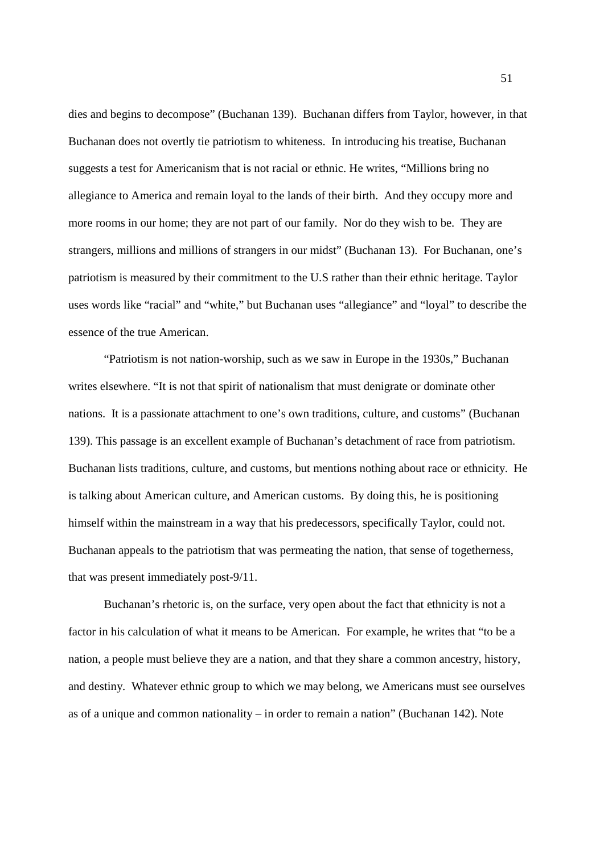dies and begins to decompose" (Buchanan 139). Buchanan differs from Taylor, however, in that Buchanan does not overtly tie patriotism to whiteness. In introducing his treatise, Buchanan suggests a test for Americanism that is not racial or ethnic. He writes, "Millions bring no allegiance to America and remain loyal to the lands of their birth. And they occupy more and more rooms in our home; they are not part of our family. Nor do they wish to be. They are strangers, millions and millions of strangers in our midst" (Buchanan 13). For Buchanan, one's patriotism is measured by their commitment to the U.S rather than their ethnic heritage. Taylor uses words like "racial" and "white," but Buchanan uses "allegiance" and "loyal" to describe the essence of the true American.

"Patriotism is not nation-worship, such as we saw in Europe in the 1930s," Buchanan writes elsewhere. "It is not that spirit of nationalism that must denigrate or dominate other nations. It is a passionate attachment to one's own traditions, culture, and customs" (Buchanan 139). This passage is an excellent example of Buchanan's detachment of race from patriotism. Buchanan lists traditions, culture, and customs, but mentions nothing about race or ethnicity. He is talking about American culture, and American customs. By doing this, he is positioning himself within the mainstream in a way that his predecessors, specifically Taylor, could not. Buchanan appeals to the patriotism that was permeating the nation, that sense of togetherness, that was present immediately post-9/11.

Buchanan's rhetoric is, on the surface, very open about the fact that ethnicity is not a factor in his calculation of what it means to be American. For example, he writes that "to be a nation, a people must believe they are a nation, and that they share a common ancestry, history, and destiny. Whatever ethnic group to which we may belong, we Americans must see ourselves as of a unique and common nationality – in order to remain a nation" (Buchanan 142). Note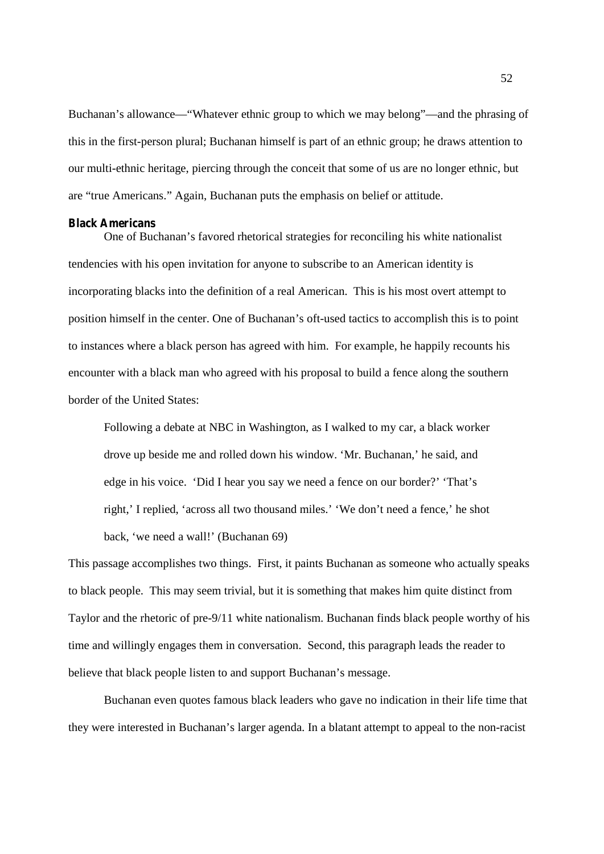Buchanan's allowance—"Whatever ethnic group to which we may belong"—and the phrasing of this in the first-person plural; Buchanan himself is part of an ethnic group; he draws attention to our multi-ethnic heritage, piercing through the conceit that some of us are no longer ethnic, but are "true Americans." Again, Buchanan puts the emphasis on belief or attitude.

#### **Black Americans**

One of Buchanan's favored rhetorical strategies for reconciling his white nationalist tendencies with his open invitation for anyone to subscribe to an American identity is incorporating blacks into the definition of a real American. This is his most overt attempt to position himself in the center. One of Buchanan's oft-used tactics to accomplish this is to point to instances where a black person has agreed with him. For example, he happily recounts his encounter with a black man who agreed with his proposal to build a fence along the southern border of the United States:

Following a debate at NBC in Washington, as I walked to my car, a black worker drove up beside me and rolled down his window. 'Mr. Buchanan,' he said, and edge in his voice. 'Did I hear you say we need a fence on our border?' 'That's right,' I replied, 'across all two thousand miles.' 'We don't need a fence,' he shot back, 'we need a wall!' (Buchanan 69)

This passage accomplishes two things. First, it paints Buchanan as someone who actually speaks to black people. This may seem trivial, but it is something that makes him quite distinct from Taylor and the rhetoric of pre-9/11 white nationalism. Buchanan finds black people worthy of his time and willingly engages them in conversation. Second, this paragraph leads the reader to believe that black people listen to and support Buchanan's message.

Buchanan even quotes famous black leaders who gave no indication in their life time that they were interested in Buchanan's larger agenda. In a blatant attempt to appeal to the non-racist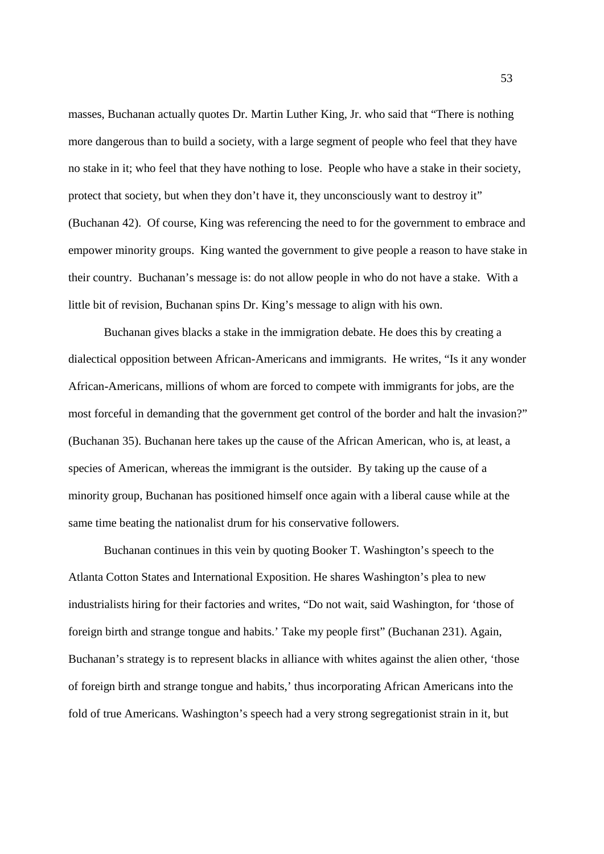masses, Buchanan actually quotes Dr. Martin Luther King, Jr. who said that "There is nothing more dangerous than to build a society, with a large segment of people who feel that they have no stake in it; who feel that they have nothing to lose. People who have a stake in their society, protect that society, but when they don't have it, they unconsciously want to destroy it" (Buchanan 42). Of course, King was referencing the need to for the government to embrace and empower minority groups. King wanted the government to give people a reason to have stake in their country. Buchanan's message is: do not allow people in who do not have a stake. With a little bit of revision, Buchanan spins Dr. King's message to align with his own.

Buchanan gives blacks a stake in the immigration debate. He does this by creating a dialectical opposition between African-Americans and immigrants. He writes, "Is it any wonder African-Americans, millions of whom are forced to compete with immigrants for jobs, are the most forceful in demanding that the government get control of the border and halt the invasion?" (Buchanan 35). Buchanan here takes up the cause of the African American, who is, at least, a species of American, whereas the immigrant is the outsider. By taking up the cause of a minority group, Buchanan has positioned himself once again with a liberal cause while at the same time beating the nationalist drum for his conservative followers.

Buchanan continues in this vein by quoting Booker T. Washington's speech to the Atlanta Cotton States and International Exposition. He shares Washington's plea to new industrialists hiring for their factories and writes, "Do not wait, said Washington, for 'those of foreign birth and strange tongue and habits.' Take my people first" (Buchanan 231). Again, Buchanan's strategy is to represent blacks in alliance with whites against the alien other, 'those of foreign birth and strange tongue and habits,' thus incorporating African Americans into the fold of true Americans. Washington's speech had a very strong segregationist strain in it, but

53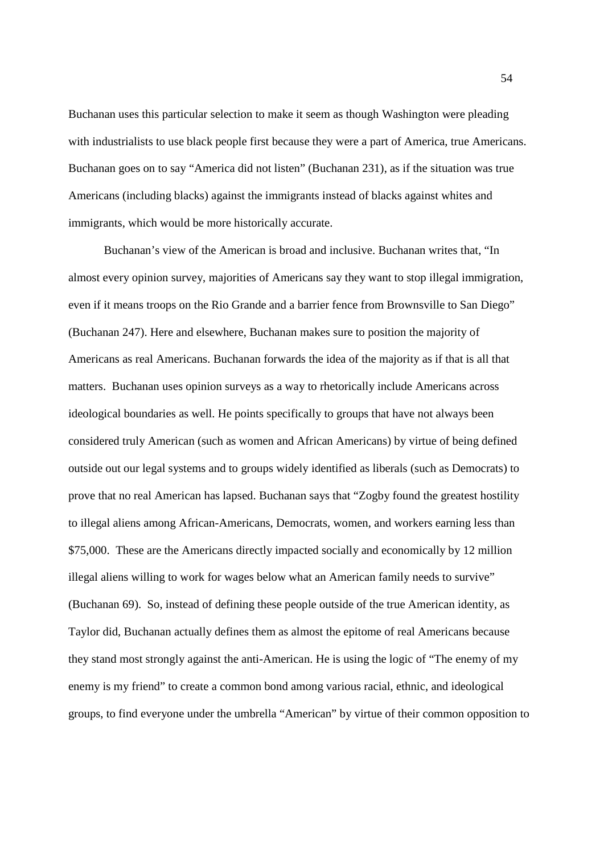Buchanan uses this particular selection to make it seem as though Washington were pleading with industrialists to use black people first because they were a part of America, true Americans. Buchanan goes on to say "America did not listen" (Buchanan 231), as if the situation was true Americans (including blacks) against the immigrants instead of blacks against whites and immigrants, which would be more historically accurate.

Buchanan's view of the American is broad and inclusive. Buchanan writes that, "In almost every opinion survey, majorities of Americans say they want to stop illegal immigration, even if it means troops on the Rio Grande and a barrier fence from Brownsville to San Diego" (Buchanan 247). Here and elsewhere, Buchanan makes sure to position the majority of Americans as real Americans. Buchanan forwards the idea of the majority as if that is all that matters. Buchanan uses opinion surveys as a way to rhetorically include Americans across ideological boundaries as well. He points specifically to groups that have not always been considered truly American (such as women and African Americans) by virtue of being defined outside out our legal systems and to groups widely identified as liberals (such as Democrats) to prove that no real American has lapsed. Buchanan says that "Zogby found the greatest hostility to illegal aliens among African-Americans, Democrats, women, and workers earning less than \$75,000. These are the Americans directly impacted socially and economically by 12 million illegal aliens willing to work for wages below what an American family needs to survive" (Buchanan 69). So, instead of defining these people outside of the true American identity, as Taylor did, Buchanan actually defines them as almost the epitome of real Americans because they stand most strongly against the anti-American. He is using the logic of "The enemy of my enemy is my friend" to create a common bond among various racial, ethnic, and ideological groups, to find everyone under the umbrella "American" by virtue of their common opposition to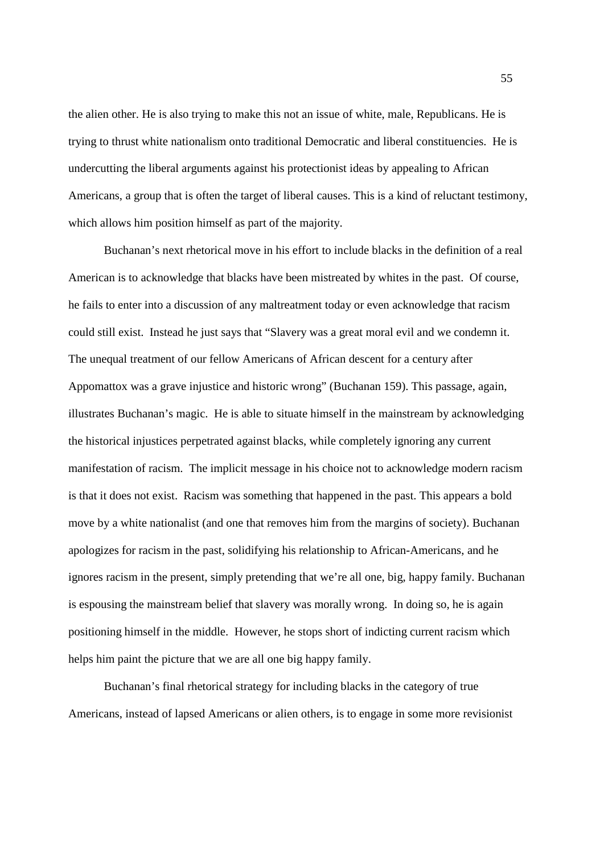the alien other. He is also trying to make this not an issue of white, male, Republicans. He is trying to thrust white nationalism onto traditional Democratic and liberal constituencies. He is undercutting the liberal arguments against his protectionist ideas by appealing to African Americans, a group that is often the target of liberal causes. This is a kind of reluctant testimony, which allows him position himself as part of the majority.

Buchanan's next rhetorical move in his effort to include blacks in the definition of a real American is to acknowledge that blacks have been mistreated by whites in the past. Of course, he fails to enter into a discussion of any maltreatment today or even acknowledge that racism could still exist. Instead he just says that "Slavery was a great moral evil and we condemn it. The unequal treatment of our fellow Americans of African descent for a century after Appomattox was a grave injustice and historic wrong" (Buchanan 159). This passage, again, illustrates Buchanan's magic. He is able to situate himself in the mainstream by acknowledging the historical injustices perpetrated against blacks, while completely ignoring any current manifestation of racism. The implicit message in his choice not to acknowledge modern racism is that it does not exist. Racism was something that happened in the past. This appears a bold move by a white nationalist (and one that removes him from the margins of society). Buchanan apologizes for racism in the past, solidifying his relationship to African-Americans, and he ignores racism in the present, simply pretending that we're all one, big, happy family. Buchanan is espousing the mainstream belief that slavery was morally wrong. In doing so, he is again positioning himself in the middle. However, he stops short of indicting current racism which helps him paint the picture that we are all one big happy family.

Buchanan's final rhetorical strategy for including blacks in the category of true Americans, instead of lapsed Americans or alien others, is to engage in some more revisionist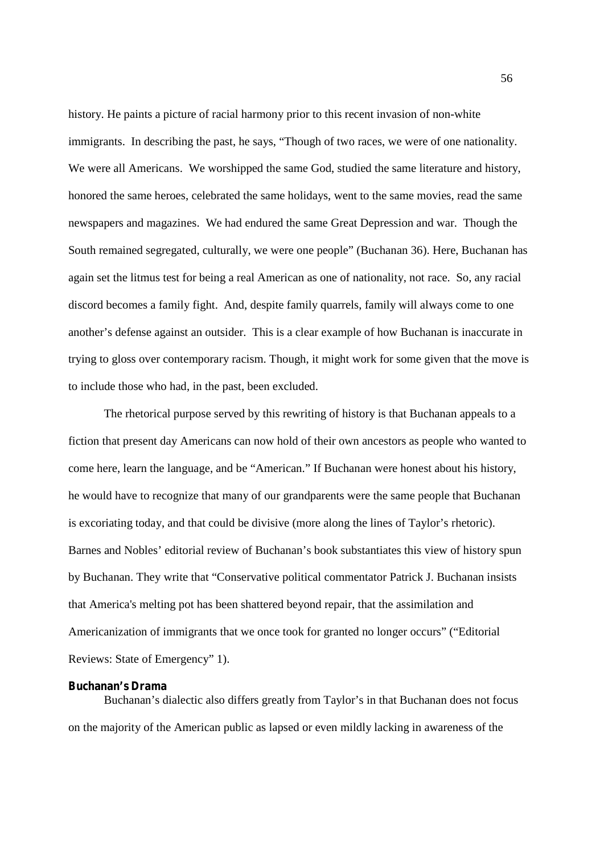history. He paints a picture of racial harmony prior to this recent invasion of non-white immigrants. In describing the past, he says, "Though of two races, we were of one nationality. We were all Americans. We worshipped the same God, studied the same literature and history, honored the same heroes, celebrated the same holidays, went to the same movies, read the same newspapers and magazines. We had endured the same Great Depression and war. Though the South remained segregated, culturally, we were one people" (Buchanan 36). Here, Buchanan has again set the litmus test for being a real American as one of nationality, not race. So, any racial discord becomes a family fight. And, despite family quarrels, family will always come to one another's defense against an outsider. This is a clear example of how Buchanan is inaccurate in trying to gloss over contemporary racism. Though, it might work for some given that the move is to include those who had, in the past, been excluded.

The rhetorical purpose served by this rewriting of history is that Buchanan appeals to a fiction that present day Americans can now hold of their own ancestors as people who wanted to come here, learn the language, and be "American." If Buchanan were honest about his history, he would have to recognize that many of our grandparents were the same people that Buchanan is excoriating today, and that could be divisive (more along the lines of Taylor's rhetoric). Barnes and Nobles' editorial review of Buchanan's book substantiates this view of history spun by Buchanan. They write that "Conservative political commentator Patrick J. Buchanan insists that America's melting pot has been shattered beyond repair, that the assimilation and Americanization of immigrants that we once took for granted no longer occurs" ("Editorial Reviews: State of Emergency" 1).

# **Buchanan's Drama**

Buchanan's dialectic also differs greatly from Taylor's in that Buchanan does not focus on the majority of the American public as lapsed or even mildly lacking in awareness of the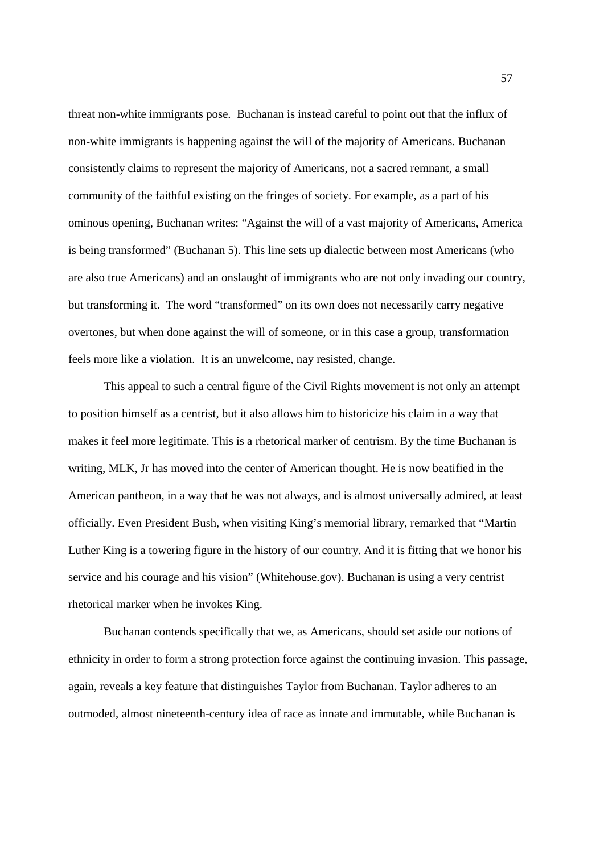threat non-white immigrants pose. Buchanan is instead careful to point out that the influx of non-white immigrants is happening against the will of the majority of Americans. Buchanan consistently claims to represent the majority of Americans, not a sacred remnant, a small community of the faithful existing on the fringes of society. For example, as a part of his ominous opening, Buchanan writes: "Against the will of a vast majority of Americans, America is being transformed" (Buchanan 5). This line sets up dialectic between most Americans (who are also true Americans) and an onslaught of immigrants who are not only invading our country, but transforming it. The word "transformed" on its own does not necessarily carry negative overtones, but when done against the will of someone, or in this case a group, transformation feels more like a violation. It is an unwelcome, nay resisted, change.

This appeal to such a central figure of the Civil Rights movement is not only an attempt to position himself as a centrist, but it also allows him to historicize his claim in a way that makes it feel more legitimate. This is a rhetorical marker of centrism. By the time Buchanan is writing, MLK, Jr has moved into the center of American thought. He is now beatified in the American pantheon, in a way that he was not always, and is almost universally admired, at least officially. Even President Bush, when visiting King's memorial library, remarked that "Martin Luther King is a towering figure in the history of our country. And it is fitting that we honor his service and his courage and his vision" (Whitehouse.gov). Buchanan is using a very centrist rhetorical marker when he invokes King.

Buchanan contends specifically that we, as Americans, should set aside our notions of ethnicity in order to form a strong protection force against the continuing invasion. This passage, again, reveals a key feature that distinguishes Taylor from Buchanan. Taylor adheres to an outmoded, almost nineteenth-century idea of race as innate and immutable, while Buchanan is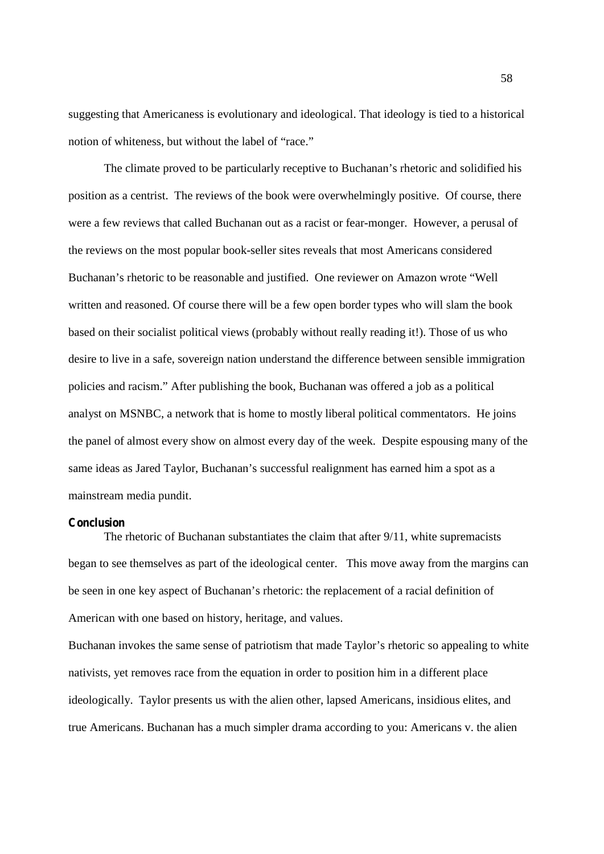suggesting that Americaness is evolutionary and ideological. That ideology is tied to a historical notion of whiteness, but without the label of "race."

The climate proved to be particularly receptive to Buchanan's rhetoric and solidified his position as a centrist. The reviews of the book were overwhelmingly positive. Of course, there were a few reviews that called Buchanan out as a racist or fear-monger. However, a perusal of the reviews on the most popular book-seller sites reveals that most Americans considered Buchanan's rhetoric to be reasonable and justified. One reviewer on Amazon wrote "Well written and reasoned. Of course there will be a few open border types who will slam the book based on their socialist political views (probably without really reading it!). Those of us who desire to live in a safe, sovereign nation understand the difference between sensible immigration policies and racism." After publishing the book, Buchanan was offered a job as a political analyst on MSNBC, a network that is home to mostly liberal political commentators. He joins the panel of almost every show on almost every day of the week. Despite espousing many of the same ideas as Jared Taylor, Buchanan's successful realignment has earned him a spot as a mainstream media pundit.

# **Conclusion**

The rhetoric of Buchanan substantiates the claim that after 9/11, white supremacists began to see themselves as part of the ideological center. This move away from the margins can be seen in one key aspect of Buchanan's rhetoric: the replacement of a racial definition of American with one based on history, heritage, and values.

Buchanan invokes the same sense of patriotism that made Taylor's rhetoric so appealing to white nativists, yet removes race from the equation in order to position him in a different place ideologically. Taylor presents us with the alien other, lapsed Americans, insidious elites, and true Americans. Buchanan has a much simpler drama according to you: Americans v. the alien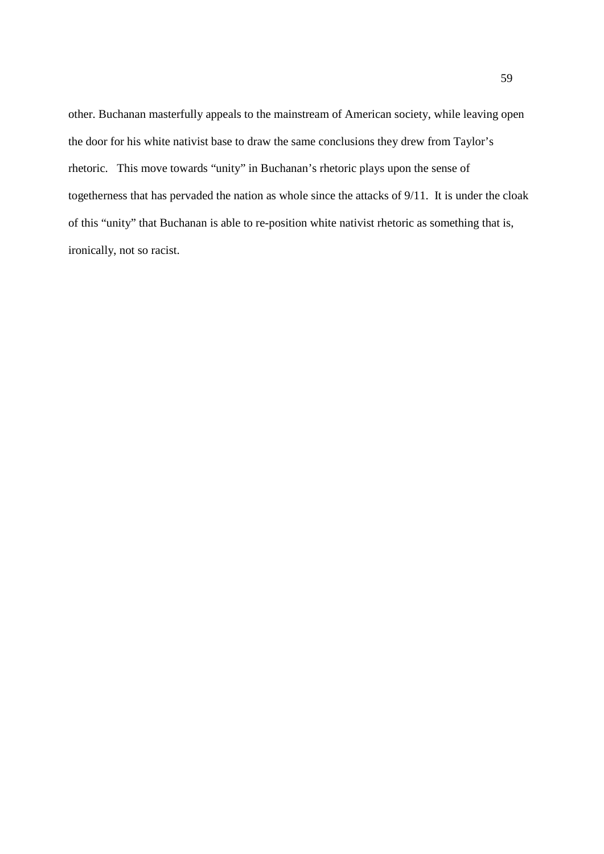other. Buchanan masterfully appeals to the mainstream of American society, while leaving open the door for his white nativist base to draw the same conclusions they drew from Taylor's rhetoric. This move towards "unity" in Buchanan's rhetoric plays upon the sense of togetherness that has pervaded the nation as whole since the attacks of 9/11. It is under the cloak of this "unity" that Buchanan is able to re-position white nativist rhetoric as something that is, ironically, not so racist.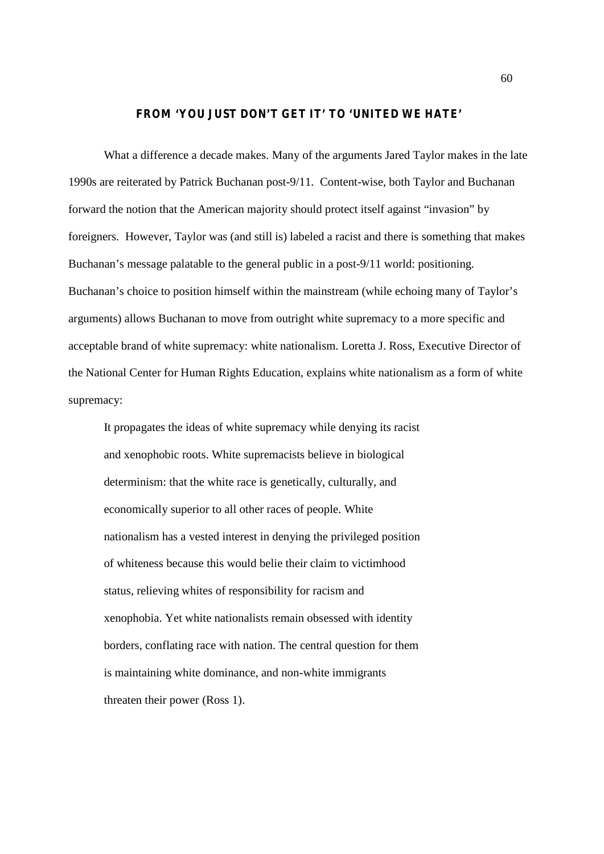## **FROM 'YOU JUST DON'T GET IT' TO 'UNITED WE HATE'**

What a difference a decade makes. Many of the arguments Jared Taylor makes in the late 1990s are reiterated by Patrick Buchanan post-9/11. Content-wise, both Taylor and Buchanan forward the notion that the American majority should protect itself against "invasion" by foreigners. However, Taylor was (and still is) labeled a racist and there is something that makes Buchanan's message palatable to the general public in a post-9/11 world: positioning. Buchanan's choice to position himself within the mainstream (while echoing many of Taylor's arguments) allows Buchanan to move from outright white supremacy to a more specific and acceptable brand of white supremacy: white nationalism. Loretta J. Ross, Executive Director of the National Center for Human Rights Education, explains white nationalism as a form of white supremacy:

It propagates the ideas of white supremacy while denying its racist and xenophobic roots. White supremacists believe in biological determinism: that the white race is genetically, culturally, and economically superior to all other races of people. White nationalism has a vested interest in denying the privileged position of whiteness because this would belie their claim to victimhood status, relieving whites of responsibility for racism and xenophobia. Yet white nationalists remain obsessed with identity borders, conflating race with nation. The central question for them is maintaining white dominance, and non-white immigrants threaten their power (Ross 1).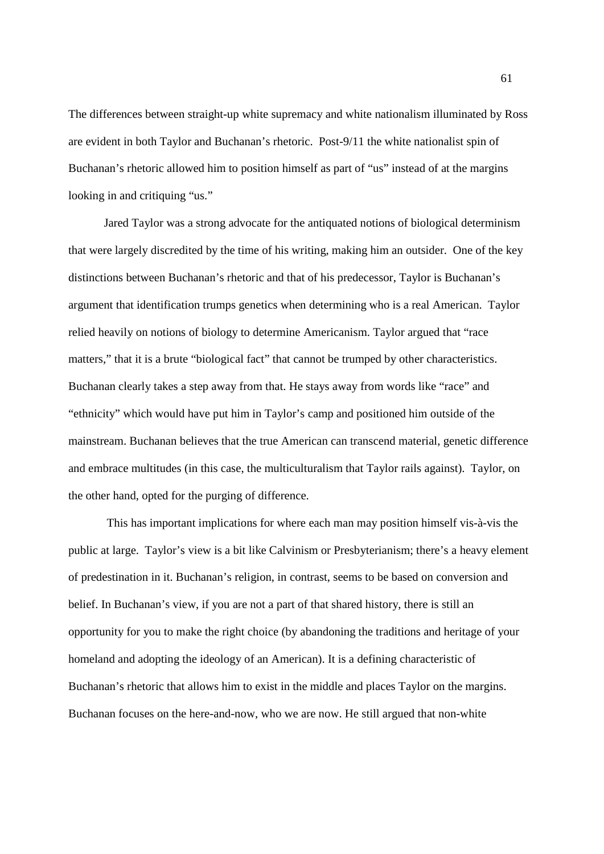The differences between straight-up white supremacy and white nationalism illuminated by Ross are evident in both Taylor and Buchanan's rhetoric. Post-9/11 the white nationalist spin of Buchanan's rhetoric allowed him to position himself as part of "us" instead of at the margins looking in and critiquing "us."

Jared Taylor was a strong advocate for the antiquated notions of biological determinism that were largely discredited by the time of his writing, making him an outsider. One of the key distinctions between Buchanan's rhetoric and that of his predecessor, Taylor is Buchanan's argument that identification trumps genetics when determining who is a real American. Taylor relied heavily on notions of biology to determine Americanism. Taylor argued that "race matters," that it is a brute "biological fact" that cannot be trumped by other characteristics. Buchanan clearly takes a step away from that. He stays away from words like "race" and "ethnicity" which would have put him in Taylor's camp and positioned him outside of the mainstream. Buchanan believes that the true American can transcend material, genetic difference and embrace multitudes (in this case, the multiculturalism that Taylor rails against). Taylor, on the other hand, opted for the purging of difference.

This has important implications for where each man may position himself vis-à-vis the public at large. Taylor's view is a bit like Calvinism or Presbyterianism; there's a heavy element of predestination in it. Buchanan's religion, in contrast, seems to be based on conversion and belief. In Buchanan's view, if you are not a part of that shared history, there is still an opportunity for you to make the right choice (by abandoning the traditions and heritage of your homeland and adopting the ideology of an American). It is a defining characteristic of Buchanan's rhetoric that allows him to exist in the middle and places Taylor on the margins. Buchanan focuses on the here-and-now, who we are now. He still argued that non-white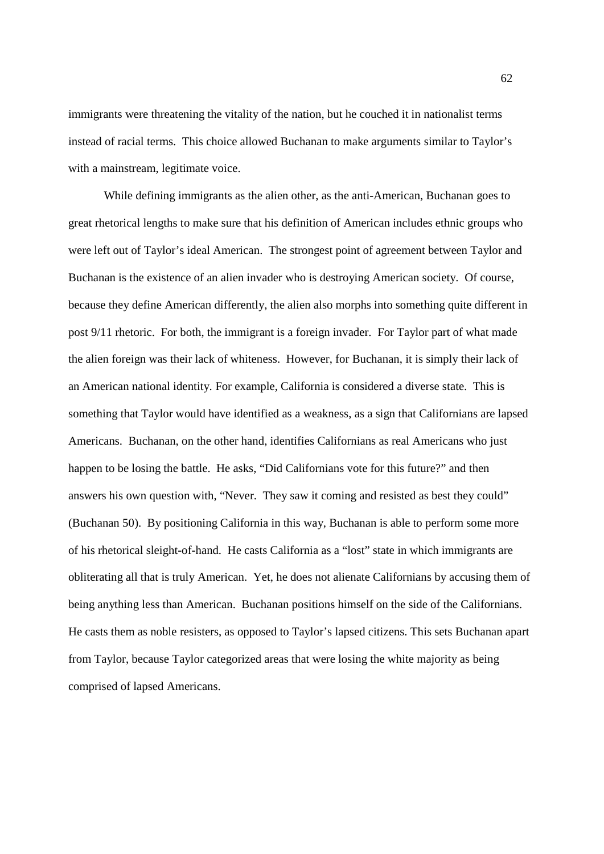immigrants were threatening the vitality of the nation, but he couched it in nationalist terms instead of racial terms. This choice allowed Buchanan to make arguments similar to Taylor's with a mainstream, legitimate voice.

While defining immigrants as the alien other, as the anti-American, Buchanan goes to great rhetorical lengths to make sure that his definition of American includes ethnic groups who were left out of Taylor's ideal American. The strongest point of agreement between Taylor and Buchanan is the existence of an alien invader who is destroying American society. Of course, because they define American differently, the alien also morphs into something quite different in post 9/11 rhetoric. For both, the immigrant is a foreign invader. For Taylor part of what made the alien foreign was their lack of whiteness. However, for Buchanan, it is simply their lack of an American national identity. For example, California is considered a diverse state. This is something that Taylor would have identified as a weakness, as a sign that Californians are lapsed Americans. Buchanan, on the other hand, identifies Californians as real Americans who just happen to be losing the battle. He asks, "Did Californians vote for this future?" and then answers his own question with, "Never. They saw it coming and resisted as best they could" (Buchanan 50). By positioning California in this way, Buchanan is able to perform some more of his rhetorical sleight-of-hand. He casts California as a "lost" state in which immigrants are obliterating all that is truly American. Yet, he does not alienate Californians by accusing them of being anything less than American. Buchanan positions himself on the side of the Californians. He casts them as noble resisters, as opposed to Taylor's lapsed citizens. This sets Buchanan apart from Taylor, because Taylor categorized areas that were losing the white majority as being comprised of lapsed Americans.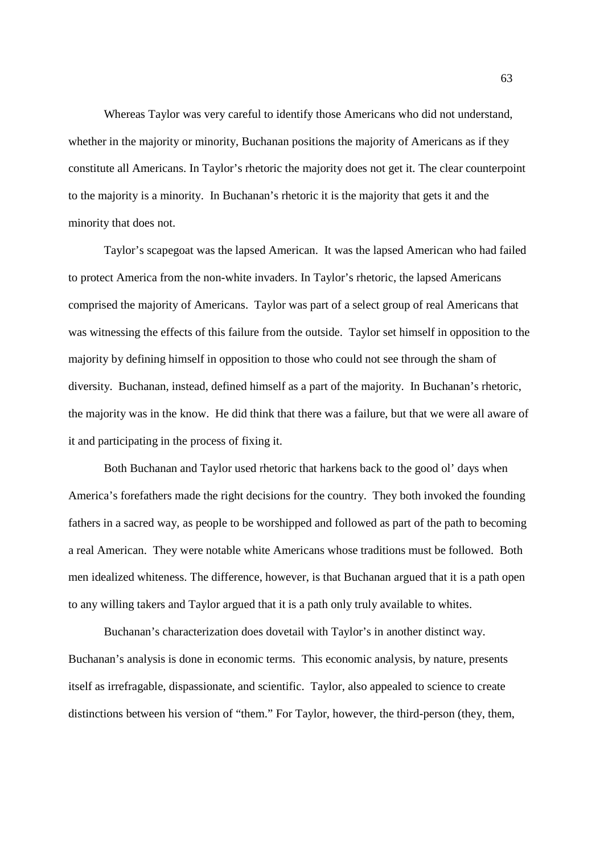Whereas Taylor was very careful to identify those Americans who did not understand, whether in the majority or minority, Buchanan positions the majority of Americans as if they constitute all Americans. In Taylor's rhetoric the majority does not get it. The clear counterpoint to the majority is a minority. In Buchanan's rhetoric it is the majority that gets it and the minority that does not.

Taylor's scapegoat was the lapsed American. It was the lapsed American who had failed to protect America from the non-white invaders. In Taylor's rhetoric, the lapsed Americans comprised the majority of Americans. Taylor was part of a select group of real Americans that was witnessing the effects of this failure from the outside. Taylor set himself in opposition to the majority by defining himself in opposition to those who could not see through the sham of diversity. Buchanan, instead, defined himself as a part of the majority. In Buchanan's rhetoric, the majority was in the know. He did think that there was a failure, but that we were all aware of it and participating in the process of fixing it.

Both Buchanan and Taylor used rhetoric that harkens back to the good ol' days when America's forefathers made the right decisions for the country. They both invoked the founding fathers in a sacred way, as people to be worshipped and followed as part of the path to becoming a real American. They were notable white Americans whose traditions must be followed. Both men idealized whiteness. The difference, however, is that Buchanan argued that it is a path open to any willing takers and Taylor argued that it is a path only truly available to whites.

Buchanan's characterization does dovetail with Taylor's in another distinct way. Buchanan's analysis is done in economic terms. This economic analysis, by nature, presents itself as irrefragable, dispassionate, and scientific. Taylor, also appealed to science to create distinctions between his version of "them." For Taylor, however, the third-person (they, them,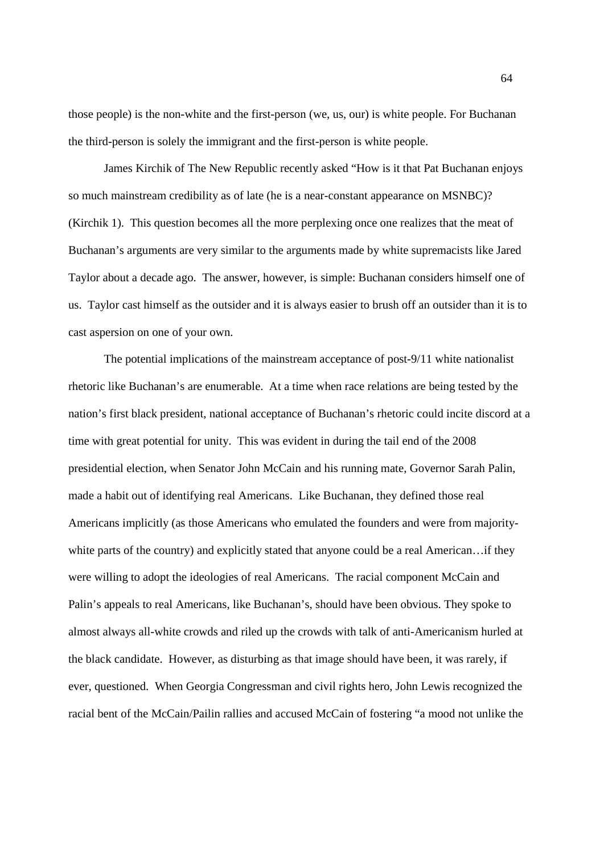those people) is the non-white and the first-person (we, us, our) is white people. For Buchanan the third-person is solely the immigrant and the first-person is white people.

James Kirchik of The New Republic recently asked "How is it that Pat Buchanan enjoys so much mainstream credibility as of late (he is a near-constant appearance on MSNBC)? (Kirchik 1). This question becomes all the more perplexing once one realizes that the meat of Buchanan's arguments are very similar to the arguments made by white supremacists like Jared Taylor about a decade ago. The answer, however, is simple: Buchanan considers himself one of us. Taylor cast himself as the outsider and it is always easier to brush off an outsider than it is to cast aspersion on one of your own.

The potential implications of the mainstream acceptance of post-9/11 white nationalist rhetoric like Buchanan's are enumerable. At a time when race relations are being tested by the nation's first black president, national acceptance of Buchanan's rhetoric could incite discord at a time with great potential for unity. This was evident in during the tail end of the 2008 presidential election, when Senator John McCain and his running mate, Governor Sarah Palin, made a habit out of identifying real Americans. Like Buchanan, they defined those real Americans implicitly (as those Americans who emulated the founders and were from majoritywhite parts of the country) and explicitly stated that anyone could be a real American...if they were willing to adopt the ideologies of real Americans. The racial component McCain and Palin's appeals to real Americans, like Buchanan's, should have been obvious. They spoke to almost always all-white crowds and riled up the crowds with talk of anti-Americanism hurled at the black candidate. However, as disturbing as that image should have been, it was rarely, if ever, questioned. When Georgia Congressman and civil rights hero, John Lewis recognized the racial bent of the McCain/Pailin rallies and accused McCain of fostering "a mood not unlike the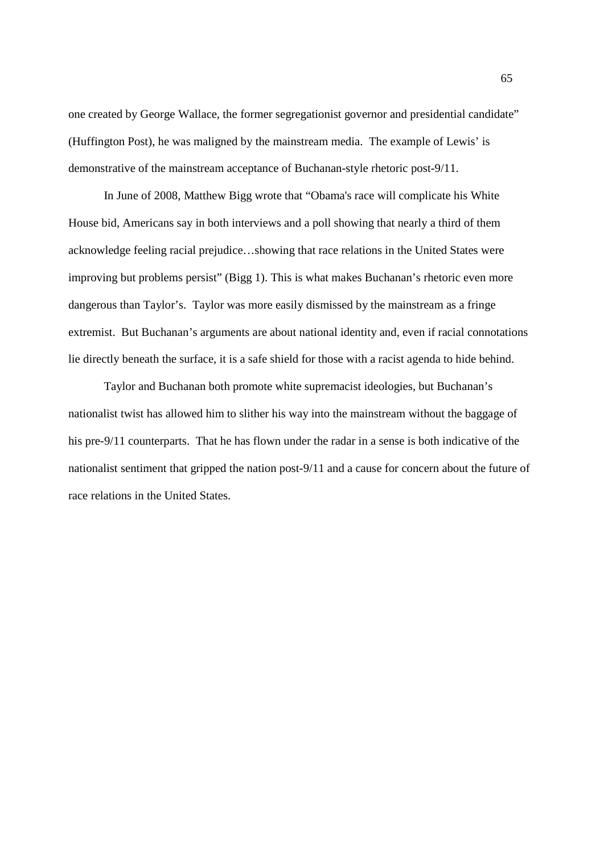one created by George Wallace, the former segregationist governor and presidential candidate" (Huffington Post), he was maligned by the mainstream media. The example of Lewis' is demonstrative of the mainstream acceptance of Buchanan-style rhetoric post-9/11.

In June of 2008, Matthew Bigg wrote that "Obama's race will complicate his White House bid, Americans say in both interviews and a poll showing that nearly a third of them acknowledge feeling racial prejudice…showing that race relations in the United States were improving but problems persist" (Bigg 1). This is what makes Buchanan's rhetoric even more dangerous than Taylor's. Taylor was more easily dismissed by the mainstream as a fringe extremist. But Buchanan's arguments are about national identity and, even if racial connotations lie directly beneath the surface, it is a safe shield for those with a racist agenda to hide behind.

Taylor and Buchanan both promote white supremacist ideologies, but Buchanan's nationalist twist has allowed him to slither his way into the mainstream without the baggage of his pre-9/11 counterparts. That he has flown under the radar in a sense is both indicative of the nationalist sentiment that gripped the nation post-9/11 and a cause for concern about the future of race relations in the United States.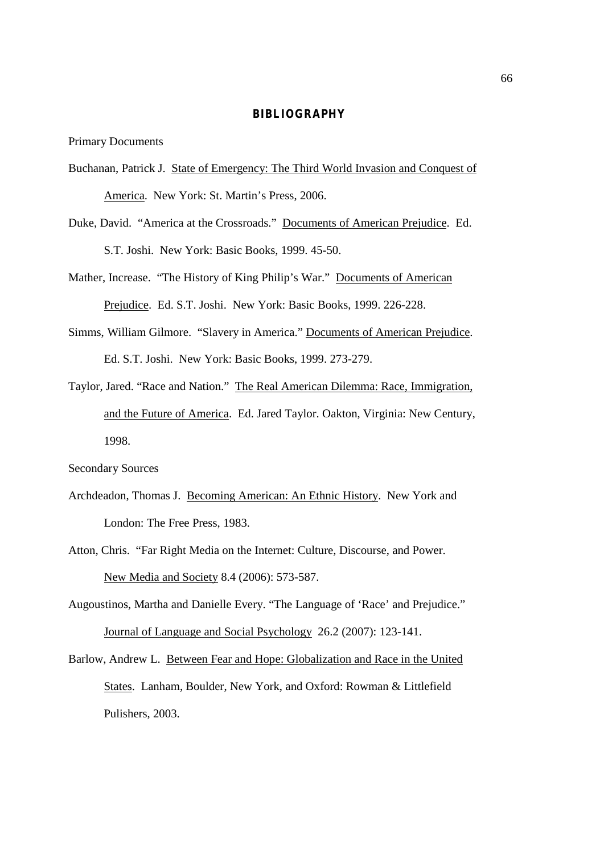## **BIBLIOGRAPHY**

Primary Documents

- Buchanan, Patrick J. State of Emergency: The Third World Invasion and Conquest of America. New York: St. Martin's Press, 2006.
- Duke, David. "America at the Crossroads." Documents of American Prejudice. Ed. S.T. Joshi. New York: Basic Books, 1999. 45-50.
- Mather, Increase. "The History of King Philip's War." Documents of American Prejudice. Ed. S.T. Joshi. New York: Basic Books, 1999. 226-228.
- Simms, William Gilmore. "Slavery in America." Documents of American Prejudice. Ed. S.T. Joshi. New York: Basic Books, 1999. 273-279.
- Taylor, Jared. "Race and Nation." The Real American Dilemma: Race, Immigration, and the Future of America. Ed. Jared Taylor. Oakton, Virginia: New Century, 1998.

Secondary Sources

- Archdeadon, Thomas J. Becoming American: An Ethnic History. New York and London: The Free Press, 1983.
- Atton, Chris. "Far Right Media on the Internet: Culture, Discourse, and Power. New Media and Society 8.4 (2006): 573-587.
- Augoustinos, Martha and Danielle Every. "The Language of 'Race' and Prejudice." Journal of Language and Social Psychology 26.2 (2007): 123-141.
- Barlow, Andrew L. Between Fear and Hope: Globalization and Race in the United States. Lanham, Boulder, New York, and Oxford: Rowman & Littlefield Pulishers, 2003.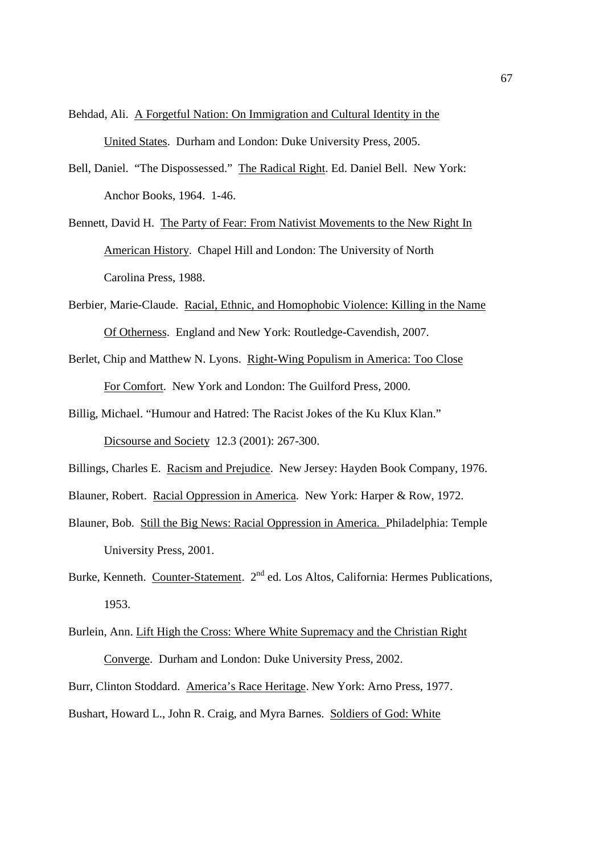Behdad, Ali. A Forgetful Nation: On Immigration and Cultural Identity in the United States. Durham and London: Duke University Press, 2005.

- Bell, Daniel. "The Dispossessed." The Radical Right. Ed. Daniel Bell. New York: Anchor Books, 1964. 1-46.
- Bennett, David H. The Party of Fear: From Nativist Movements to the New Right In American History. Chapel Hill and London: The University of North Carolina Press, 1988.
- Berbier, Marie-Claude. Racial, Ethnic, and Homophobic Violence: Killing in the Name Of Otherness. England and New York: Routledge-Cavendish, 2007.
- Berlet, Chip and Matthew N. Lyons. Right-Wing Populism in America: Too Close For Comfort. New York and London: The Guilford Press, 2000.
- Billig, Michael. "Humour and Hatred: The Racist Jokes of the Ku Klux Klan." Dicsourse and Society 12.3 (2001): 267-300.
- Billings, Charles E. Racism and Prejudice. New Jersey: Hayden Book Company, 1976.
- Blauner, Robert. Racial Oppression in America. New York: Harper & Row, 1972.
- Blauner, Bob. Still the Big News: Racial Oppression in America. Philadelphia: Temple University Press, 2001.
- Burke, Kenneth. Counter-Statement. 2<sup>nd</sup> ed. Los Altos, California: Hermes Publications, 1953.
- Burlein, Ann. Lift High the Cross: Where White Supremacy and the Christian Right Converge. Durham and London: Duke University Press, 2002.
- Burr, Clinton Stoddard. America's Race Heritage. New York: Arno Press, 1977.
- Bushart, Howard L., John R. Craig, and Myra Barnes. Soldiers of God: White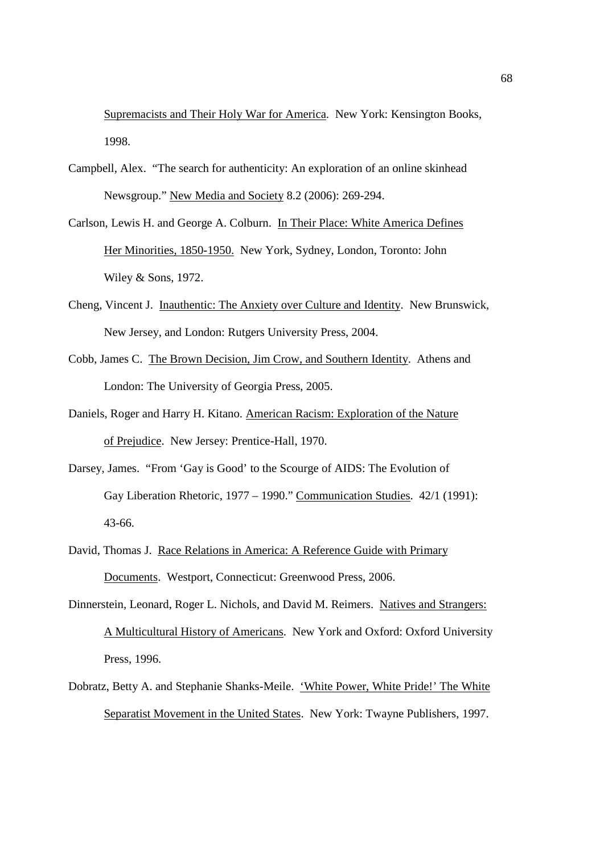Supremacists and Their Holy War for America. New York: Kensington Books, 1998.

- Campbell, Alex. "The search for authenticity: An exploration of an online skinhead Newsgroup." New Media and Society 8.2 (2006): 269-294.
- Carlson, Lewis H. and George A. Colburn. In Their Place: White America Defines Her Minorities, 1850-1950. New York, Sydney, London, Toronto: John Wiley & Sons, 1972.
- Cheng, Vincent J. Inauthentic: The Anxiety over Culture and Identity. New Brunswick, New Jersey, and London: Rutgers University Press, 2004.
- Cobb, James C. The Brown Decision, Jim Crow, and Southern Identity. Athens and London: The University of Georgia Press, 2005.
- Daniels, Roger and Harry H. Kitano. American Racism: Exploration of the Nature of Prejudice. New Jersey: Prentice-Hall, 1970.
- Darsey, James. "From 'Gay is Good' to the Scourge of AIDS: The Evolution of Gay Liberation Rhetoric, 1977 – 1990." Communication Studies. 42/1 (1991): 43-66.
- David, Thomas J. Race Relations in America: A Reference Guide with Primary Documents. Westport, Connecticut: Greenwood Press, 2006.
- Dinnerstein, Leonard, Roger L. Nichols, and David M. Reimers. Natives and Strangers: A Multicultural History of Americans. New York and Oxford: Oxford University Press, 1996.
- Dobratz, Betty A. and Stephanie Shanks-Meile. 'White Power, White Pride!' The White Separatist Movement in the United States. New York: Twayne Publishers, 1997.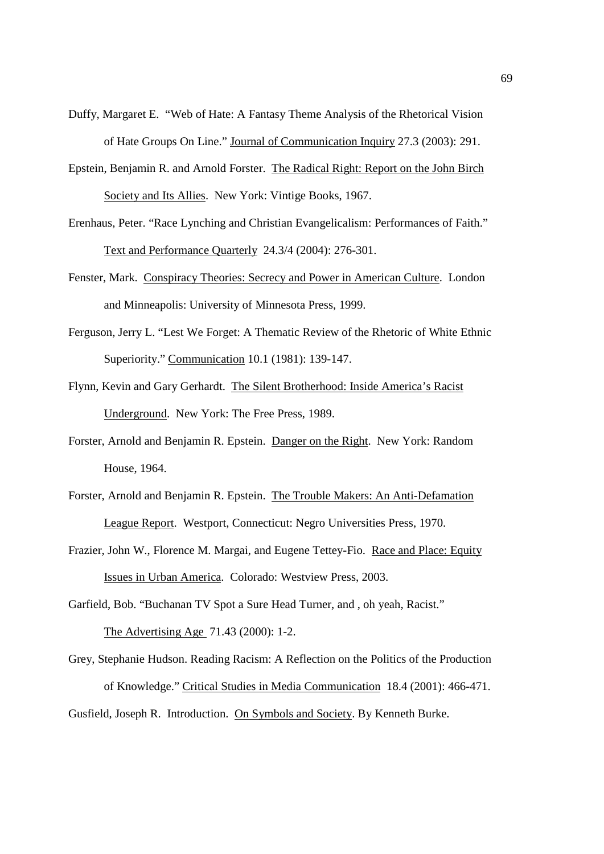- Duffy, Margaret E. "Web of Hate: A Fantasy Theme Analysis of the Rhetorical Vision of Hate Groups On Line." Journal of Communication Inquiry 27.3 (2003): 291.
- Epstein, Benjamin R. and Arnold Forster. The Radical Right: Report on the John Birch Society and Its Allies. New York: Vintige Books, 1967.
- Erenhaus, Peter. "Race Lynching and Christian Evangelicalism: Performances of Faith." Text and Performance Quarterly 24.3/4 (2004): 276-301.
- Fenster, Mark. Conspiracy Theories: Secrecy and Power in American Culture. London and Minneapolis: University of Minnesota Press, 1999.
- Ferguson, Jerry L. "Lest We Forget: A Thematic Review of the Rhetoric of White Ethnic Superiority." Communication 10.1 (1981): 139-147.
- Flynn, Kevin and Gary Gerhardt. The Silent Brotherhood: Inside America's Racist Underground. New York: The Free Press, 1989.
- Forster, Arnold and Benjamin R. Epstein. Danger on the Right. New York: Random House, 1964.
- Forster, Arnold and Benjamin R. Epstein. The Trouble Makers: An Anti-Defamation League Report. Westport, Connecticut: Negro Universities Press, 1970.
- Frazier, John W., Florence M. Margai, and Eugene Tettey-Fio. Race and Place: Equity Issues in Urban America. Colorado: Westview Press, 2003.
- Garfield, Bob. "Buchanan TV Spot a Sure Head Turner, and , oh yeah, Racist."

The Advertising Age 71.43 (2000): 1-2.

Grey, Stephanie Hudson. Reading Racism: A Reflection on the Politics of the Production of Knowledge." Critical Studies in Media Communication 18.4 (2001): 466-471. Gusfield, Joseph R. Introduction. On Symbols and Society. By Kenneth Burke.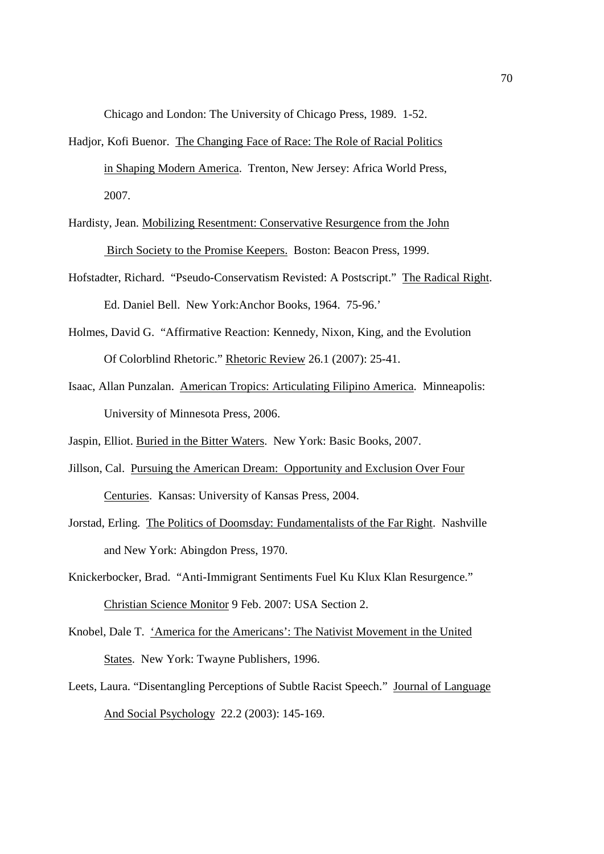Chicago and London: The University of Chicago Press, 1989. 1-52.

- Hadjor, Kofi Buenor. The Changing Face of Race: The Role of Racial Politics in Shaping Modern America. Trenton, New Jersey: Africa World Press, 2007.
- Hardisty, Jean. Mobilizing Resentment: Conservative Resurgence from the John Birch Society to the Promise Keepers. Boston: Beacon Press, 1999.
- Hofstadter, Richard. "Pseudo-Conservatism Revisted: A Postscript." The Radical Right. Ed. Daniel Bell. New York:Anchor Books, 1964. 75-96.'
- Holmes, David G. "Affirmative Reaction: Kennedy, Nixon, King, and the Evolution Of Colorblind Rhetoric." Rhetoric Review 26.1 (2007): 25-41.
- Isaac, Allan Punzalan. American Tropics: Articulating Filipino America. Minneapolis: University of Minnesota Press, 2006.
- Jaspin, Elliot. Buried in the Bitter Waters. New York: Basic Books, 2007.
- Jillson, Cal. Pursuing the American Dream: Opportunity and Exclusion Over Four Centuries. Kansas: University of Kansas Press, 2004.
- Jorstad, Erling. The Politics of Doomsday: Fundamentalists of the Far Right. Nashville and New York: Abingdon Press, 1970.
- Knickerbocker, Brad. "Anti-Immigrant Sentiments Fuel Ku Klux Klan Resurgence." Christian Science Monitor 9 Feb. 2007: USA Section 2.
- Knobel, Dale T. 'America for the Americans': The Nativist Movement in the United States. New York: Twayne Publishers, 1996.
- Leets, Laura. "Disentangling Perceptions of Subtle Racist Speech." Journal of Language And Social Psychology 22.2 (2003): 145-169.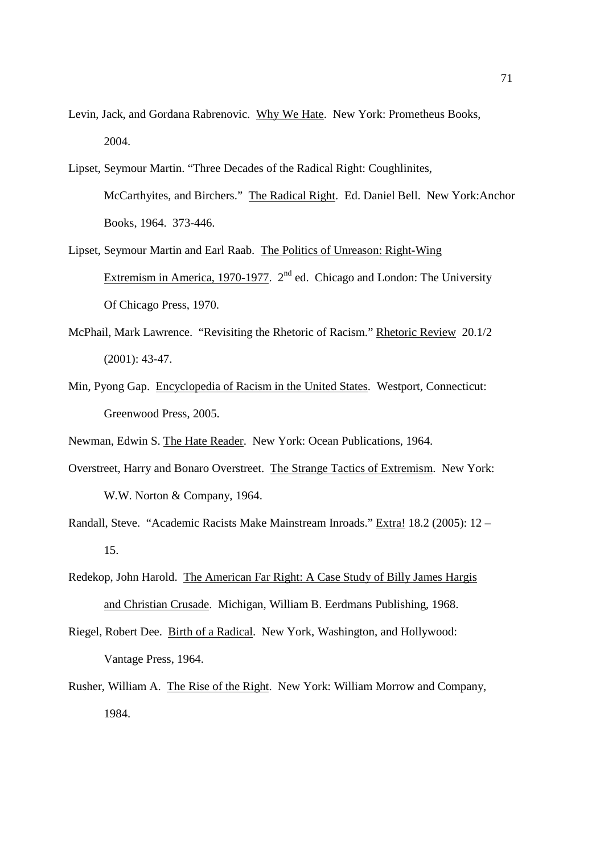- Levin, Jack, and Gordana Rabrenovic. Why We Hate. New York: Prometheus Books, 2004.
- Lipset, Seymour Martin. "Three Decades of the Radical Right: Coughlinites, McCarthyites, and Birchers." The Radical Right. Ed. Daniel Bell. New York:Anchor Books, 1964. 373-446.
- Lipset, Seymour Martin and Earl Raab. The Politics of Unreason: Right-Wing Extremism in America, 1970-1977. 2<sup>nd</sup> ed. Chicago and London: The University Of Chicago Press, 1970.
- McPhail, Mark Lawrence. "Revisiting the Rhetoric of Racism." Rhetoric Review 20.1/2 (2001): 43-47.
- Min, Pyong Gap. Encyclopedia of Racism in the United States. Westport, Connecticut: Greenwood Press, 2005.
- Newman, Edwin S. The Hate Reader. New York: Ocean Publications, 1964.
- Overstreet, Harry and Bonaro Overstreet. The Strange Tactics of Extremism. New York: W.W. Norton & Company, 1964.
- Randall, Steve. "Academic Racists Make Mainstream Inroads." Extra! 18.2 (2005): 12 15.
- Redekop, John Harold. The American Far Right: A Case Study of Billy James Hargis and Christian Crusade. Michigan, William B. Eerdmans Publishing, 1968.
- Riegel, Robert Dee. Birth of a Radical. New York, Washington, and Hollywood: Vantage Press, 1964.
- Rusher, William A. The Rise of the Right. New York: William Morrow and Company, 1984.